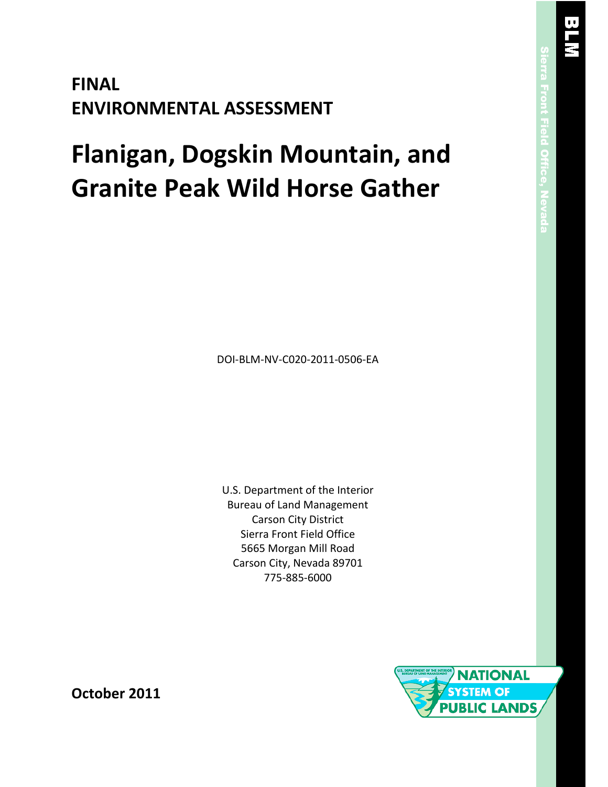# **FINAL ENVIRONMENTAL ASSESSMENT**

# **Flanigan, Dogskin Mountain, and Granite Peak Wild Horse Gather**

DOI-BLM-NV-C020-2011-0506-EA

U.S. Department of the Interior Bureau of Land Management Carson City District Sierra Front Field Office 5665 Morgan Mill Road Carson City, Nevada 89701 775-885-6000



**October 2011**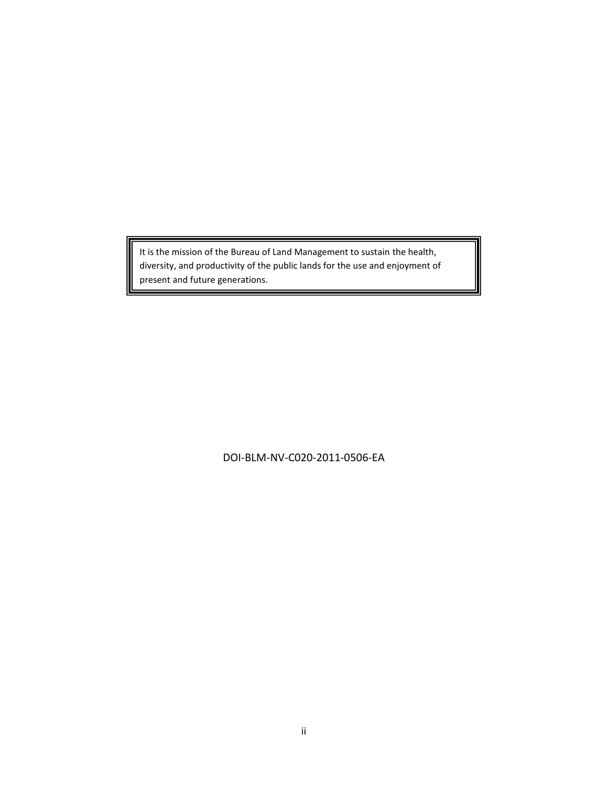It is the mission of the Bureau of Land Management to sustain the health, diversity, and productivity of the public lands for the use and enjoyment of present and future generations.

DOI-BLM-NV-C020-2011-0506-EA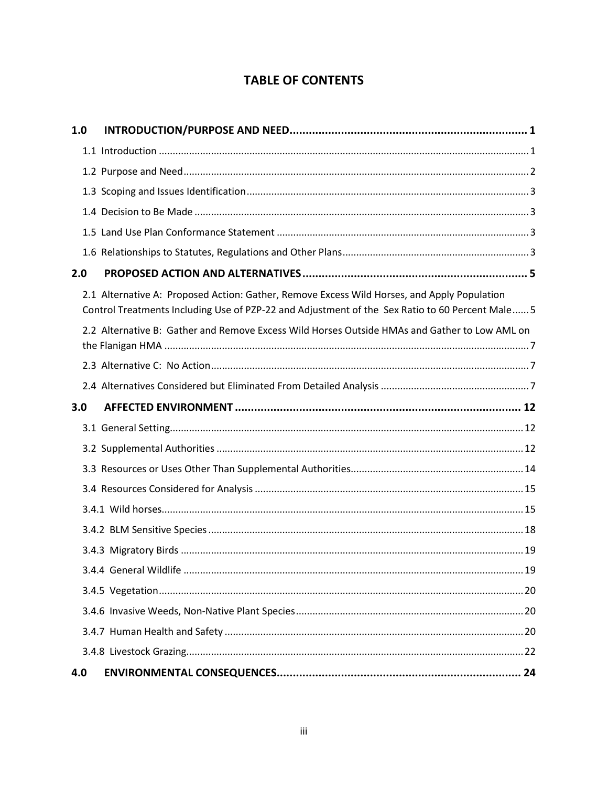# **TABLE OF CONTENTS**

| 1.0 |                                                                                                                                                                                                |
|-----|------------------------------------------------------------------------------------------------------------------------------------------------------------------------------------------------|
|     |                                                                                                                                                                                                |
|     |                                                                                                                                                                                                |
|     |                                                                                                                                                                                                |
|     |                                                                                                                                                                                                |
|     |                                                                                                                                                                                                |
|     |                                                                                                                                                                                                |
| 2.0 |                                                                                                                                                                                                |
|     | 2.1 Alternative A: Proposed Action: Gather, Remove Excess Wild Horses, and Apply Population<br>Control Treatments Including Use of PZP-22 and Adjustment of the Sex Ratio to 60 Percent Male 5 |
|     | 2.2 Alternative B: Gather and Remove Excess Wild Horses Outside HMAs and Gather to Low AML on                                                                                                  |
|     |                                                                                                                                                                                                |
|     |                                                                                                                                                                                                |
| 3.0 |                                                                                                                                                                                                |
|     |                                                                                                                                                                                                |
|     |                                                                                                                                                                                                |
|     |                                                                                                                                                                                                |
|     |                                                                                                                                                                                                |
|     |                                                                                                                                                                                                |
|     |                                                                                                                                                                                                |
|     |                                                                                                                                                                                                |
|     |                                                                                                                                                                                                |
|     |                                                                                                                                                                                                |
|     |                                                                                                                                                                                                |
|     |                                                                                                                                                                                                |
|     |                                                                                                                                                                                                |
| 4.0 |                                                                                                                                                                                                |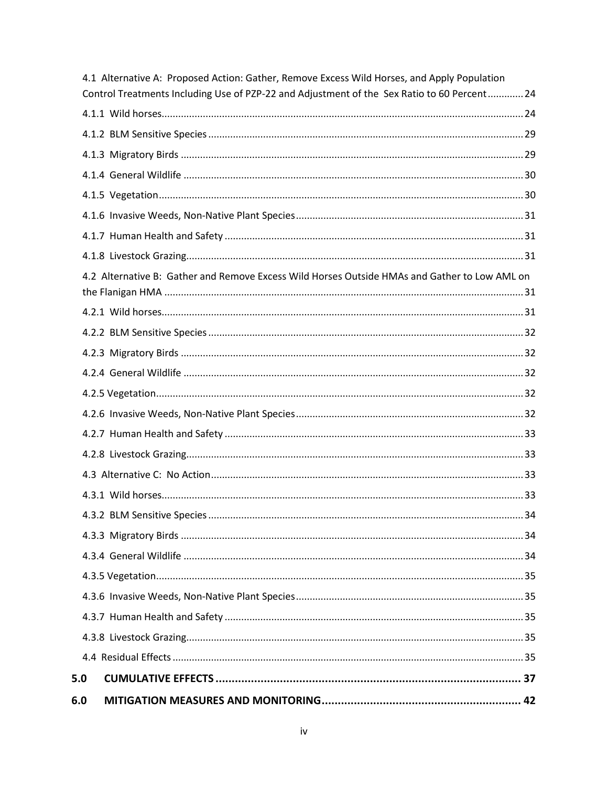| 6.0 |                                                                                                                                                                                            |     |
|-----|--------------------------------------------------------------------------------------------------------------------------------------------------------------------------------------------|-----|
| 5.0 |                                                                                                                                                                                            |     |
|     |                                                                                                                                                                                            |     |
|     |                                                                                                                                                                                            |     |
|     |                                                                                                                                                                                            |     |
|     |                                                                                                                                                                                            |     |
|     |                                                                                                                                                                                            |     |
|     |                                                                                                                                                                                            |     |
|     |                                                                                                                                                                                            |     |
|     |                                                                                                                                                                                            | .34 |
|     |                                                                                                                                                                                            |     |
|     |                                                                                                                                                                                            |     |
|     |                                                                                                                                                                                            |     |
|     |                                                                                                                                                                                            |     |
|     |                                                                                                                                                                                            |     |
|     |                                                                                                                                                                                            |     |
|     |                                                                                                                                                                                            |     |
|     |                                                                                                                                                                                            |     |
|     |                                                                                                                                                                                            |     |
|     |                                                                                                                                                                                            |     |
|     |                                                                                                                                                                                            |     |
|     | 4.2 Alternative B: Gather and Remove Excess Wild Horses Outside HMAs and Gather to Low AML on                                                                                              |     |
|     |                                                                                                                                                                                            |     |
|     |                                                                                                                                                                                            |     |
|     |                                                                                                                                                                                            |     |
|     |                                                                                                                                                                                            |     |
|     |                                                                                                                                                                                            |     |
|     |                                                                                                                                                                                            |     |
|     |                                                                                                                                                                                            |     |
|     |                                                                                                                                                                                            |     |
|     | 4.1 Alternative A: Proposed Action: Gather, Remove Excess Wild Horses, and Apply Population<br>Control Treatments Including Use of PZP-22 and Adjustment of the Sex Ratio to 60 Percent 24 |     |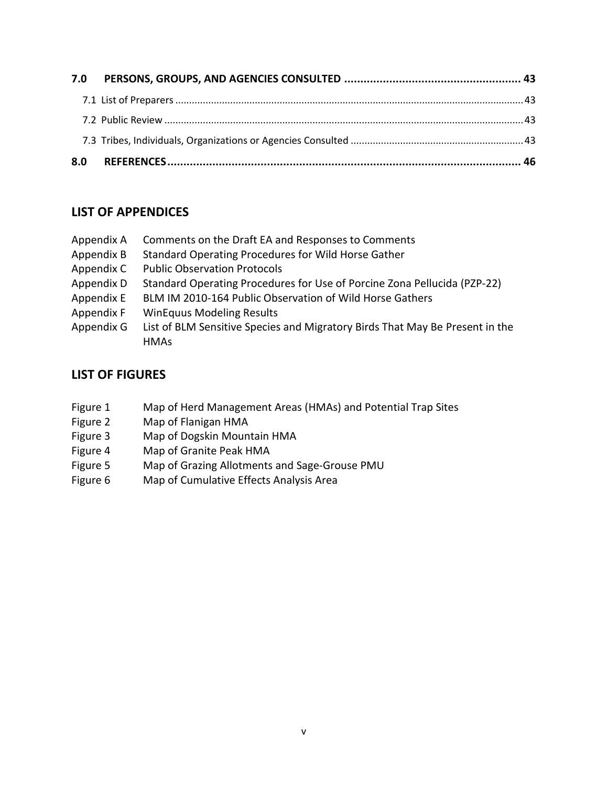| 7.0 |  |
|-----|--|
|     |  |
|     |  |
|     |  |
| 8.0 |  |

# **LIST OF APPENDICES**

| Appendix A | Comments on the Draft EA and Responses to Comments                                          |
|------------|---------------------------------------------------------------------------------------------|
| Appendix B | Standard Operating Procedures for Wild Horse Gather                                         |
| Appendix C | <b>Public Observation Protocols</b>                                                         |
| Appendix D | Standard Operating Procedures for Use of Porcine Zona Pellucida (PZP-22)                    |
| Appendix E | BLM IM 2010-164 Public Observation of Wild Horse Gathers                                    |
| Appendix F | <b>WinEquus Modeling Results</b>                                                            |
| Appendix G | List of BLM Sensitive Species and Migratory Birds That May Be Present in the<br><b>HMAs</b> |
|            |                                                                                             |

# **LIST OF FIGURES**

- Figure 1 Map of Herd Management Areas (HMAs) and Potential Trap Sites
- Figure 2 Map of Flanigan HMA
- Figure 3 Map of Dogskin Mountain HMA<br>Figure 4 Map of Granite Peak HMA
- Map of Granite Peak HMA
- Figure 5 Map of Grazing Allotments and Sage-Grouse PMU
- Figure 6 Map of Cumulative Effects Analysis Area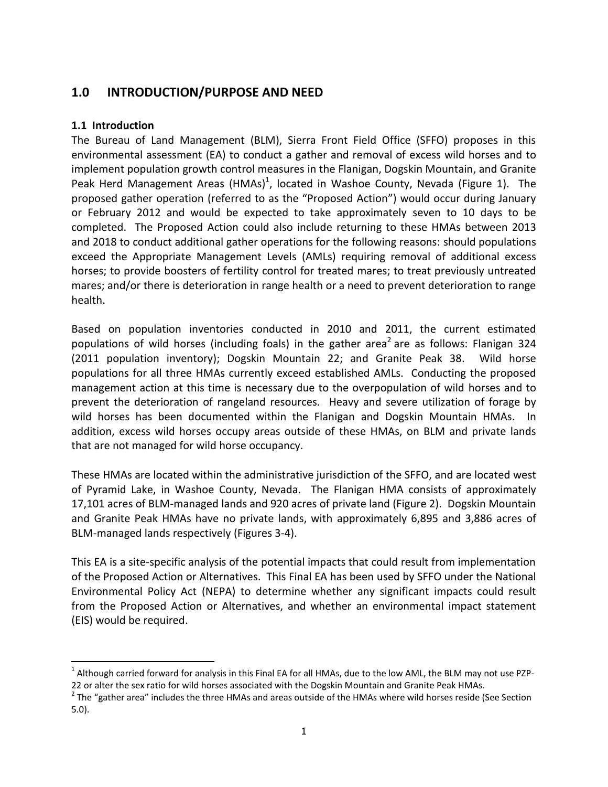# <span id="page-5-0"></span>**1.0 INTRODUCTION/PURPOSE AND NEED**

#### <span id="page-5-1"></span>**1.1 Introduction**

 $\overline{a}$ 

The Bureau of Land Management (BLM), Sierra Front Field Office (SFFO) proposes in this environmental assessment (EA) to conduct a gather and removal of excess wild horses and to implement population growth control measures in the Flanigan, Dogskin Mountain, and Granite Peak Herd Management Areas (HMAs)<sup>1</sup>, located in Washoe County, Nevada (Figure 1). The proposed gather operation (referred to as the "Proposed Action") would occur during January or February 2012 and would be expected to take approximately seven to 10 days to be completed. The Proposed Action could also include returning to these HMAs between 2013 and 2018 to conduct additional gather operations for the following reasons: should populations exceed the Appropriate Management Levels (AMLs) requiring removal of additional excess horses; to provide boosters of fertility control for treated mares; to treat previously untreated mares; and/or there is deterioration in range health or a need to prevent deterioration to range health.

Based on population inventories conducted in 2010 and 2011, the current estimated populations of wild horses (including foals) in the gather area<sup>2</sup> are as follows: Flanigan 324 (2011 population inventory); Dogskin Mountain 22; and Granite Peak 38. Wild horse populations for all three HMAs currently exceed established AMLs. Conducting the proposed management action at this time is necessary due to the overpopulation of wild horses and to prevent the deterioration of rangeland resources. Heavy and severe utilization of forage by wild horses has been documented within the Flanigan and Dogskin Mountain HMAs. In addition, excess wild horses occupy areas outside of these HMAs, on BLM and private lands that are not managed for wild horse occupancy.

These HMAs are located within the administrative jurisdiction of the SFFO, and are located west of Pyramid Lake, in Washoe County, Nevada. The Flanigan HMA consists of approximately 17,101 acres of BLM-managed lands and 920 acres of private land (Figure 2). Dogskin Mountain and Granite Peak HMAs have no private lands, with approximately 6,895 and 3,886 acres of BLM-managed lands respectively (Figures 3-4).

This EA is a site-specific analysis of the potential impacts that could result from implementation of the Proposed Action or Alternatives. This Final EA has been used by SFFO under the National Environmental Policy Act (NEPA) to determine whether any significant impacts could result from the Proposed Action or Alternatives, and whether an environmental impact statement (EIS) would be required.

<sup>&</sup>lt;sup>1</sup> Although carried forward for analysis in this Final EA for all HMAs, due to the low AML, the BLM may not use PZP-22 or alter the sex ratio for wild horses associated with the Dogskin Mountain and Granite Peak HMAs.

 $^2$  The "gather area" includes the three HMAs and areas outside of the HMAs where wild horses reside (See Section 5.0).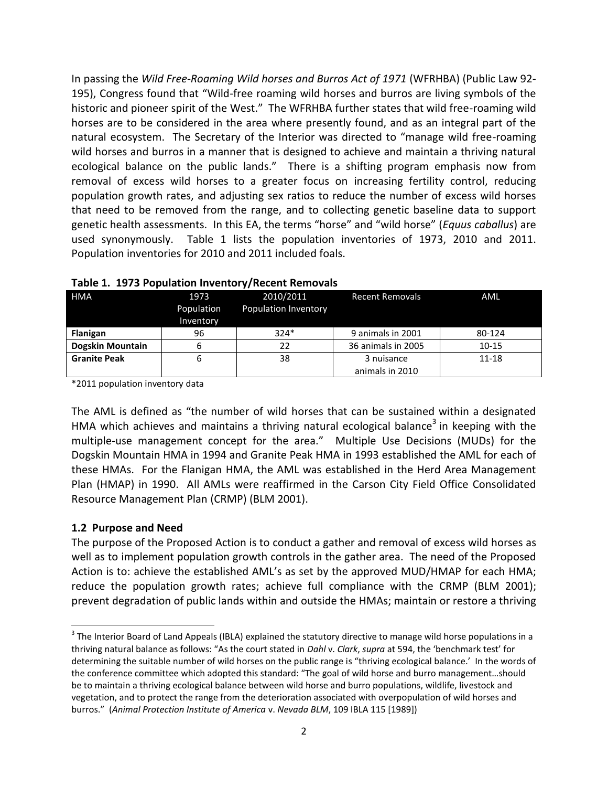In passing the *Wild Free-Roaming Wild horses and Burros Act of 1971* (WFRHBA) (Public Law 92- 195), Congress found that "Wild-free roaming wild horses and burros are living symbols of the historic and pioneer spirit of the West." The WFRHBA further states that wild free-roaming wild horses are to be considered in the area where presently found, and as an integral part of the natural ecosystem. The Secretary of the Interior was directed to "manage wild free-roaming wild horses and burros in a manner that is designed to achieve and maintain a thriving natural ecological balance on the public lands." There is a shifting program emphasis now from removal of excess wild horses to a greater focus on increasing fertility control, reducing population growth rates, and adjusting sex ratios to reduce the number of excess wild horses that need to be removed from the range, and to collecting genetic baseline data to support genetic health assessments. In this EA, the terms "horse" and "wild horse" (*Equus caballus*) are used synonymously. Table 1 lists the population inventories of 1973, 2010 and 2011. Population inventories for 2010 and 2011 included foals.

| <b>HMA</b>          | 1973<br>Population<br>Inventory | 2010/2011<br>Population Inventory | <b>Recent Removals</b> | <b>AML</b> |
|---------------------|---------------------------------|-----------------------------------|------------------------|------------|
| Flanigan            | 96                              | $324*$                            | 9 animals in 2001      | 80-124     |
| Dogskin Mountain    | 6                               | 22                                | 36 animals in 2005     | $10 - 15$  |
| <b>Granite Peak</b> | 6                               | 38                                | 3 nuisance             | $11 - 18$  |
|                     |                                 |                                   | animals in 2010        |            |

**Table 1. 1973 Population Inventory/Recent Removals**

\*2011 population inventory data

The AML is defined as "the number of wild horses that can be sustained within a designated HMA which achieves and maintains a thriving natural ecological balance<sup>3</sup> in keeping with the multiple-use management concept for the area." Multiple Use Decisions (MUDs) for the Dogskin Mountain HMA in 1994 and Granite Peak HMA in 1993 established the AML for each of these HMAs. For the Flanigan HMA, the AML was established in the Herd Area Management Plan (HMAP) in 1990. All AMLs were reaffirmed in the Carson City Field Office Consolidated Resource Management Plan (CRMP) (BLM 2001).

#### <span id="page-6-0"></span>**1.2 Purpose and Need**

 $\overline{\phantom{a}}$ 

The purpose of the Proposed Action is to conduct a gather and removal of excess wild horses as well as to implement population growth controls in the gather area. The need of the Proposed Action is to: achieve the established AML's as set by the approved MUD/HMAP for each HMA; reduce the population growth rates; achieve full compliance with the CRMP (BLM 2001); prevent degradation of public lands within and outside the HMAs; maintain or restore a thriving

 $^3$  The Interior Board of Land Appeals (IBLA) explained the statutory directive to manage wild horse populations in a thriving natural balance as follows: "As the court stated in *Dahl* v. *Clark*, *supra* at 594, the 'benchmark test' for determining the suitable number of wild horses on the public range is "thriving ecological balance.' In the words of the conference committee which adopted this standard: "The goal of wild horse and burro management…should be to maintain a thriving ecological balance between wild horse and burro populations, wildlife, livestock and vegetation, and to protect the range from the deterioration associated with overpopulation of wild horses and burros." (*Animal Protection Institute of America* v. *Nevada BLM*, 109 IBLA 115 [1989])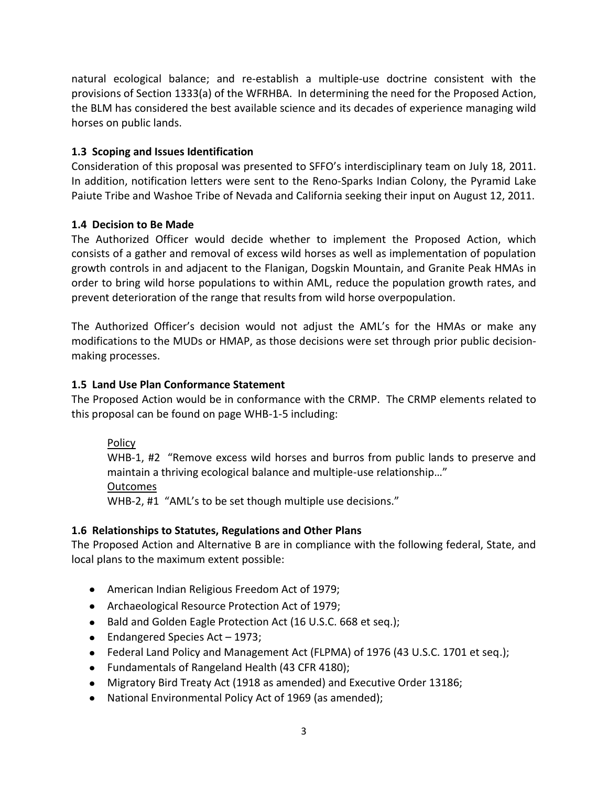natural ecological balance; and re-establish a multiple-use doctrine consistent with the provisions of Section 1333(a) of the WFRHBA. In determining the need for the Proposed Action, the BLM has considered the best available science and its decades of experience managing wild horses on public lands.

#### <span id="page-7-0"></span>**1.3 Scoping and Issues Identification**

Consideration of this proposal was presented to SFFO's interdisciplinary team on July 18, 2011. In addition, notification letters were sent to the Reno-Sparks Indian Colony, the Pyramid Lake Paiute Tribe and Washoe Tribe of Nevada and California seeking their input on August 12, 2011.

#### <span id="page-7-1"></span>**1.4 Decision to Be Made**

The Authorized Officer would decide whether to implement the Proposed Action, which consists of a gather and removal of excess wild horses as well as implementation of population growth controls in and adjacent to the Flanigan, Dogskin Mountain, and Granite Peak HMAs in order to bring wild horse populations to within AML, reduce the population growth rates, and prevent deterioration of the range that results from wild horse overpopulation.

The Authorized Officer's decision would not adjust the AML's for the HMAs or make any modifications to the MUDs or HMAP, as those decisions were set through prior public decisionmaking processes.

#### <span id="page-7-2"></span>**1.5 Land Use Plan Conformance Statement**

The Proposed Action would be in conformance with the CRMP. The CRMP elements related to this proposal can be found on page WHB-1-5 including:

#### Policy

WHB-1, #2 "Remove excess wild horses and burros from public lands to preserve and maintain a thriving ecological balance and multiple-use relationship…" Outcomes WHB-2, #1 "AML's to be set though multiple use decisions."

#### <span id="page-7-3"></span>**1.6 Relationships to Statutes, Regulations and Other Plans**

The Proposed Action and Alternative B are in compliance with the following federal, State, and local plans to the maximum extent possible:

- American Indian Religious Freedom Act of 1979;
- Archaeological Resource Protection Act of 1979;
- Bald and Golden Eagle Protection Act (16 U.S.C. 668 et seq.);
- Endangered Species Act 1973;
- Federal Land Policy and Management Act (FLPMA) of 1976 (43 U.S.C. 1701 et seq.);
- Fundamentals of Rangeland Health (43 CFR 4180);
- Migratory Bird Treaty Act (1918 as amended) and Executive Order 13186;
- National Environmental Policy Act of 1969 (as amended);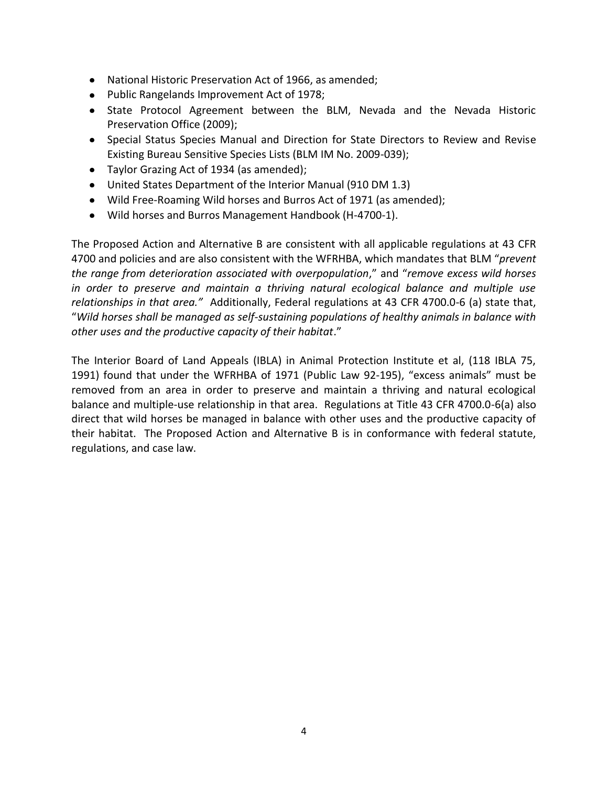- National Historic Preservation Act of 1966, as amended;
- Public Rangelands Improvement Act of 1978;
- State Protocol Agreement between the BLM, Nevada and the Nevada Historic Preservation Office (2009);
- Special Status Species Manual and Direction for State Directors to Review and Revise Existing Bureau Sensitive Species Lists (BLM IM No. 2009-039);
- Taylor Grazing Act of 1934 (as amended);
- United States Department of the Interior Manual (910 DM 1.3)
- Wild Free-Roaming Wild horses and Burros Act of 1971 (as amended);
- Wild horses and Burros Management Handbook (H-4700-1).

The Proposed Action and Alternative B are consistent with all applicable regulations at 43 CFR 4700 and policies and are also consistent with the WFRHBA, which mandates that BLM "*prevent the range from deterioration associated with overpopulation*," and "*remove excess wild horses in order to preserve and maintain a thriving natural ecological balance and multiple use relationships in that area."* Additionally, Federal regulations at 43 CFR 4700.0-6 (a) state that, "*Wild horses shall be managed as self-sustaining populations of healthy animals in balance with other uses and the productive capacity of their habitat*."

The Interior Board of Land Appeals (IBLA) in Animal Protection Institute et al, (118 IBLA 75, 1991) found that under the WFRHBA of 1971 (Public Law 92-195), "excess animals" must be removed from an area in order to preserve and maintain a thriving and natural ecological balance and multiple-use relationship in that area. Regulations at Title 43 CFR 4700.0-6(a) also direct that wild horses be managed in balance with other uses and the productive capacity of their habitat. The Proposed Action and Alternative B is in conformance with federal statute, regulations, and case law.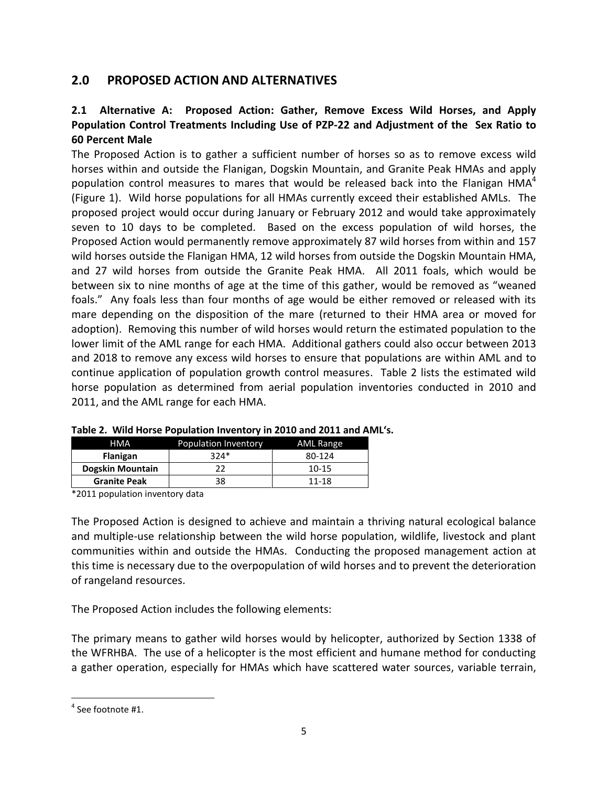# <span id="page-9-0"></span>**2.0 PROPOSED ACTION AND ALTERNATIVES**

## <span id="page-9-1"></span>**2.1 Alternative A: Proposed Action: Gather, Remove Excess Wild Horses, and Apply Population Control Treatments Including Use of PZP-22 and Adjustment of the Sex Ratio to 60 Percent Male**

The Proposed Action is to gather a sufficient number of horses so as to remove excess wild horses within and outside the Flanigan, Dogskin Mountain, and Granite Peak HMAs and apply population control measures to mares that would be released back into the Flanigan HMA $4$ (Figure 1). Wild horse populations for all HMAs currently exceed their established AMLs. The proposed project would occur during January or February 2012 and would take approximately seven to 10 days to be completed. Based on the excess population of wild horses, the Proposed Action would permanently remove approximately 87 wild horses from within and 157 wild horses outside the Flanigan HMA, 12 wild horses from outside the Dogskin Mountain HMA, and 27 wild horses from outside the Granite Peak HMA. All 2011 foals, which would be between six to nine months of age at the time of this gather, would be removed as "weaned foals." Any foals less than four months of age would be either removed or released with its mare depending on the disposition of the mare (returned to their HMA area or moved for adoption). Removing this number of wild horses would return the estimated population to the lower limit of the AML range for each HMA. Additional gathers could also occur between 2013 and 2018 to remove any excess wild horses to ensure that populations are within AML and to continue application of population growth control measures. Table 2 lists the estimated wild horse population as determined from aerial population inventories conducted in 2010 and 2011, and the AML range for each HMA.

| <b>HMA</b>              | Population Inventory | AML Range |
|-------------------------|----------------------|-----------|
| <b>Flanigan</b>         | $324*$               | 80-124    |
| <b>Dogskin Mountain</b> |                      | $10 - 15$ |
| <b>Granite Peak</b>     | 38                   | 11-18     |

|  |  |  | Table 2. Wild Horse Population Inventory in 2010 and 2011 and AML's. |  |  |  |
|--|--|--|----------------------------------------------------------------------|--|--|--|
|--|--|--|----------------------------------------------------------------------|--|--|--|

\*2011 population inventory data

The Proposed Action is designed to achieve and maintain a thriving natural ecological balance and multiple-use relationship between the wild horse population, wildlife, livestock and plant communities within and outside the HMAs. Conducting the proposed management action at this time is necessary due to the overpopulation of wild horses and to prevent the deterioration of rangeland resources.

The Proposed Action includes the following elements:

The primary means to gather wild horses would by helicopter, authorized by Section 1338 of the WFRHBA. The use of a helicopter is the most efficient and humane method for conducting a gather operation, especially for HMAs which have scattered water sources, variable terrain,

 $\overline{\phantom{a}}$  $<sup>4</sup>$  See footnote #1.</sup>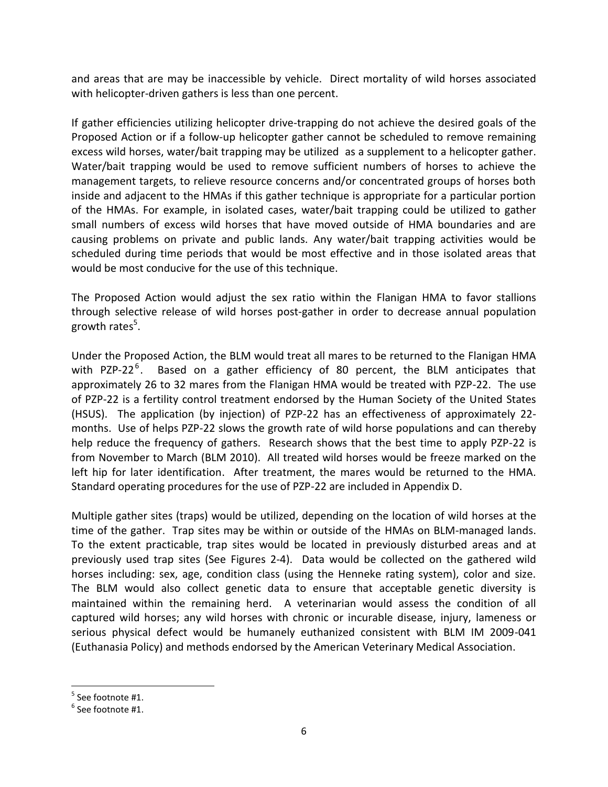and areas that are may be inaccessible by vehicle. Direct mortality of wild horses associated with helicopter-driven gathers is less than one percent.

If gather efficiencies utilizing helicopter drive-trapping do not achieve the desired goals of the Proposed Action or if a follow-up helicopter gather cannot be scheduled to remove remaining excess wild horses, water/bait trapping may be utilized as a supplement to a helicopter gather. Water/bait trapping would be used to remove sufficient numbers of horses to achieve the management targets, to relieve resource concerns and/or concentrated groups of horses both inside and adjacent to the HMAs if this gather technique is appropriate for a particular portion of the HMAs. For example, in isolated cases, water/bait trapping could be utilized to gather small numbers of excess wild horses that have moved outside of HMA boundaries and are causing problems on private and public lands. Any water/bait trapping activities would be scheduled during time periods that would be most effective and in those isolated areas that would be most conducive for the use of this technique.

The Proposed Action would adjust the sex ratio within the Flanigan HMA to favor stallions through selective release of wild horses post-gather in order to decrease annual population growth rates<sup>5</sup>.

Under the Proposed Action, the BLM would treat all mares to be returned to the Flanigan HMA with PZP-22<sup>6</sup>. Based on a gather efficiency of 80 percent, the BLM anticipates that approximately 26 to 32 mares from the Flanigan HMA would be treated with PZP-22. The use of PZP-22 is a fertility control treatment endorsed by the Human Society of the United States (HSUS). The application (by injection) of PZP-22 has an effectiveness of approximately 22 months. Use of helps PZP-22 slows the growth rate of wild horse populations and can thereby help reduce the frequency of gathers. Research shows that the best time to apply PZP-22 is from November to March (BLM 2010). All treated wild horses would be freeze marked on the left hip for later identification. After treatment, the mares would be returned to the HMA. Standard operating procedures for the use of PZP-22 are included in Appendix D.

Multiple gather sites (traps) would be utilized, depending on the location of wild horses at the time of the gather. Trap sites may be within or outside of the HMAs on BLM-managed lands. To the extent practicable, trap sites would be located in previously disturbed areas and at previously used trap sites (See Figures 2-4). Data would be collected on the gathered wild horses including: sex, age, condition class (using the Henneke rating system), color and size. The BLM would also collect genetic data to ensure that acceptable genetic diversity is maintained within the remaining herd. A veterinarian would assess the condition of all captured wild horses; any wild horses with chronic or incurable disease, injury, lameness or serious physical defect would be humanely euthanized consistent with BLM IM 2009-041 (Euthanasia Policy) and methods endorsed by the American Veterinary Medical Association.

l

 $^5$  See footnote #1.

 $^6$  See footnote #1.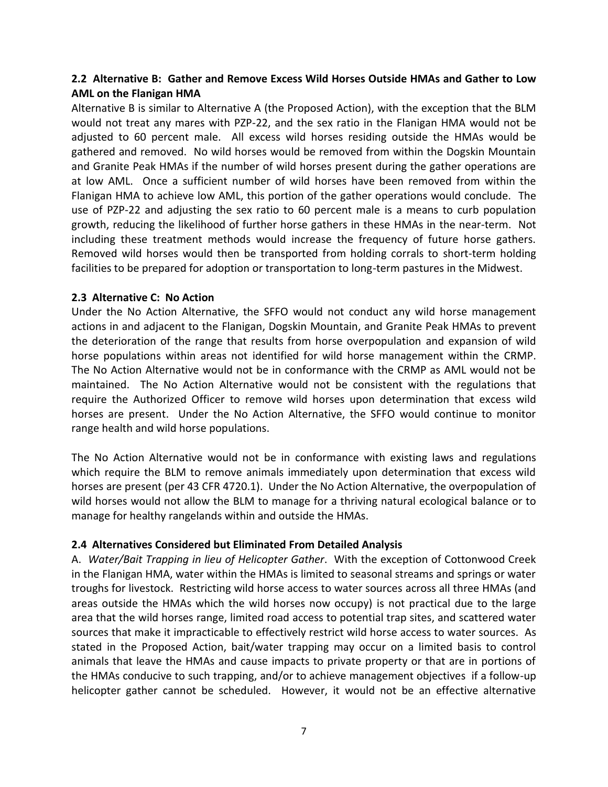#### <span id="page-11-0"></span>**2.2 Alternative B: Gather and Remove Excess Wild Horses Outside HMAs and Gather to Low AML on the Flanigan HMA**

Alternative B is similar to Alternative A (the Proposed Action), with the exception that the BLM would not treat any mares with PZP-22, and the sex ratio in the Flanigan HMA would not be adjusted to 60 percent male. All excess wild horses residing outside the HMAs would be gathered and removed. No wild horses would be removed from within the Dogskin Mountain and Granite Peak HMAs if the number of wild horses present during the gather operations are at low AML. Once a sufficient number of wild horses have been removed from within the Flanigan HMA to achieve low AML, this portion of the gather operations would conclude. The use of PZP-22 and adjusting the sex ratio to 60 percent male is a means to curb population growth, reducing the likelihood of further horse gathers in these HMAs in the near-term. Not including these treatment methods would increase the frequency of future horse gathers. Removed wild horses would then be transported from holding corrals to short-term holding facilities to be prepared for adoption or transportation to long-term pastures in the Midwest.

#### <span id="page-11-1"></span>**2.3 Alternative C: No Action**

Under the No Action Alternative, the SFFO would not conduct any wild horse management actions in and adjacent to the Flanigan, Dogskin Mountain, and Granite Peak HMAs to prevent the deterioration of the range that results from horse overpopulation and expansion of wild horse populations within areas not identified for wild horse management within the CRMP. The No Action Alternative would not be in conformance with the CRMP as AML would not be maintained. The No Action Alternative would not be consistent with the regulations that require the Authorized Officer to remove wild horses upon determination that excess wild horses are present. Under the No Action Alternative, the SFFO would continue to monitor range health and wild horse populations.

The No Action Alternative would not be in conformance with existing laws and regulations which require the BLM to remove animals immediately upon determination that excess wild horses are present (per 43 CFR 4720.1). Under the No Action Alternative, the overpopulation of wild horses would not allow the BLM to manage for a thriving natural ecological balance or to manage for healthy rangelands within and outside the HMAs.

#### <span id="page-11-2"></span>**2.4 Alternatives Considered but Eliminated From Detailed Analysis**

A. *Water/Bait Trapping in lieu of Helicopter Gather*. With the exception of Cottonwood Creek in the Flanigan HMA, water within the HMAs is limited to seasonal streams and springs or water troughs for livestock. Restricting wild horse access to water sources across all three HMAs (and areas outside the HMAs which the wild horses now occupy) is not practical due to the large area that the wild horses range, limited road access to potential trap sites, and scattered water sources that make it impracticable to effectively restrict wild horse access to water sources. As stated in the Proposed Action, bait/water trapping may occur on a limited basis to control animals that leave the HMAs and cause impacts to private property or that are in portions of the HMAs conducive to such trapping, and/or to achieve management objectives if a follow-up helicopter gather cannot be scheduled. However, it would not be an effective alternative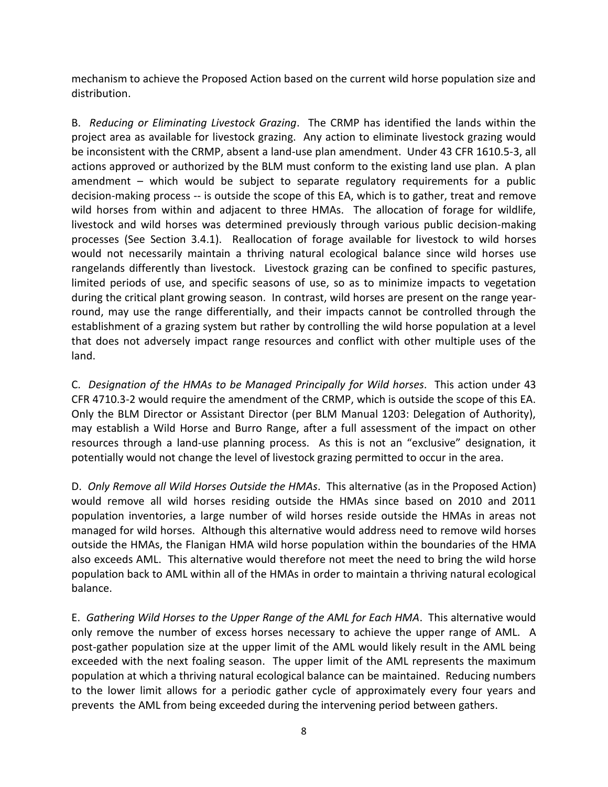mechanism to achieve the Proposed Action based on the current wild horse population size and distribution.

B. *Reducing or Eliminating Livestock Grazing*. The CRMP has identified the lands within the project area as available for livestock grazing. Any action to eliminate livestock grazing would be inconsistent with the CRMP, absent a land-use plan amendment. Under 43 CFR 1610.5-3, all actions approved or authorized by the BLM must conform to the existing land use plan. A plan amendment – which would be subject to separate regulatory requirements for a public decision-making process -- is outside the scope of this EA, which is to gather, treat and remove wild horses from within and adjacent to three HMAs. The allocation of forage for wildlife, livestock and wild horses was determined previously through various public decision-making processes (See Section 3.4.1). Reallocation of forage available for livestock to wild horses would not necessarily maintain a thriving natural ecological balance since wild horses use rangelands differently than livestock. Livestock grazing can be confined to specific pastures, limited periods of use, and specific seasons of use, so as to minimize impacts to vegetation during the critical plant growing season. In contrast, wild horses are present on the range yearround, may use the range differentially, and their impacts cannot be controlled through the establishment of a grazing system but rather by controlling the wild horse population at a level that does not adversely impact range resources and conflict with other multiple uses of the land.

C. *Designation of the HMAs to be Managed Principally for Wild horses*. This action under 43 CFR 4710.3-2 would require the amendment of the CRMP, which is outside the scope of this EA. Only the BLM Director or Assistant Director (per BLM Manual 1203: Delegation of Authority), may establish a Wild Horse and Burro Range, after a full assessment of the impact on other resources through a land-use planning process. As this is not an "exclusive" designation, it potentially would not change the level of livestock grazing permitted to occur in the area.

D. *Only Remove all Wild Horses Outside the HMAs*. This alternative (as in the Proposed Action) would remove all wild horses residing outside the HMAs since based on 2010 and 2011 population inventories, a large number of wild horses reside outside the HMAs in areas not managed for wild horses. Although this alternative would address need to remove wild horses outside the HMAs, the Flanigan HMA wild horse population within the boundaries of the HMA also exceeds AML. This alternative would therefore not meet the need to bring the wild horse population back to AML within all of the HMAs in order to maintain a thriving natural ecological balance.

E. *Gathering Wild Horses to the Upper Range of the AML for Each HMA*. This alternative would only remove the number of excess horses necessary to achieve the upper range of AML. A post-gather population size at the upper limit of the AML would likely result in the AML being exceeded with the next foaling season. The upper limit of the AML represents the maximum population at which a thriving natural ecological balance can be maintained. Reducing numbers to the lower limit allows for a periodic gather cycle of approximately every four years and prevents the AML from being exceeded during the intervening period between gathers.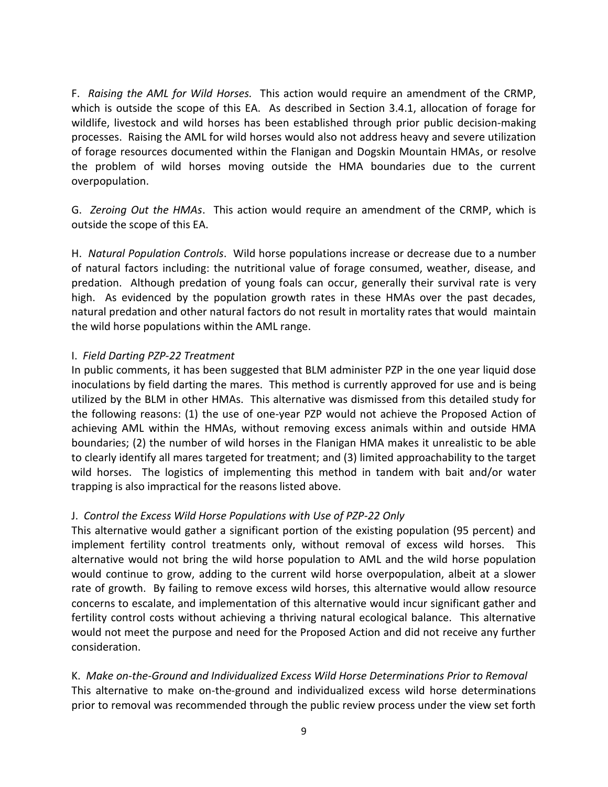F. *Raising the AML for Wild Horses.* This action would require an amendment of the CRMP, which is outside the scope of this EA. As described in Section 3.4.1, allocation of forage for wildlife, livestock and wild horses has been established through prior public decision-making processes. Raising the AML for wild horses would also not address heavy and severe utilization of forage resources documented within the Flanigan and Dogskin Mountain HMAs, or resolve the problem of wild horses moving outside the HMA boundaries due to the current overpopulation.

G. *Zeroing Out the HMAs*. This action would require an amendment of the CRMP, which is outside the scope of this EA.

H. *Natural Population Controls*. Wild horse populations increase or decrease due to a number of natural factors including: the nutritional value of forage consumed, weather, disease, and predation. Although predation of young foals can occur, generally their survival rate is very high. As evidenced by the population growth rates in these HMAs over the past decades, natural predation and other natural factors do not result in mortality rates that would maintain the wild horse populations within the AML range.

#### I. *Field Darting PZP-22 Treatment*

In public comments, it has been suggested that BLM administer PZP in the one year liquid dose inoculations by field darting the mares. This method is currently approved for use and is being utilized by the BLM in other HMAs. This alternative was dismissed from this detailed study for the following reasons: (1) the use of one-year PZP would not achieve the Proposed Action of achieving AML within the HMAs, without removing excess animals within and outside HMA boundaries; (2) the number of wild horses in the Flanigan HMA makes it unrealistic to be able to clearly identify all mares targeted for treatment; and (3) limited approachability to the target wild horses. The logistics of implementing this method in tandem with bait and/or water trapping is also impractical for the reasons listed above.

#### J. *Control the Excess Wild Horse Populations with Use of PZP-22 Only*

This alternative would gather a significant portion of the existing population (95 percent) and implement fertility control treatments only, without removal of excess wild horses. This alternative would not bring the wild horse population to AML and the wild horse population would continue to grow, adding to the current wild horse overpopulation, albeit at a slower rate of growth. By failing to remove excess wild horses, this alternative would allow resource concerns to escalate, and implementation of this alternative would incur significant gather and fertility control costs without achieving a thriving natural ecological balance. This alternative would not meet the purpose and need for the Proposed Action and did not receive any further consideration.

K. *Make on-the-Ground and Individualized Excess Wild Horse Determinations Prior to Removal* This alternative to make on-the-ground and individualized excess wild horse determinations prior to removal was recommended through the public review process under the view set forth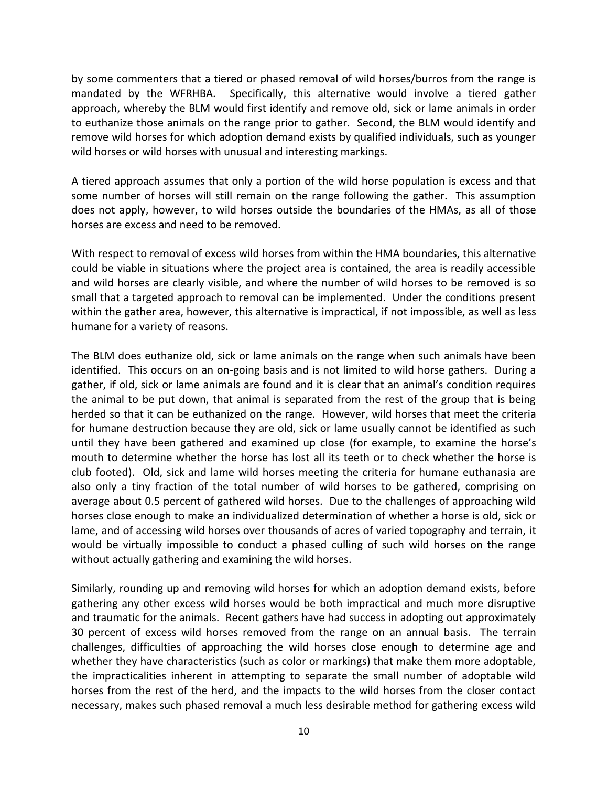by some commenters that a tiered or phased removal of wild horses/burros from the range is mandated by the WFRHBA. Specifically, this alternative would involve a tiered gather approach, whereby the BLM would first identify and remove old, sick or lame animals in order to euthanize those animals on the range prior to gather. Second, the BLM would identify and remove wild horses for which adoption demand exists by qualified individuals, such as younger wild horses or wild horses with unusual and interesting markings.

A tiered approach assumes that only a portion of the wild horse population is excess and that some number of horses will still remain on the range following the gather. This assumption does not apply, however, to wild horses outside the boundaries of the HMAs, as all of those horses are excess and need to be removed.

With respect to removal of excess wild horses from within the HMA boundaries, this alternative could be viable in situations where the project area is contained, the area is readily accessible and wild horses are clearly visible, and where the number of wild horses to be removed is so small that a targeted approach to removal can be implemented. Under the conditions present within the gather area, however, this alternative is impractical, if not impossible, as well as less humane for a variety of reasons.

The BLM does euthanize old, sick or lame animals on the range when such animals have been identified. This occurs on an on-going basis and is not limited to wild horse gathers. During a gather, if old, sick or lame animals are found and it is clear that an animal's condition requires the animal to be put down, that animal is separated from the rest of the group that is being herded so that it can be euthanized on the range. However, wild horses that meet the criteria for humane destruction because they are old, sick or lame usually cannot be identified as such until they have been gathered and examined up close (for example, to examine the horse's mouth to determine whether the horse has lost all its teeth or to check whether the horse is club footed). Old, sick and lame wild horses meeting the criteria for humane euthanasia are also only a tiny fraction of the total number of wild horses to be gathered, comprising on average about 0.5 percent of gathered wild horses. Due to the challenges of approaching wild horses close enough to make an individualized determination of whether a horse is old, sick or lame, and of accessing wild horses over thousands of acres of varied topography and terrain, it would be virtually impossible to conduct a phased culling of such wild horses on the range without actually gathering and examining the wild horses.

Similarly, rounding up and removing wild horses for which an adoption demand exists, before gathering any other excess wild horses would be both impractical and much more disruptive and traumatic for the animals. Recent gathers have had success in adopting out approximately 30 percent of excess wild horses removed from the range on an annual basis. The terrain challenges, difficulties of approaching the wild horses close enough to determine age and whether they have characteristics (such as color or markings) that make them more adoptable, the impracticalities inherent in attempting to separate the small number of adoptable wild horses from the rest of the herd, and the impacts to the wild horses from the closer contact necessary, makes such phased removal a much less desirable method for gathering excess wild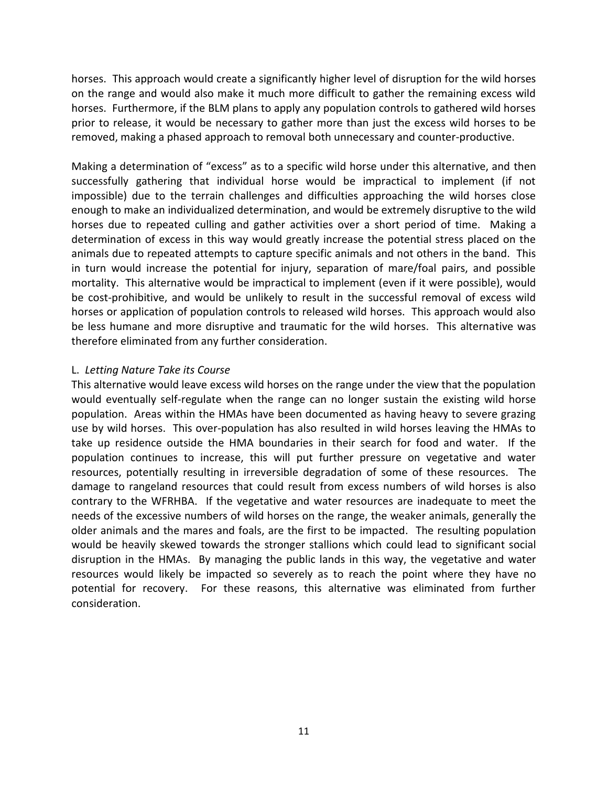horses. This approach would create a significantly higher level of disruption for the wild horses on the range and would also make it much more difficult to gather the remaining excess wild horses. Furthermore, if the BLM plans to apply any population controls to gathered wild horses prior to release, it would be necessary to gather more than just the excess wild horses to be removed, making a phased approach to removal both unnecessary and counter-productive.

Making a determination of "excess" as to a specific wild horse under this alternative, and then successfully gathering that individual horse would be impractical to implement (if not impossible) due to the terrain challenges and difficulties approaching the wild horses close enough to make an individualized determination, and would be extremely disruptive to the wild horses due to repeated culling and gather activities over a short period of time. Making a determination of excess in this way would greatly increase the potential stress placed on the animals due to repeated attempts to capture specific animals and not others in the band. This in turn would increase the potential for injury, separation of mare/foal pairs, and possible mortality. This alternative would be impractical to implement (even if it were possible), would be cost-prohibitive, and would be unlikely to result in the successful removal of excess wild horses or application of population controls to released wild horses. This approach would also be less humane and more disruptive and traumatic for the wild horses. This alternative was therefore eliminated from any further consideration.

#### L. *Letting Nature Take its Course*

This alternative would leave excess wild horses on the range under the view that the population would eventually self-regulate when the range can no longer sustain the existing wild horse population. Areas within the HMAs have been documented as having heavy to severe grazing use by wild horses. This over-population has also resulted in wild horses leaving the HMAs to take up residence outside the HMA boundaries in their search for food and water. If the population continues to increase, this will put further pressure on vegetative and water resources, potentially resulting in irreversible degradation of some of these resources. The damage to rangeland resources that could result from excess numbers of wild horses is also contrary to the WFRHBA. If the vegetative and water resources are inadequate to meet the needs of the excessive numbers of wild horses on the range, the weaker animals, generally the older animals and the mares and foals, are the first to be impacted. The resulting population would be heavily skewed towards the stronger stallions which could lead to significant social disruption in the HMAs. By managing the public lands in this way, the vegetative and water resources would likely be impacted so severely as to reach the point where they have no potential for recovery. For these reasons, this alternative was eliminated from further consideration.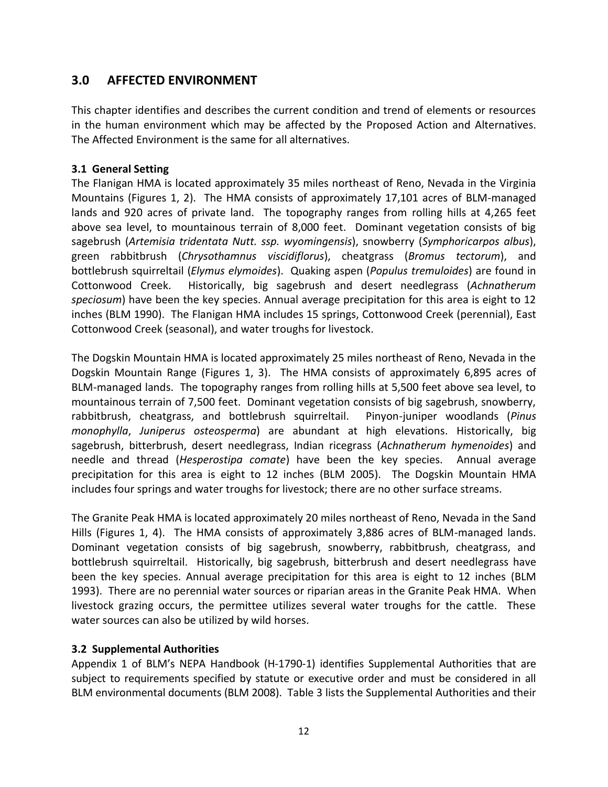# <span id="page-16-0"></span>**3.0 AFFECTED ENVIRONMENT**

This chapter identifies and describes the current condition and trend of elements or resources in the human environment which may be affected by the Proposed Action and Alternatives. The Affected Environment is the same for all alternatives.

#### <span id="page-16-1"></span>**3.1 General Setting**

The Flanigan HMA is located approximately 35 miles northeast of Reno, Nevada in the Virginia Mountains (Figures 1, 2). The HMA consists of approximately 17,101 acres of BLM-managed lands and 920 acres of private land. The topography ranges from rolling hills at 4,265 feet above sea level, to mountainous terrain of 8,000 feet. Dominant vegetation consists of big sagebrush (*Artemisia tridentata Nutt. ssp. wyomingensis*), snowberry (*Symphoricarpos albus*), green rabbitbrush (*Chrysothamnus viscidiflorus*), cheatgrass (*Bromus tectorum*), and bottlebrush squirreltail (*Elymus elymoides*). Quaking aspen (*Populus tremuloides*) are found in Cottonwood Creek. Historically, big sagebrush and desert needlegrass (*Achnatherum speciosum*) have been the key species. Annual average precipitation for this area is eight to 12 inches (BLM 1990). The Flanigan HMA includes 15 springs, Cottonwood Creek (perennial), East Cottonwood Creek (seasonal), and water troughs for livestock.

The Dogskin Mountain HMA is located approximately 25 miles northeast of Reno, Nevada in the Dogskin Mountain Range (Figures 1, 3). The HMA consists of approximately 6,895 acres of BLM-managed lands. The topography ranges from rolling hills at 5,500 feet above sea level, to mountainous terrain of 7,500 feet. Dominant vegetation consists of big sagebrush, snowberry, rabbitbrush, cheatgrass, and bottlebrush squirreltail. Pinyon-juniper woodlands (*Pinus monophylla*, *Juniperus osteosperma*) are abundant at high elevations. Historically, big sagebrush, bitterbrush, desert needlegrass, Indian ricegrass (*Achnatherum hymenoides*) and needle and thread (*Hesperostipa comate*) have been the key species. Annual average precipitation for this area is eight to 12 inches (BLM 2005). The Dogskin Mountain HMA includes four springs and water troughs for livestock; there are no other surface streams.

The Granite Peak HMA is located approximately 20 miles northeast of Reno, Nevada in the Sand Hills (Figures 1, 4). The HMA consists of approximately 3,886 acres of BLM-managed lands. Dominant vegetation consists of big sagebrush, snowberry, rabbitbrush, cheatgrass, and bottlebrush squirreltail. Historically, big sagebrush, bitterbrush and desert needlegrass have been the key species. Annual average precipitation for this area is eight to 12 inches (BLM 1993). There are no perennial water sources or riparian areas in the Granite Peak HMA. When livestock grazing occurs, the permittee utilizes several water troughs for the cattle. These water sources can also be utilized by wild horses.

#### <span id="page-16-2"></span>**3.2 Supplemental Authorities**

Appendix 1 of BLM's NEPA Handbook (H-1790-1) identifies Supplemental Authorities that are subject to requirements specified by statute or executive order and must be considered in all BLM environmental documents (BLM 2008). Table 3 lists the Supplemental Authorities and their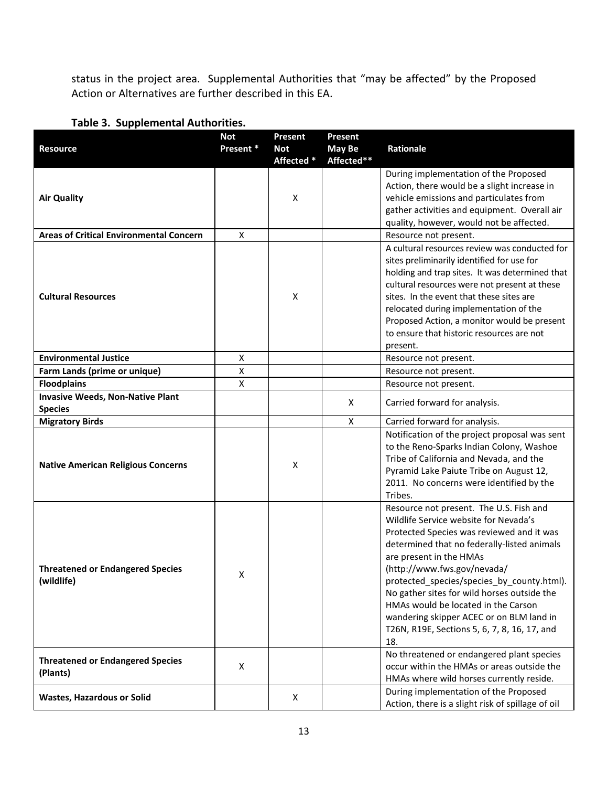status in the project area. Supplemental Authorities that "may be affected" by the Proposed Action or Alternatives are further described in this EA.

|  | Table 3. Supplemental Authorities. |
|--|------------------------------------|
|--|------------------------------------|

|                                                | <b>Not</b>         | <b>Present</b>           | <b>Present</b>       |                                                                           |
|------------------------------------------------|--------------------|--------------------------|----------------------|---------------------------------------------------------------------------|
| <b>Resource</b>                                | Present *          | <b>Not</b><br>Affected * | May Be<br>Affected** | Rationale                                                                 |
|                                                |                    |                          |                      | During implementation of the Proposed                                     |
|                                                |                    |                          |                      | Action, there would be a slight increase in                               |
| <b>Air Quality</b>                             |                    | X                        |                      | vehicle emissions and particulates from                                   |
|                                                |                    |                          |                      | gather activities and equipment. Overall air                              |
|                                                |                    |                          |                      | quality, however, would not be affected.                                  |
| <b>Areas of Critical Environmental Concern</b> | X                  |                          |                      | Resource not present.                                                     |
|                                                |                    |                          |                      | A cultural resources review was conducted for                             |
|                                                |                    |                          |                      | sites preliminarily identified for use for                                |
|                                                |                    |                          |                      | holding and trap sites. It was determined that                            |
|                                                |                    |                          |                      | cultural resources were not present at these                              |
| <b>Cultural Resources</b>                      |                    | X                        |                      | sites. In the event that these sites are                                  |
|                                                |                    |                          |                      | relocated during implementation of the                                    |
|                                                |                    |                          |                      | Proposed Action, a monitor would be present                               |
|                                                |                    |                          |                      | to ensure that historic resources are not                                 |
|                                                |                    |                          |                      | present.                                                                  |
| <b>Environmental Justice</b>                   | $\pmb{\mathsf{X}}$ |                          |                      | Resource not present.                                                     |
| Farm Lands (prime or unique)                   | $\mathsf X$        |                          |                      | Resource not present.                                                     |
| <b>Floodplains</b>                             | $\pmb{\mathsf{X}}$ |                          |                      | Resource not present.                                                     |
| <b>Invasive Weeds, Non-Native Plant</b>        |                    |                          | X                    | Carried forward for analysis.                                             |
| <b>Species</b>                                 |                    |                          |                      |                                                                           |
| <b>Migratory Birds</b>                         |                    |                          | X                    | Carried forward for analysis.                                             |
|                                                |                    |                          |                      | Notification of the project proposal was sent                             |
|                                                |                    |                          |                      | to the Reno-Sparks Indian Colony, Washoe                                  |
| <b>Native American Religious Concerns</b>      |                    | х                        |                      | Tribe of California and Nevada, and the                                   |
|                                                |                    |                          |                      | Pyramid Lake Paiute Tribe on August 12,                                   |
|                                                |                    |                          |                      | 2011. No concerns were identified by the                                  |
|                                                |                    |                          |                      | Tribes.                                                                   |
|                                                |                    |                          |                      | Resource not present. The U.S. Fish and                                   |
|                                                |                    |                          |                      | Wildlife Service website for Nevada's                                     |
|                                                |                    |                          |                      | Protected Species was reviewed and it was                                 |
|                                                |                    |                          |                      | determined that no federally-listed animals                               |
| <b>Threatened or Endangered Species</b>        |                    |                          |                      | are present in the HMAs                                                   |
| (wildlife)                                     | Χ                  |                          |                      | (http://www.fws.gov/nevada/<br>protected_species/species_by_county.html). |
|                                                |                    |                          |                      | No gather sites for wild horses outside the                               |
|                                                |                    |                          |                      | HMAs would be located in the Carson                                       |
|                                                |                    |                          |                      | wandering skipper ACEC or on BLM land in                                  |
|                                                |                    |                          |                      | T26N, R19E, Sections 5, 6, 7, 8, 16, 17, and                              |
|                                                |                    |                          |                      | 18.                                                                       |
|                                                |                    |                          |                      | No threatened or endangered plant species                                 |
| <b>Threatened or Endangered Species</b>        | X                  |                          |                      | occur within the HMAs or areas outside the                                |
| (Plants)                                       |                    |                          |                      | HMAs where wild horses currently reside.                                  |
|                                                |                    |                          |                      | During implementation of the Proposed                                     |
| <b>Wastes, Hazardous or Solid</b>              |                    | X                        |                      | Action, there is a slight risk of spillage of oil                         |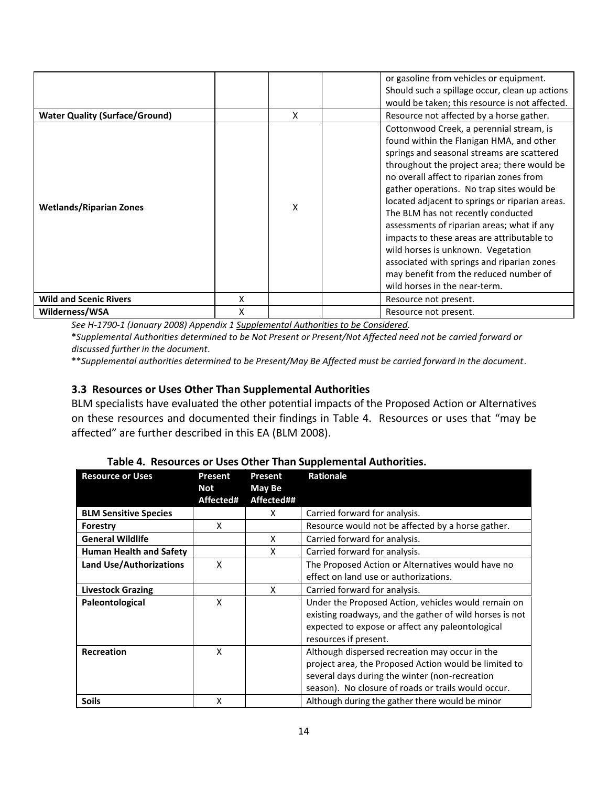| <b>Water Quality (Surface/Ground)</b> |   | x | or gasoline from vehicles or equipment.<br>Should such a spillage occur, clean up actions<br>would be taken; this resource is not affected.<br>Resource not affected by a horse gather.                                                                                                                                                                                                                                                                                                                                                                                                                                       |
|---------------------------------------|---|---|-------------------------------------------------------------------------------------------------------------------------------------------------------------------------------------------------------------------------------------------------------------------------------------------------------------------------------------------------------------------------------------------------------------------------------------------------------------------------------------------------------------------------------------------------------------------------------------------------------------------------------|
| <b>Wetlands/Riparian Zones</b>        |   | x | Cottonwood Creek, a perennial stream, is<br>found within the Flanigan HMA, and other<br>springs and seasonal streams are scattered<br>throughout the project area; there would be<br>no overall affect to riparian zones from<br>gather operations. No trap sites would be<br>located adjacent to springs or riparian areas.<br>The BLM has not recently conducted<br>assessments of riparian areas; what if any<br>impacts to these areas are attributable to<br>wild horses is unknown. Vegetation<br>associated with springs and riparian zones<br>may benefit from the reduced number of<br>wild horses in the near-term. |
| <b>Wild and Scenic Rivers</b>         | X |   | Resource not present.                                                                                                                                                                                                                                                                                                                                                                                                                                                                                                                                                                                                         |
| Wilderness/WSA                        | X |   | Resource not present.                                                                                                                                                                                                                                                                                                                                                                                                                                                                                                                                                                                                         |

*See H-1790-1 (January 2008) Appendix 1 Supplemental Authorities to be Considered.*

\**Supplemental Authorities determined to be Not Present or Present/Not Affected need not be carried forward or discussed further in the document*.

\*\**Supplemental authorities determined to be Present/May Be Affected must be carried forward in the document*.

#### <span id="page-18-0"></span>**3.3 Resources or Uses Other Than Supplemental Authorities**

BLM specialists have evaluated the other potential impacts of the Proposed Action or Alternatives on these resources and documented their findings in Table 4. Resources or uses that "may be affected" are further described in this EA (BLM 2008).

| <b>Resource or Uses</b>             | Present<br>Not | Present<br>May Be | <b>Rationale</b>                                        |
|-------------------------------------|----------------|-------------------|---------------------------------------------------------|
|                                     | Affected#      | Affected##        |                                                         |
| <b>BLM Sensitive Species</b>        |                | X                 | Carried forward for analysis.                           |
| Forestry                            | X              |                   | Resource would not be affected by a horse gather.       |
| <b>General Wildlife</b>             |                | X                 | Carried forward for analysis.                           |
| <b>Human Health and Safety</b>      |                | X                 | Carried forward for analysis.                           |
| <b>Land Use/Authorizations</b><br>X |                |                   | The Proposed Action or Alternatives would have no       |
|                                     |                |                   | effect on land use or authorizations.                   |
| <b>Livestock Grazing</b>            |                | X                 | Carried forward for analysis.                           |
| Paleontological<br>X                |                |                   | Under the Proposed Action, vehicles would remain on     |
|                                     |                |                   | existing roadways, and the gather of wild horses is not |
|                                     |                |                   | expected to expose or affect any paleontological        |
|                                     |                |                   | resources if present.                                   |
| <b>Recreation</b>                   | X              |                   | Although dispersed recreation may occur in the          |
|                                     |                |                   | project area, the Proposed Action would be limited to   |
|                                     |                |                   | several days during the winter (non-recreation          |
|                                     |                |                   | season). No closure of roads or trails would occur.     |
| <b>Soils</b>                        | X              |                   | Although during the gather there would be minor         |

**Table 4. Resources or Uses Other Than Supplemental Authorities.**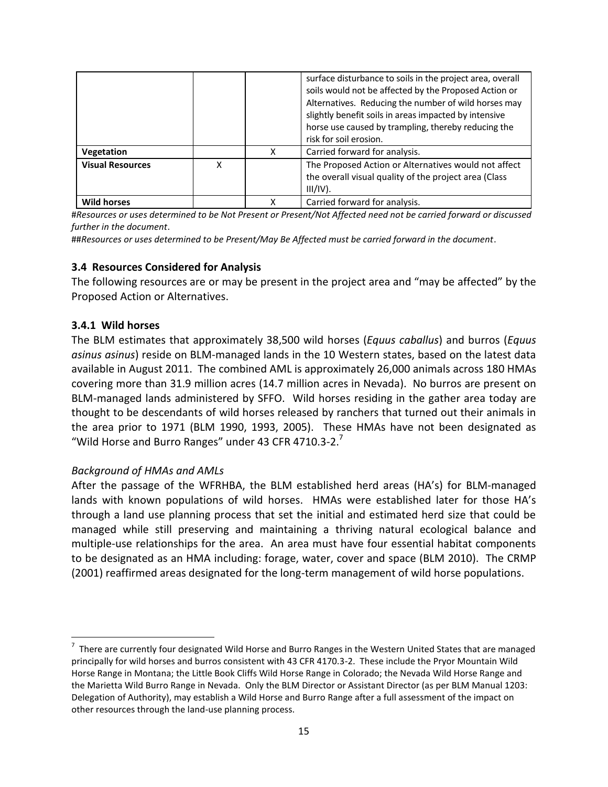|                         |   |   | surface disturbance to soils in the project area, overall<br>soils would not be affected by the Proposed Action or<br>Alternatives. Reducing the number of wild horses may<br>slightly benefit soils in areas impacted by intensive<br>horse use caused by trampling, thereby reducing the<br>risk for soil erosion. |
|-------------------------|---|---|----------------------------------------------------------------------------------------------------------------------------------------------------------------------------------------------------------------------------------------------------------------------------------------------------------------------|
| Vegetation              |   | x | Carried forward for analysis.                                                                                                                                                                                                                                                                                        |
| <b>Visual Resources</b> | x |   | The Proposed Action or Alternatives would not affect<br>the overall visual quality of the project area (Class<br>$III/IV$ ).                                                                                                                                                                                         |
| <b>Wild horses</b>      |   | Χ | Carried forward for analysis.                                                                                                                                                                                                                                                                                        |

#*Resources or uses determined to be Not Present or Present/Not Affected need not be carried forward or discussed further in the document*.

##*Resources or uses determined to be Present/May Be Affected must be carried forward in the document*.

#### <span id="page-19-0"></span>**3.4 Resources Considered for Analysis**

The following resources are or may be present in the project area and "may be affected" by the Proposed Action or Alternatives.

#### <span id="page-19-1"></span>**3.4.1 Wild horses**

 $\overline{a}$ 

The BLM estimates that approximately 38,500 wild horses (*Equus caballus*) and burros (*Equus asinus asinus*) reside on BLM-managed lands in the 10 Western states, based on the latest data available in August 2011. The combined AML is approximately 26,000 animals across 180 HMAs covering more than 31.9 million acres (14.7 million acres in Nevada). No burros are present on BLM-managed lands administered by SFFO. Wild horses residing in the gather area today are thought to be descendants of wild horses released by ranchers that turned out their animals in the area prior to 1971 (BLM 1990, 1993, 2005). These HMAs have not been designated as "Wild Horse and Burro Ranges" under 43 CFR 4710.3-2. $'$ 

#### *Background of HMAs and AMLs*

After the passage of the WFRHBA, the BLM established herd areas (HA's) for BLM-managed lands with known populations of wild horses. HMAs were established later for those HA's through a land use planning process that set the initial and estimated herd size that could be managed while still preserving and maintaining a thriving natural ecological balance and multiple-use relationships for the area. An area must have four essential habitat components to be designated as an HMA including: forage, water, cover and space (BLM 2010). The CRMP (2001) reaffirmed areas designated for the long-term management of wild horse populations.

 $^7$  There are currently four designated Wild Horse and Burro Ranges in the Western United States that are managed principally for wild horses and burros consistent with 43 CFR 4170.3-2. These include the Pryor Mountain Wild Horse Range in Montana; the Little Book Cliffs Wild Horse Range in Colorado; the Nevada Wild Horse Range and the Marietta Wild Burro Range in Nevada. Only the BLM Director or Assistant Director (as per BLM Manual 1203: Delegation of Authority), may establish a Wild Horse and Burro Range after a full assessment of the impact on other resources through the land-use planning process.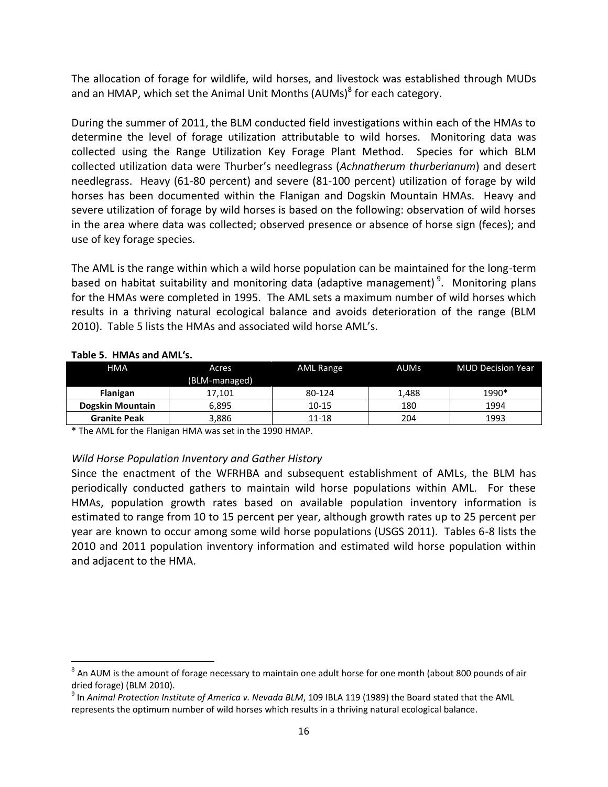The allocation of forage for wildlife, wild horses, and livestock was established through MUDs and an HMAP, which set the Animal Unit Months (AUMs)<sup>8</sup> for each category.

During the summer of 2011, the BLM conducted field investigations within each of the HMAs to determine the level of forage utilization attributable to wild horses. Monitoring data was collected using the Range Utilization Key Forage Plant Method. Species for which BLM collected utilization data were Thurber's needlegrass (*Achnatherum thurberianum*) and desert needlegrass. Heavy (61-80 percent) and severe (81-100 percent) utilization of forage by wild horses has been documented within the Flanigan and Dogskin Mountain HMAs. Heavy and severe utilization of forage by wild horses is based on the following: observation of wild horses in the area where data was collected; observed presence or absence of horse sign (feces); and use of key forage species.

The AML is the range within which a wild horse population can be maintained for the long-term based on habitat suitability and monitoring data (adaptive management)<sup>9</sup>. Monitoring plans for the HMAs were completed in 1995. The AML sets a maximum number of wild horses which results in a thriving natural ecological balance and avoids deterioration of the range (BLM 2010). Table 5 lists the HMAs and associated wild horse AML's.

| <b>HMA</b>              | Acres<br>(BLM-managed) | <b>AML Range</b> | <b>AUMs</b> | <b>MUD Decision Year</b> |
|-------------------------|------------------------|------------------|-------------|--------------------------|
| <b>Flanigan</b>         | 17.101                 | 80-124           | 1.488       | 1990*                    |
| <b>Dogskin Mountain</b> | 6,895                  | $10 - 15$        | 180         | 1994                     |
| <b>Granite Peak</b>     | 3,886                  | 11-18            | 204         | 1993                     |

#### **Table 5. HMAs and AML's.**

 $\overline{a}$ 

\* The AML for the Flanigan HMA was set in the 1990 HMAP.

#### *Wild Horse Population Inventory and Gather History*

Since the enactment of the WFRHBA and subsequent establishment of AMLs, the BLM has periodically conducted gathers to maintain wild horse populations within AML. For these HMAs, population growth rates based on available population inventory information is estimated to range from 10 to 15 percent per year, although growth rates up to 25 percent per year are known to occur among some wild horse populations (USGS 2011). Tables 6-8 lists the 2010 and 2011 population inventory information and estimated wild horse population within and adjacent to the HMA.

 $^8$  An AUM is the amount of forage necessary to maintain one adult horse for one month (about 800 pounds of air dried forage) (BLM 2010).

<sup>9</sup> In *Animal Protection Institute of America v. Nevada BLM*, 109 IBLA 119 (1989) the Board stated that the AML represents the optimum number of wild horses which results in a thriving natural ecological balance.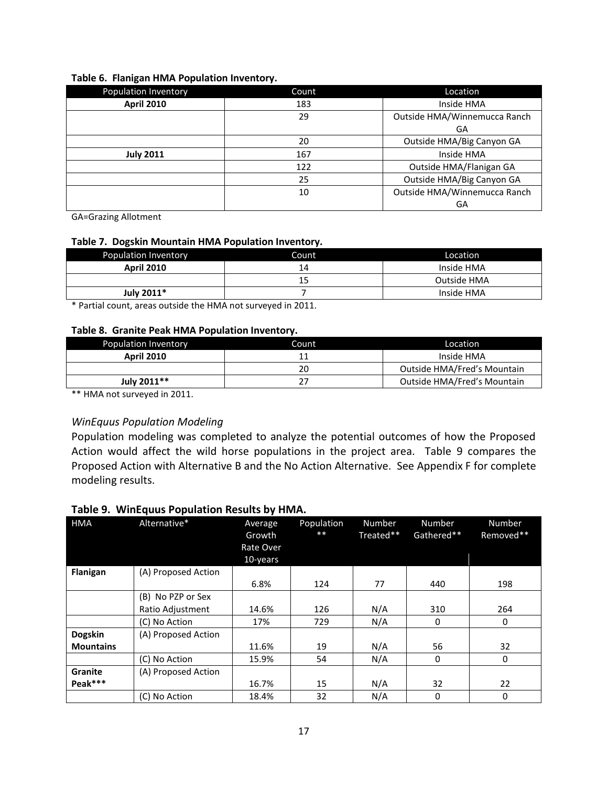| <b>Population Inventory</b> | Count | Location                     |
|-----------------------------|-------|------------------------------|
| <b>April 2010</b>           | 183   | Inside HMA                   |
|                             | 29    | Outside HMA/Winnemucca Ranch |
|                             |       | GA                           |
|                             | 20    | Outside HMA/Big Canyon GA    |
| <b>July 2011</b>            | 167   | Inside HMA                   |
|                             | 122   | Outside HMA/Flanigan GA      |
|                             | 25    | Outside HMA/Big Canyon GA    |
|                             | 10    | Outside HMA/Winnemucca Ranch |
|                             |       | GA                           |

#### **Table 6. Flanigan HMA Population Inventory.**

GA=Grazing Allotment

#### **Table 7. Dogskin Mountain HMA Population Inventory.**

| Population Inventory | Count | Location    |
|----------------------|-------|-------------|
| <b>April 2010</b>    | 14    | Inside HMA  |
|                      | 15    | Outside HMA |
| July 2011*           |       | Inside HMA  |

\* Partial count, areas outside the HMA not surveyed in 2011.

#### **Table 8. Granite Peak HMA Population Inventory.**

| <b>Population Inventory</b> | Count | Location                           |
|-----------------------------|-------|------------------------------------|
| <b>April 2010</b>           |       | Inside HMA                         |
|                             | 20    | Outside HMA/Fred's Mountain        |
| July 2011**                 |       | <b>Outside HMA/Fred's Mountain</b> |

\*\* HMA not surveyed in 2011.

#### *WinEquus Population Modeling*

Population modeling was completed to analyze the potential outcomes of how the Proposed Action would affect the wild horse populations in the project area. Table 9 compares the Proposed Action with Alternative B and the No Action Alternative. See Appendix F for complete modeling results.

#### **Table 9. WinEquus Population Results by HMA.**

| <b>HMA</b>       | Alternative*        | Average<br>Growth<br>Rate Over<br>10-years | Population<br>$**$ | Number<br>Treated** | Number<br>Gathered** | Number<br>Removed** |
|------------------|---------------------|--------------------------------------------|--------------------|---------------------|----------------------|---------------------|
| Flanigan         | (A) Proposed Action |                                            |                    |                     |                      |                     |
|                  |                     | 6.8%                                       | 124                | 77                  | 440                  | 198                 |
|                  | (B) No PZP or Sex   |                                            |                    |                     |                      |                     |
|                  | Ratio Adjustment    | 14.6%                                      | 126                | N/A                 | 310                  | 264                 |
|                  | (C) No Action       | 17%                                        | 729                | N/A                 | 0                    | 0                   |
| <b>Dogskin</b>   | (A) Proposed Action |                                            |                    |                     |                      |                     |
| <b>Mountains</b> |                     | 11.6%                                      | 19                 | N/A                 | 56                   | 32                  |
|                  | (C) No Action       | 15.9%                                      | 54                 | N/A                 | 0                    | 0                   |
| Granite          | (A) Proposed Action |                                            |                    |                     |                      |                     |
| Peak***          |                     | 16.7%                                      | 15                 | N/A                 | 32                   | 22                  |
|                  | (C) No Action       | 18.4%                                      | 32                 | N/A                 | 0                    | 0                   |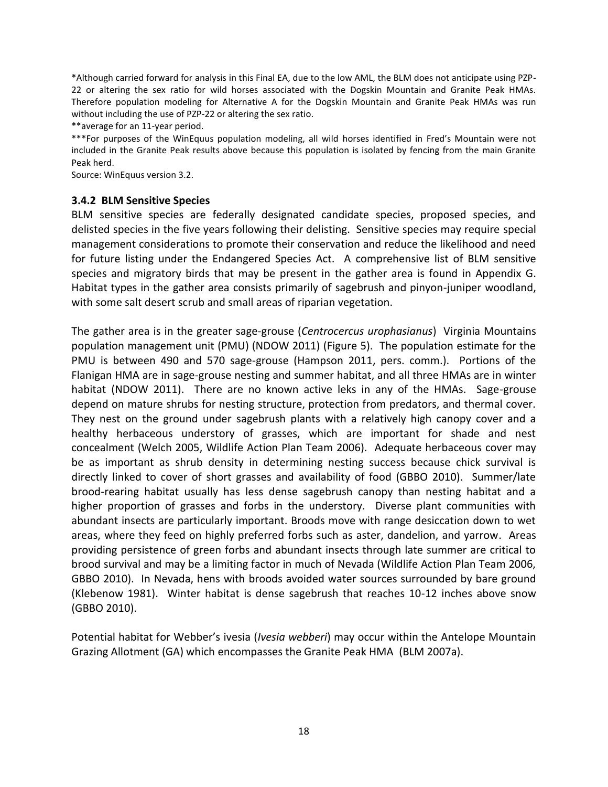\*Although carried forward for analysis in this Final EA, due to the low AML, the BLM does not anticipate using PZP-22 or altering the sex ratio for wild horses associated with the Dogskin Mountain and Granite Peak HMAs. Therefore population modeling for Alternative A for the Dogskin Mountain and Granite Peak HMAs was run without including the use of PZP-22 or altering the sex ratio.

\*\*average for an 11-year period.

\*\*\*For purposes of the WinEquus population modeling, all wild horses identified in Fred's Mountain were not included in the Granite Peak results above because this population is isolated by fencing from the main Granite Peak herd.

Source: WinEquus version 3.2.

#### <span id="page-22-0"></span>**3.4.2 BLM Sensitive Species**

BLM sensitive species are federally designated candidate species, proposed species, and delisted species in the five years following their delisting. Sensitive species may require special management considerations to promote their conservation and reduce the likelihood and need for future listing under the Endangered Species Act. A comprehensive list of BLM sensitive species and migratory birds that may be present in the gather area is found in Appendix G. Habitat types in the gather area consists primarily of sagebrush and pinyon-juniper woodland, with some salt desert scrub and small areas of riparian vegetation.

The gather area is in the greater sage-grouse (*Centrocercus urophasianus*) Virginia Mountains population management unit (PMU) (NDOW 2011) (Figure 5). The population estimate for the PMU is between 490 and 570 sage-grouse (Hampson 2011, pers. comm.). Portions of the Flanigan HMA are in sage-grouse nesting and summer habitat, and all three HMAs are in winter habitat (NDOW 2011). There are no known active leks in any of the HMAs. Sage-grouse depend on mature shrubs for nesting structure, protection from predators, and thermal cover. They nest on the ground under sagebrush plants with a relatively high canopy cover and a healthy herbaceous understory of grasses, which are important for shade and nest concealment (Welch 2005, Wildlife Action Plan Team 2006). Adequate herbaceous cover may be as important as shrub density in determining nesting success because chick survival is directly linked to cover of short grasses and availability of food (GBBO 2010). Summer/late brood-rearing habitat usually has less dense sagebrush canopy than nesting habitat and a higher proportion of grasses and forbs in the understory. Diverse plant communities with abundant insects are particularly important. Broods move with range desiccation down to wet areas, where they feed on highly preferred forbs such as aster, dandelion, and yarrow. Areas providing persistence of green forbs and abundant insects through late summer are critical to brood survival and may be a limiting factor in much of Nevada (Wildlife Action Plan Team 2006, GBBO 2010). In Nevada, hens with broods avoided water sources surrounded by bare ground (Klebenow 1981). Winter habitat is dense sagebrush that reaches 10-12 inches above snow (GBBO 2010).

Potential habitat for Webber's ivesia (*Ivesia webberi*) may occur within the Antelope Mountain Grazing Allotment (GA) which encompasses the Granite Peak HMA (BLM 2007a).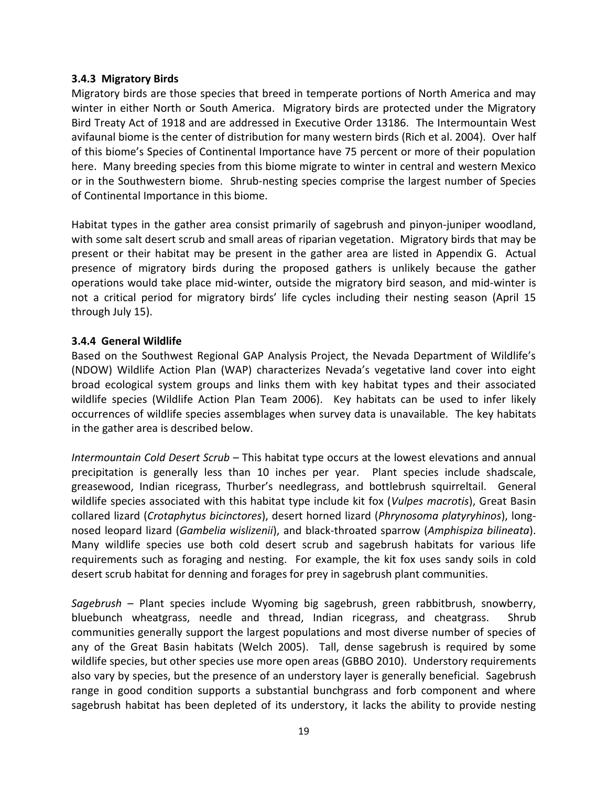#### <span id="page-23-0"></span>**3.4.3 Migratory Birds**

Migratory birds are those species that breed in temperate portions of North America and may winter in either North or South America. Migratory birds are protected under the Migratory Bird Treaty Act of 1918 and are addressed in Executive Order 13186. The Intermountain West avifaunal biome is the center of distribution for many western birds (Rich et al. 2004). Over half of this biome's Species of Continental Importance have 75 percent or more of their population here. Many breeding species from this biome migrate to winter in central and western Mexico or in the Southwestern biome. Shrub-nesting species comprise the largest number of Species of Continental Importance in this biome.

Habitat types in the gather area consist primarily of sagebrush and pinyon-juniper woodland, with some salt desert scrub and small areas of riparian vegetation. Migratory birds that may be present or their habitat may be present in the gather area are listed in Appendix G. Actual presence of migratory birds during the proposed gathers is unlikely because the gather operations would take place mid-winter, outside the migratory bird season, and mid-winter is not a critical period for migratory birds' life cycles including their nesting season (April 15 through July 15).

#### <span id="page-23-1"></span>**3.4.4 General Wildlife**

Based on the Southwest Regional GAP Analysis Project, the Nevada Department of Wildlife's (NDOW) Wildlife Action Plan (WAP) characterizes Nevada's vegetative land cover into eight broad ecological system groups and links them with key habitat types and their associated wildlife species (Wildlife Action Plan Team 2006). Key habitats can be used to infer likely occurrences of wildlife species assemblages when survey data is unavailable. The key habitats in the gather area is described below.

*Intermountain Cold Desert Scrub* – This habitat type occurs at the lowest elevations and annual precipitation is generally less than 10 inches per year. Plant species include shadscale, greasewood, Indian ricegrass, Thurber's needlegrass, and bottlebrush squirreltail. General wildlife species associated with this habitat type include kit fox (*Vulpes macrotis*), Great Basin collared lizard (*Crotaphytus bicinctores*), desert horned lizard (*Phrynosoma platyryhinos*), longnosed leopard lizard (*Gambelia wislizenii*), and black-throated sparrow (*Amphispiza bilineata*). Many wildlife species use both cold desert scrub and sagebrush habitats for various life requirements such as foraging and nesting. For example, the kit fox uses sandy soils in cold desert scrub habitat for denning and forages for prey in sagebrush plant communities.

*Sagebrush* – Plant species include Wyoming big sagebrush, green rabbitbrush, snowberry, bluebunch wheatgrass, needle and thread, Indian ricegrass, and cheatgrass. Shrub communities generally support the largest populations and most diverse number of species of any of the Great Basin habitats (Welch 2005). Tall, dense sagebrush is required by some wildlife species, but other species use more open areas (GBBO 2010). Understory requirements also vary by species, but the presence of an understory layer is generally beneficial. Sagebrush range in good condition supports a substantial bunchgrass and forb component and where sagebrush habitat has been depleted of its understory, it lacks the ability to provide nesting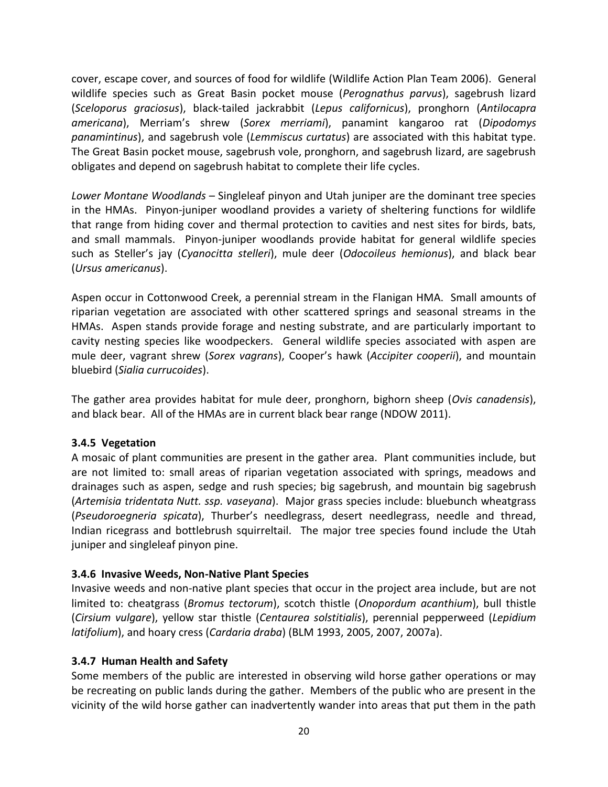cover, escape cover, and sources of food for wildlife (Wildlife Action Plan Team 2006). General wildlife species such as Great Basin pocket mouse (*Perognathus parvus*), sagebrush lizard (*Sceloporus graciosus*), black-tailed jackrabbit (*Lepus californicus*), pronghorn (*Antilocapra americana*), Merriam's shrew (*Sorex merriami*), panamint kangaroo rat (*Dipodomys panamintinus*), and sagebrush vole (*Lemmiscus curtatus*) are associated with this habitat type. The Great Basin pocket mouse, sagebrush vole, pronghorn, and sagebrush lizard, are sagebrush obligates and depend on sagebrush habitat to complete their life cycles.

*Lower Montane Woodlands* – Singleleaf pinyon and Utah juniper are the dominant tree species in the HMAs. Pinyon-juniper woodland provides a variety of sheltering functions for wildlife that range from hiding cover and thermal protection to cavities and nest sites for birds, bats, and small mammals. Pinyon-juniper woodlands provide habitat for general wildlife species such as Steller's jay (*Cyanocitta stelleri*), mule deer (*Odocoileus hemionus*), and black bear (*Ursus americanus*).

Aspen occur in Cottonwood Creek, a perennial stream in the Flanigan HMA. Small amounts of riparian vegetation are associated with other scattered springs and seasonal streams in the HMAs. Aspen stands provide forage and nesting substrate, and are particularly important to cavity nesting species like woodpeckers. General wildlife species associated with aspen are mule deer, vagrant shrew (*Sorex vagrans*), Cooper's hawk (*Accipiter cooperii*), and mountain bluebird (*Sialia currucoides*).

The gather area provides habitat for mule deer, pronghorn, bighorn sheep (*Ovis canadensis*), and black bear. All of the HMAs are in current black bear range (NDOW 2011).

#### <span id="page-24-0"></span>**3.4.5 Vegetation**

A mosaic of plant communities are present in the gather area. Plant communities include, but are not limited to: small areas of riparian vegetation associated with springs, meadows and drainages such as aspen, sedge and rush species; big sagebrush, and mountain big sagebrush (*Artemisia tridentata Nutt. ssp. vaseyana*). Major grass species include: bluebunch wheatgrass (*Pseudoroegneria spicata*), Thurber's needlegrass, desert needlegrass, needle and thread, Indian ricegrass and bottlebrush squirreltail. The major tree species found include the Utah juniper and singleleaf pinyon pine.

#### <span id="page-24-1"></span>**3.4.6 Invasive Weeds, Non-Native Plant Species**

Invasive weeds and non-native plant species that occur in the project area include, but are not limited to: cheatgrass (*Bromus tectorum*), scotch thistle (*Onopordum acanthium*), bull thistle (*Cirsium vulgare*), yellow star thistle (*Centaurea solstitialis*), perennial pepperweed (*Lepidium latifolium*), and hoary cress (*Cardaria draba*) (BLM 1993, 2005, 2007, 2007a).

#### <span id="page-24-2"></span>**3.4.7 Human Health and Safety**

Some members of the public are interested in observing wild horse gather operations or may be recreating on public lands during the gather. Members of the public who are present in the vicinity of the wild horse gather can inadvertently wander into areas that put them in the path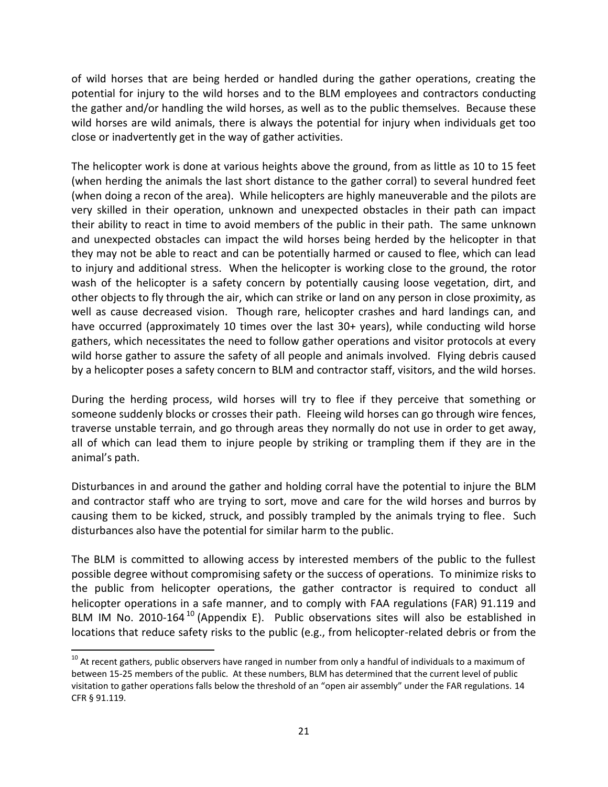of wild horses that are being herded or handled during the gather operations, creating the potential for injury to the wild horses and to the BLM employees and contractors conducting the gather and/or handling the wild horses, as well as to the public themselves. Because these wild horses are wild animals, there is always the potential for injury when individuals get too close or inadvertently get in the way of gather activities.

The helicopter work is done at various heights above the ground, from as little as 10 to 15 feet (when herding the animals the last short distance to the gather corral) to several hundred feet (when doing a recon of the area). While helicopters are highly maneuverable and the pilots are very skilled in their operation, unknown and unexpected obstacles in their path can impact their ability to react in time to avoid members of the public in their path. The same unknown and unexpected obstacles can impact the wild horses being herded by the helicopter in that they may not be able to react and can be potentially harmed or caused to flee, which can lead to injury and additional stress. When the helicopter is working close to the ground, the rotor wash of the helicopter is a safety concern by potentially causing loose vegetation, dirt, and other objects to fly through the air, which can strike or land on any person in close proximity, as well as cause decreased vision. Though rare, helicopter crashes and hard landings can, and have occurred (approximately 10 times over the last 30+ years), while conducting wild horse gathers, which necessitates the need to follow gather operations and visitor protocols at every wild horse gather to assure the safety of all people and animals involved. Flying debris caused by a helicopter poses a safety concern to BLM and contractor staff, visitors, and the wild horses.

During the herding process, wild horses will try to flee if they perceive that something or someone suddenly blocks or crosses their path. Fleeing wild horses can go through wire fences, traverse unstable terrain, and go through areas they normally do not use in order to get away, all of which can lead them to injure people by striking or trampling them if they are in the animal's path.

Disturbances in and around the gather and holding corral have the potential to injure the BLM and contractor staff who are trying to sort, move and care for the wild horses and burros by causing them to be kicked, struck, and possibly trampled by the animals trying to flee. Such disturbances also have the potential for similar harm to the public.

The BLM is committed to allowing access by interested members of the public to the fullest possible degree without compromising safety or the success of operations. To minimize risks to the public from helicopter operations, the gather contractor is required to conduct all helicopter operations in a safe manner, and to comply with FAA regulations (FAR) 91.119 and BLM IM No. 2010-164 $^{10}$  (Appendix E). Public observations sites will also be established in locations that reduce safety risks to the public (e.g., from helicopter-related debris or from the

l

 $10$  At recent gathers, public observers have ranged in number from only a handful of individuals to a maximum of between 15-25 members of the public. At these numbers, BLM has determined that the current level of public visitation to gather operations falls below the threshold of an "open air assembly" under the FAR regulations. 14 CFR § 91.119.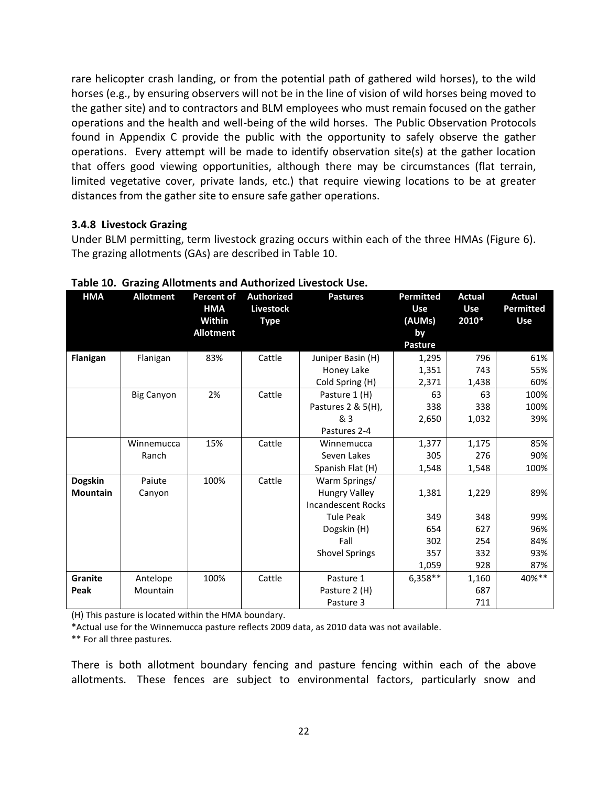rare helicopter crash landing, or from the potential path of gathered wild horses), to the wild horses (e.g., by ensuring observers will not be in the line of vision of wild horses being moved to the gather site) and to contractors and BLM employees who must remain focused on the gather operations and the health and well-being of the wild horses. The Public Observation Protocols found in Appendix C provide the public with the opportunity to safely observe the gather operations. Every attempt will be made to identify observation site(s) at the gather location that offers good viewing opportunities, although there may be circumstances (flat terrain, limited vegetative cover, private lands, etc.) that require viewing locations to be at greater distances from the gather site to ensure safe gather operations.

#### <span id="page-26-0"></span>**3.4.8 Livestock Grazing**

Under BLM permitting, term livestock grazing occurs within each of the three HMAs (Figure 6). The grazing allotments (GAs) are described in Table 10.

| <b>HMA</b>      | <b>Allotment</b>  | <b>Percent of</b><br><b>HMA</b><br>Within | <b>Authorized</b><br><b>Livestock</b><br><b>Type</b> | <b>Pastures</b>           | <b>Permitted</b><br>Use<br>(AUMs) | <b>Actual</b><br><b>Use</b><br>2010* | <b>Actual</b><br><b>Permitted</b><br><b>Use</b> |
|-----------------|-------------------|-------------------------------------------|------------------------------------------------------|---------------------------|-----------------------------------|--------------------------------------|-------------------------------------------------|
|                 |                   | <b>Allotment</b>                          |                                                      |                           | by<br><b>Pasture</b>              |                                      |                                                 |
| Flanigan        | Flanigan          | 83%                                       | Cattle                                               | Juniper Basin (H)         | 1,295                             | 796                                  | 61%                                             |
|                 |                   |                                           |                                                      | Honey Lake                | 1,351                             | 743                                  | 55%                                             |
|                 |                   |                                           |                                                      | Cold Spring (H)           | 2,371                             | 1,438                                | 60%                                             |
|                 | <b>Big Canyon</b> | 2%                                        | Cattle                                               | Pasture 1 (H)             | 63                                | 63                                   | 100%                                            |
|                 |                   |                                           |                                                      | Pastures 2 & 5(H),        | 338                               | 338                                  | 100%                                            |
|                 |                   |                                           |                                                      | & 3                       | 2,650                             | 1,032                                | 39%                                             |
|                 |                   |                                           |                                                      | Pastures 2-4              |                                   |                                      |                                                 |
|                 | Winnemucca        | 15%                                       | Cattle                                               | Winnemucca                | 1,377                             | 1,175                                | 85%                                             |
|                 | Ranch             |                                           |                                                      | Seven Lakes               | 305                               | 276                                  | 90%                                             |
|                 |                   |                                           |                                                      | Spanish Flat (H)          | 1,548                             | 1,548                                | 100%                                            |
| <b>Dogskin</b>  | Paiute            | 100%                                      | Cattle                                               | Warm Springs/             |                                   |                                      |                                                 |
| <b>Mountain</b> | Canyon            |                                           |                                                      | <b>Hungry Valley</b>      | 1,381                             | 1,229                                | 89%                                             |
|                 |                   |                                           |                                                      | <b>Incandescent Rocks</b> |                                   |                                      |                                                 |
|                 |                   |                                           |                                                      | <b>Tule Peak</b>          | 349                               | 348                                  | 99%                                             |
|                 |                   |                                           |                                                      | Dogskin (H)               | 654                               | 627                                  | 96%                                             |
|                 |                   |                                           |                                                      | Fall                      | 302                               | 254                                  | 84%                                             |
|                 |                   |                                           |                                                      | <b>Shovel Springs</b>     | 357                               | 332                                  | 93%                                             |
|                 |                   |                                           |                                                      |                           | 1,059                             | 928                                  | 87%                                             |
| <b>Granite</b>  | Antelope          | 100%                                      | Cattle                                               | Pasture 1                 | $6,358**$                         | 1,160                                | 40%**                                           |
| Peak            | Mountain          |                                           |                                                      | Pasture 2 (H)             |                                   | 687                                  |                                                 |
|                 |                   |                                           |                                                      | Pasture 3                 |                                   | 711                                  |                                                 |

**Table 10. Grazing Allotments and Authorized Livestock Use.**

(H) This pasture is located within the HMA boundary.

\*Actual use for the Winnemucca pasture reflects 2009 data, as 2010 data was not available.

\*\* For all three pastures.

There is both allotment boundary fencing and pasture fencing within each of the above allotments. These fences are subject to environmental factors, particularly snow and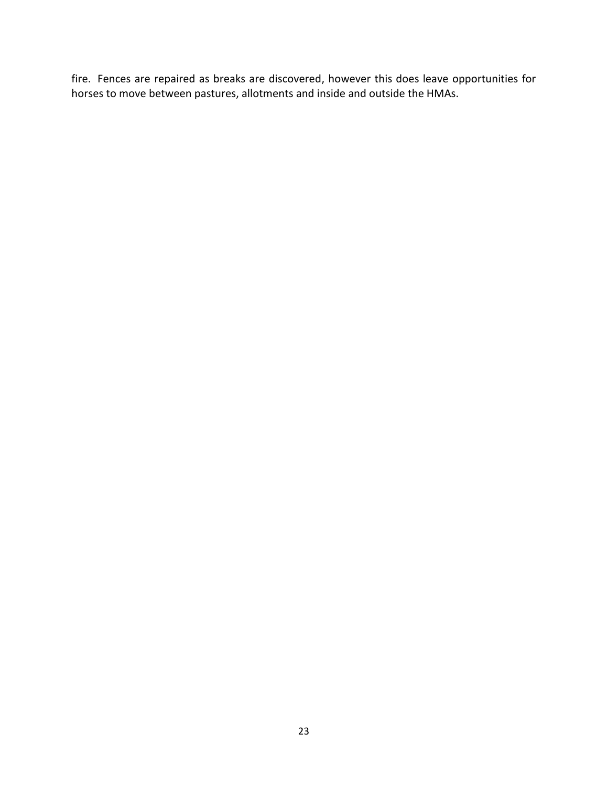fire. Fences are repaired as breaks are discovered, however this does leave opportunities for horses to move between pastures, allotments and inside and outside the HMAs.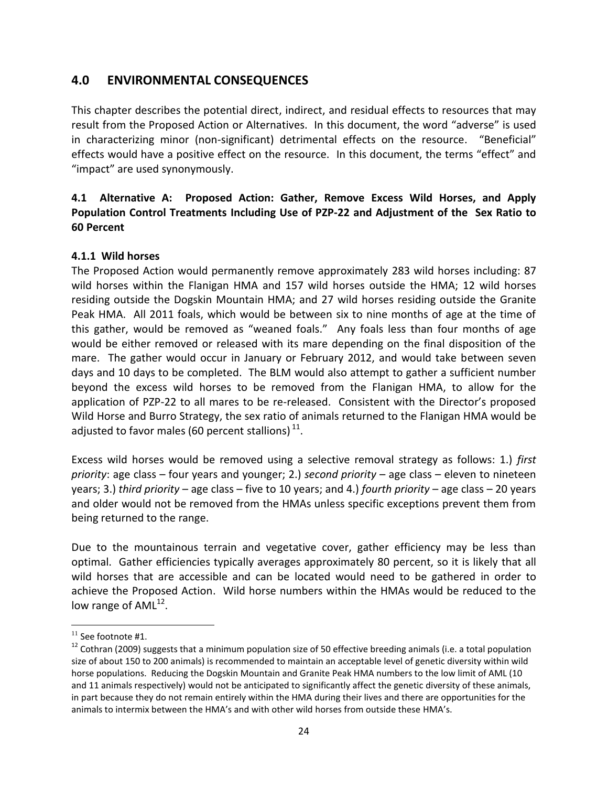# <span id="page-28-0"></span>**4.0 ENVIRONMENTAL CONSEQUENCES**

This chapter describes the potential direct, indirect, and residual effects to resources that may result from the Proposed Action or Alternatives. In this document, the word "adverse" is used in characterizing minor (non-significant) detrimental effects on the resource. "Beneficial" effects would have a positive effect on the resource. In this document, the terms "effect" and "impact" are used synonymously.

## <span id="page-28-1"></span>**4.1 Alternative A: Proposed Action: Gather, Remove Excess Wild Horses, and Apply Population Control Treatments Including Use of PZP-22 and Adjustment of the Sex Ratio to 60 Percent**

#### <span id="page-28-2"></span>**4.1.1 Wild horses**

The Proposed Action would permanently remove approximately 283 wild horses including: 87 wild horses within the Flanigan HMA and 157 wild horses outside the HMA; 12 wild horses residing outside the Dogskin Mountain HMA; and 27 wild horses residing outside the Granite Peak HMA. All 2011 foals, which would be between six to nine months of age at the time of this gather, would be removed as "weaned foals." Any foals less than four months of age would be either removed or released with its mare depending on the final disposition of the mare. The gather would occur in January or February 2012, and would take between seven days and 10 days to be completed. The BLM would also attempt to gather a sufficient number beyond the excess wild horses to be removed from the Flanigan HMA, to allow for the application of PZP-22 to all mares to be re-released. Consistent with the Director's proposed Wild Horse and Burro Strategy, the sex ratio of animals returned to the Flanigan HMA would be adjusted to favor males (60 percent stallions)  $^{11}$ .

Excess wild horses would be removed using a selective removal strategy as follows: 1.) *first priority*: age class – four years and younger; 2.) *second priority* – age class – eleven to nineteen years; 3.) *third priority* – age class – five to 10 years; and 4.) *fourth priority* – age class – 20 years and older would not be removed from the HMAs unless specific exceptions prevent them from being returned to the range.

Due to the mountainous terrain and vegetative cover, gather efficiency may be less than optimal. Gather efficiencies typically averages approximately 80 percent, so it is likely that all wild horses that are accessible and can be located would need to be gathered in order to achieve the Proposed Action. Wild horse numbers within the HMAs would be reduced to the low range of  $AML^{12}$ .

 $\overline{\phantom{a}}$ 

<sup>&</sup>lt;sup>11</sup> See footnote #1.

 $12$  Cothran (2009) suggests that a minimum population size of 50 effective breeding animals (i.e. a total population size of about 150 to 200 animals) is recommended to maintain an acceptable level of genetic diversity within wild horse populations. Reducing the Dogskin Mountain and Granite Peak HMA numbers to the low limit of AML (10 and 11 animals respectively) would not be anticipated to significantly affect the genetic diversity of these animals, in part because they do not remain entirely within the HMA during their lives and there are opportunities for the animals to intermix between the HMA's and with other wild horses from outside these HMA's.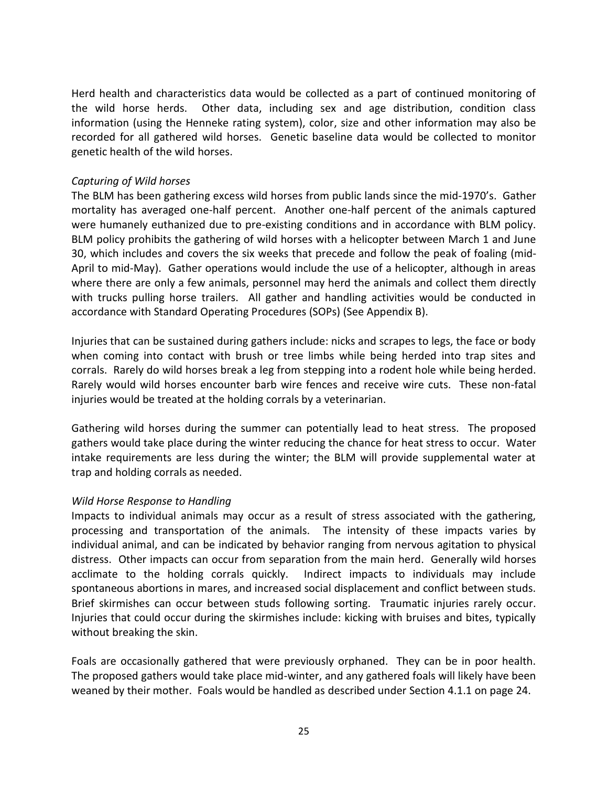Herd health and characteristics data would be collected as a part of continued monitoring of the wild horse herds. Other data, including sex and age distribution, condition class information (using the Henneke rating system), color, size and other information may also be recorded for all gathered wild horses. Genetic baseline data would be collected to monitor genetic health of the wild horses.

#### *Capturing of Wild horses*

The BLM has been gathering excess wild horses from public lands since the mid-1970's. Gather mortality has averaged one-half percent. Another one-half percent of the animals captured were humanely euthanized due to pre-existing conditions and in accordance with BLM policy. BLM policy prohibits the gathering of wild horses with a helicopter between March 1 and June 30, which includes and covers the six weeks that precede and follow the peak of foaling (mid-April to mid-May). Gather operations would include the use of a helicopter, although in areas where there are only a few animals, personnel may herd the animals and collect them directly with trucks pulling horse trailers. All gather and handling activities would be conducted in accordance with Standard Operating Procedures (SOPs) (See Appendix B).

Injuries that can be sustained during gathers include: nicks and scrapes to legs, the face or body when coming into contact with brush or tree limbs while being herded into trap sites and corrals. Rarely do wild horses break a leg from stepping into a rodent hole while being herded. Rarely would wild horses encounter barb wire fences and receive wire cuts. These non-fatal injuries would be treated at the holding corrals by a veterinarian.

Gathering wild horses during the summer can potentially lead to heat stress. The proposed gathers would take place during the winter reducing the chance for heat stress to occur. Water intake requirements are less during the winter; the BLM will provide supplemental water at trap and holding corrals as needed.

#### *Wild Horse Response to Handling*

Impacts to individual animals may occur as a result of stress associated with the gathering, processing and transportation of the animals. The intensity of these impacts varies by individual animal, and can be indicated by behavior ranging from nervous agitation to physical distress. Other impacts can occur from separation from the main herd. Generally wild horses acclimate to the holding corrals quickly. Indirect impacts to individuals may include spontaneous abortions in mares, and increased social displacement and conflict between studs. Brief skirmishes can occur between studs following sorting. Traumatic injuries rarely occur. Injuries that could occur during the skirmishes include: kicking with bruises and bites, typically without breaking the skin.

Foals are occasionally gathered that were previously orphaned. They can be in poor health. The proposed gathers would take place mid-winter, and any gathered foals will likely have been weaned by their mother. Foals would be handled as described under Section 4.1.1 on page 24.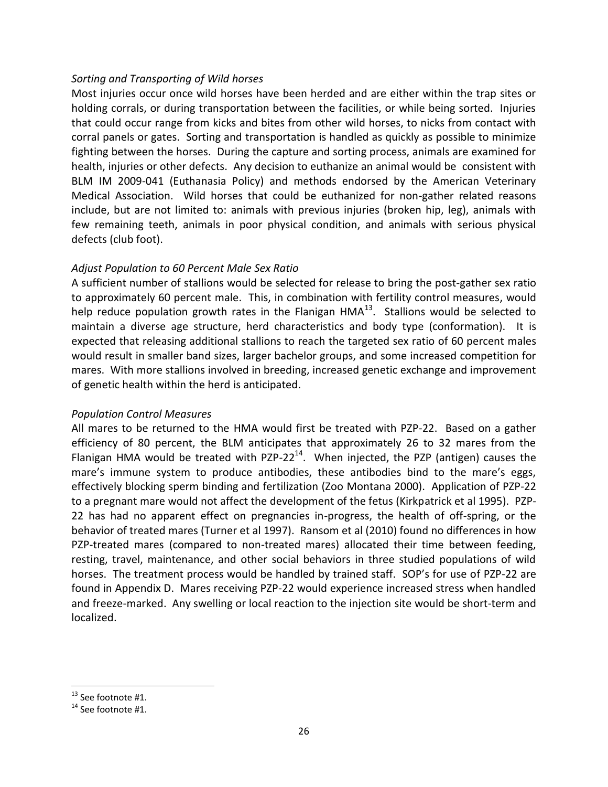#### *Sorting and Transporting of Wild horses*

Most injuries occur once wild horses have been herded and are either within the trap sites or holding corrals, or during transportation between the facilities, or while being sorted. Injuries that could occur range from kicks and bites from other wild horses, to nicks from contact with corral panels or gates. Sorting and transportation is handled as quickly as possible to minimize fighting between the horses. During the capture and sorting process, animals are examined for health, injuries or other defects. Any decision to euthanize an animal would be consistent with BLM IM 2009-041 (Euthanasia Policy) and methods endorsed by the American Veterinary Medical Association. Wild horses that could be euthanized for non-gather related reasons include, but are not limited to: animals with previous injuries (broken hip, leg), animals with few remaining teeth, animals in poor physical condition, and animals with serious physical defects (club foot).

#### *Adjust Population to 60 Percent Male Sex Ratio*

A sufficient number of stallions would be selected for release to bring the post-gather sex ratio to approximately 60 percent male. This, in combination with fertility control measures, would help reduce population growth rates in the Flanigan  $HMA^{13}$ . Stallions would be selected to maintain a diverse age structure, herd characteristics and body type (conformation). It is expected that releasing additional stallions to reach the targeted sex ratio of 60 percent males would result in smaller band sizes, larger bachelor groups, and some increased competition for mares. With more stallions involved in breeding, increased genetic exchange and improvement of genetic health within the herd is anticipated.

#### *Population Control Measures*

All mares to be returned to the HMA would first be treated with PZP-22. Based on a gather efficiency of 80 percent, the BLM anticipates that approximately 26 to 32 mares from the Flanigan HMA would be treated with PZP-22<sup>14</sup>. When injected, the PZP (antigen) causes the mare's immune system to produce antibodies, these antibodies bind to the mare's eggs, effectively blocking sperm binding and fertilization (Zoo Montana 2000). Application of PZP-22 to a pregnant mare would not affect the development of the fetus (Kirkpatrick et al 1995). PZP-22 has had no apparent effect on pregnancies in-progress, the health of off-spring, or the behavior of treated mares (Turner et al 1997). Ransom et al (2010) found no differences in how PZP-treated mares (compared to non-treated mares) allocated their time between feeding, resting, travel, maintenance, and other social behaviors in three studied populations of wild horses. The treatment process would be handled by trained staff. SOP's for use of PZP-22 are found in Appendix D. Mares receiving PZP-22 would experience increased stress when handled and freeze-marked. Any swelling or local reaction to the injection site would be short-term and localized.

l

 $13$  See footnote #1.

<sup>&</sup>lt;sup>14</sup> See footnote #1.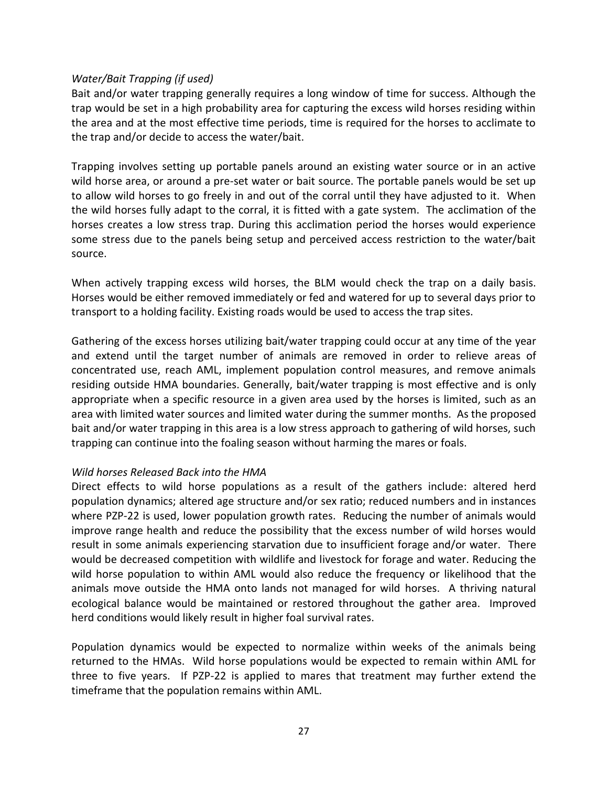#### *Water/Bait Trapping (if used)*

Bait and/or water trapping generally requires a long window of time for success. Although the trap would be set in a high probability area for capturing the excess wild horses residing within the area and at the most effective time periods, time is required for the horses to acclimate to the trap and/or decide to access the water/bait.

Trapping involves setting up portable panels around an existing water source or in an active wild horse area, or around a pre-set water or bait source. The portable panels would be set up to allow wild horses to go freely in and out of the corral until they have adjusted to it. When the wild horses fully adapt to the corral, it is fitted with a gate system. The acclimation of the horses creates a low stress trap. During this acclimation period the horses would experience some stress due to the panels being setup and perceived access restriction to the water/bait source.

When actively trapping excess wild horses, the BLM would check the trap on a daily basis. Horses would be either removed immediately or fed and watered for up to several days prior to transport to a holding facility. Existing roads would be used to access the trap sites.

Gathering of the excess horses utilizing bait/water trapping could occur at any time of the year and extend until the target number of animals are removed in order to relieve areas of concentrated use, reach AML, implement population control measures, and remove animals residing outside HMA boundaries. Generally, bait/water trapping is most effective and is only appropriate when a specific resource in a given area used by the horses is limited, such as an area with limited water sources and limited water during the summer months. As the proposed bait and/or water trapping in this area is a low stress approach to gathering of wild horses, such trapping can continue into the foaling season without harming the mares or foals.

#### *Wild horses Released Back into the HMA*

Direct effects to wild horse populations as a result of the gathers include: altered herd population dynamics; altered age structure and/or sex ratio; reduced numbers and in instances where PZP-22 is used, lower population growth rates. Reducing the number of animals would improve range health and reduce the possibility that the excess number of wild horses would result in some animals experiencing starvation due to insufficient forage and/or water. There would be decreased competition with wildlife and livestock for forage and water. Reducing the wild horse population to within AML would also reduce the frequency or likelihood that the animals move outside the HMA onto lands not managed for wild horses. A thriving natural ecological balance would be maintained or restored throughout the gather area. Improved herd conditions would likely result in higher foal survival rates.

Population dynamics would be expected to normalize within weeks of the animals being returned to the HMAs. Wild horse populations would be expected to remain within AML for three to five years. If PZP-22 is applied to mares that treatment may further extend the timeframe that the population remains within AML.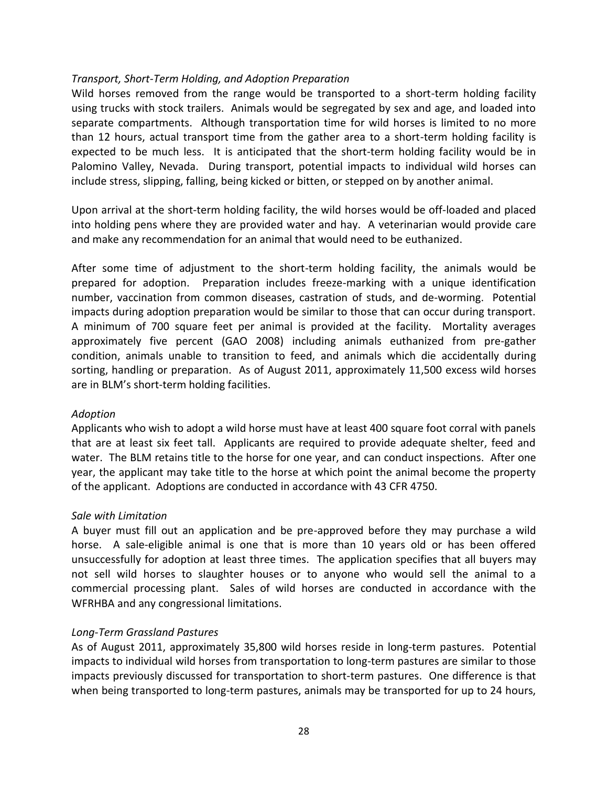#### *Transport, Short-Term Holding, and Adoption Preparation*

Wild horses removed from the range would be transported to a short-term holding facility using trucks with stock trailers. Animals would be segregated by sex and age, and loaded into separate compartments. Although transportation time for wild horses is limited to no more than 12 hours, actual transport time from the gather area to a short-term holding facility is expected to be much less. It is anticipated that the short-term holding facility would be in Palomino Valley, Nevada. During transport, potential impacts to individual wild horses can include stress, slipping, falling, being kicked or bitten, or stepped on by another animal.

Upon arrival at the short-term holding facility, the wild horses would be off-loaded and placed into holding pens where they are provided water and hay. A veterinarian would provide care and make any recommendation for an animal that would need to be euthanized.

After some time of adjustment to the short-term holding facility, the animals would be prepared for adoption. Preparation includes freeze-marking with a unique identification number, vaccination from common diseases, castration of studs, and de-worming. Potential impacts during adoption preparation would be similar to those that can occur during transport. A minimum of 700 square feet per animal is provided at the facility. Mortality averages approximately five percent (GAO 2008) including animals euthanized from pre-gather condition, animals unable to transition to feed, and animals which die accidentally during sorting, handling or preparation. As of August 2011, approximately 11,500 excess wild horses are in BLM's short-term holding facilities.

#### *Adoption*

Applicants who wish to adopt a wild horse must have at least 400 square foot corral with panels that are at least six feet tall. Applicants are required to provide adequate shelter, feed and water. The BLM retains title to the horse for one year, and can conduct inspections. After one year, the applicant may take title to the horse at which point the animal become the property of the applicant. Adoptions are conducted in accordance with 43 CFR 4750.

#### *Sale with Limitation*

A buyer must fill out an application and be pre-approved before they may purchase a wild horse. A sale-eligible animal is one that is more than 10 years old or has been offered unsuccessfully for adoption at least three times. The application specifies that all buyers may not sell wild horses to slaughter houses or to anyone who would sell the animal to a commercial processing plant. Sales of wild horses are conducted in accordance with the WFRHBA and any congressional limitations.

#### *Long-Term Grassland Pastures*

As of August 2011, approximately 35,800 wild horses reside in long-term pastures. Potential impacts to individual wild horses from transportation to long-term pastures are similar to those impacts previously discussed for transportation to short-term pastures. One difference is that when being transported to long-term pastures, animals may be transported for up to 24 hours,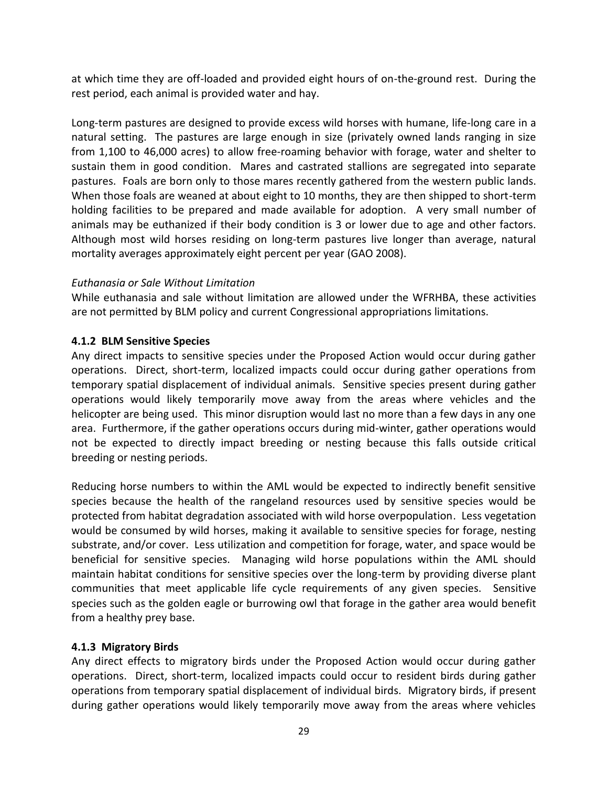at which time they are off-loaded and provided eight hours of on-the-ground rest. During the rest period, each animal is provided water and hay.

Long-term pastures are designed to provide excess wild horses with humane, life-long care in a natural setting. The pastures are large enough in size (privately owned lands ranging in size from 1,100 to 46,000 acres) to allow free-roaming behavior with forage, water and shelter to sustain them in good condition. Mares and castrated stallions are segregated into separate pastures. Foals are born only to those mares recently gathered from the western public lands. When those foals are weaned at about eight to 10 months, they are then shipped to short-term holding facilities to be prepared and made available for adoption. A very small number of animals may be euthanized if their body condition is 3 or lower due to age and other factors. Although most wild horses residing on long-term pastures live longer than average, natural mortality averages approximately eight percent per year (GAO 2008).

#### *Euthanasia or Sale Without Limitation*

While euthanasia and sale without limitation are allowed under the WFRHBA, these activities are not permitted by BLM policy and current Congressional appropriations limitations.

#### <span id="page-33-0"></span>**4.1.2 BLM Sensitive Species**

Any direct impacts to sensitive species under the Proposed Action would occur during gather operations. Direct, short-term, localized impacts could occur during gather operations from temporary spatial displacement of individual animals. Sensitive species present during gather operations would likely temporarily move away from the areas where vehicles and the helicopter are being used. This minor disruption would last no more than a few days in any one area. Furthermore, if the gather operations occurs during mid-winter, gather operations would not be expected to directly impact breeding or nesting because this falls outside critical breeding or nesting periods.

Reducing horse numbers to within the AML would be expected to indirectly benefit sensitive species because the health of the rangeland resources used by sensitive species would be protected from habitat degradation associated with wild horse overpopulation. Less vegetation would be consumed by wild horses, making it available to sensitive species for forage, nesting substrate, and/or cover. Less utilization and competition for forage, water, and space would be beneficial for sensitive species. Managing wild horse populations within the AML should maintain habitat conditions for sensitive species over the long-term by providing diverse plant communities that meet applicable life cycle requirements of any given species. Sensitive species such as the golden eagle or burrowing owl that forage in the gather area would benefit from a healthy prey base.

#### <span id="page-33-1"></span>**4.1.3 Migratory Birds**

Any direct effects to migratory birds under the Proposed Action would occur during gather operations. Direct, short-term, localized impacts could occur to resident birds during gather operations from temporary spatial displacement of individual birds. Migratory birds, if present during gather operations would likely temporarily move away from the areas where vehicles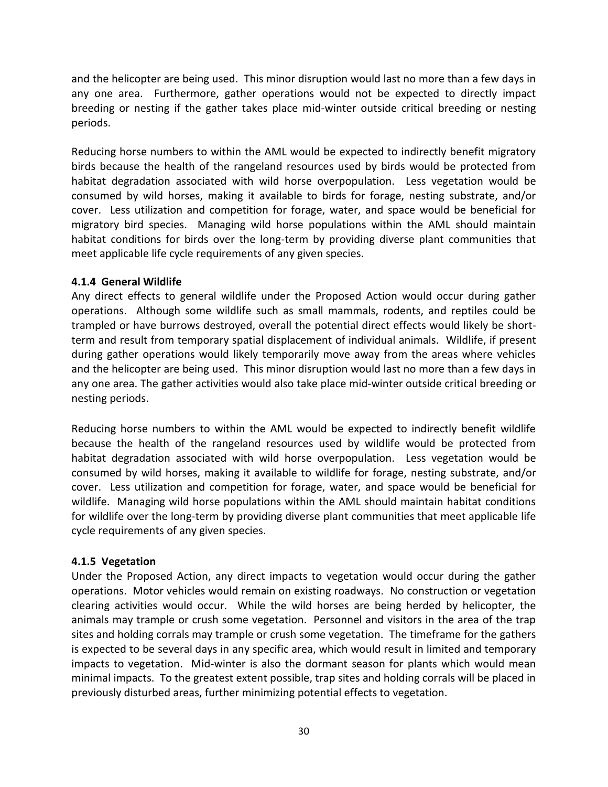and the helicopter are being used. This minor disruption would last no more than a few days in any one area. Furthermore, gather operations would not be expected to directly impact breeding or nesting if the gather takes place mid-winter outside critical breeding or nesting periods.

Reducing horse numbers to within the AML would be expected to indirectly benefit migratory birds because the health of the rangeland resources used by birds would be protected from habitat degradation associated with wild horse overpopulation. Less vegetation would be consumed by wild horses, making it available to birds for forage, nesting substrate, and/or cover. Less utilization and competition for forage, water, and space would be beneficial for migratory bird species. Managing wild horse populations within the AML should maintain habitat conditions for birds over the long-term by providing diverse plant communities that meet applicable life cycle requirements of any given species.

#### <span id="page-34-0"></span>**4.1.4 General Wildlife**

Any direct effects to general wildlife under the Proposed Action would occur during gather operations. Although some wildlife such as small mammals, rodents, and reptiles could be trampled or have burrows destroyed, overall the potential direct effects would likely be shortterm and result from temporary spatial displacement of individual animals. Wildlife, if present during gather operations would likely temporarily move away from the areas where vehicles and the helicopter are being used. This minor disruption would last no more than a few days in any one area. The gather activities would also take place mid-winter outside critical breeding or nesting periods.

Reducing horse numbers to within the AML would be expected to indirectly benefit wildlife because the health of the rangeland resources used by wildlife would be protected from habitat degradation associated with wild horse overpopulation. Less vegetation would be consumed by wild horses, making it available to wildlife for forage, nesting substrate, and/or cover. Less utilization and competition for forage, water, and space would be beneficial for wildlife. Managing wild horse populations within the AML should maintain habitat conditions for wildlife over the long-term by providing diverse plant communities that meet applicable life cycle requirements of any given species.

#### <span id="page-34-1"></span>**4.1.5 Vegetation**

Under the Proposed Action, any direct impacts to vegetation would occur during the gather operations. Motor vehicles would remain on existing roadways. No construction or vegetation clearing activities would occur. While the wild horses are being herded by helicopter, the animals may trample or crush some vegetation. Personnel and visitors in the area of the trap sites and holding corrals may trample or crush some vegetation. The timeframe for the gathers is expected to be several days in any specific area, which would result in limited and temporary impacts to vegetation. Mid-winter is also the dormant season for plants which would mean minimal impacts. To the greatest extent possible, trap sites and holding corrals will be placed in previously disturbed areas, further minimizing potential effects to vegetation.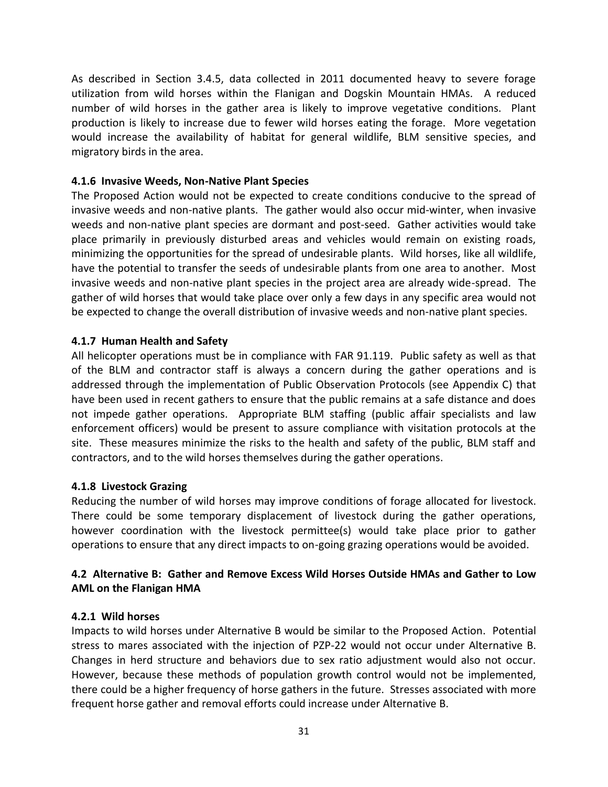As described in Section 3.4.5, data collected in 2011 documented heavy to severe forage utilization from wild horses within the Flanigan and Dogskin Mountain HMAs. A reduced number of wild horses in the gather area is likely to improve vegetative conditions. Plant production is likely to increase due to fewer wild horses eating the forage. More vegetation would increase the availability of habitat for general wildlife, BLM sensitive species, and migratory birds in the area.

#### <span id="page-35-0"></span>**4.1.6 Invasive Weeds, Non-Native Plant Species**

The Proposed Action would not be expected to create conditions conducive to the spread of invasive weeds and non-native plants. The gather would also occur mid-winter, when invasive weeds and non-native plant species are dormant and post-seed. Gather activities would take place primarily in previously disturbed areas and vehicles would remain on existing roads, minimizing the opportunities for the spread of undesirable plants. Wild horses, like all wildlife, have the potential to transfer the seeds of undesirable plants from one area to another. Most invasive weeds and non-native plant species in the project area are already wide-spread. The gather of wild horses that would take place over only a few days in any specific area would not be expected to change the overall distribution of invasive weeds and non-native plant species.

#### <span id="page-35-1"></span>**4.1.7 Human Health and Safety**

All helicopter operations must be in compliance with FAR 91.119. Public safety as well as that of the BLM and contractor staff is always a concern during the gather operations and is addressed through the implementation of Public Observation Protocols (see Appendix C) that have been used in recent gathers to ensure that the public remains at a safe distance and does not impede gather operations. Appropriate BLM staffing (public affair specialists and law enforcement officers) would be present to assure compliance with visitation protocols at the site. These measures minimize the risks to the health and safety of the public, BLM staff and contractors, and to the wild horses themselves during the gather operations.

#### <span id="page-35-2"></span>**4.1.8 Livestock Grazing**

Reducing the number of wild horses may improve conditions of forage allocated for livestock. There could be some temporary displacement of livestock during the gather operations, however coordination with the livestock permittee(s) would take place prior to gather operations to ensure that any direct impacts to on-going grazing operations would be avoided.

#### <span id="page-35-3"></span>**4.2 Alternative B: Gather and Remove Excess Wild Horses Outside HMAs and Gather to Low AML on the Flanigan HMA**

#### <span id="page-35-4"></span>**4.2.1 Wild horses**

Impacts to wild horses under Alternative B would be similar to the Proposed Action. Potential stress to mares associated with the injection of PZP-22 would not occur under Alternative B. Changes in herd structure and behaviors due to sex ratio adjustment would also not occur. However, because these methods of population growth control would not be implemented, there could be a higher frequency of horse gathers in the future. Stresses associated with more frequent horse gather and removal efforts could increase under Alternative B.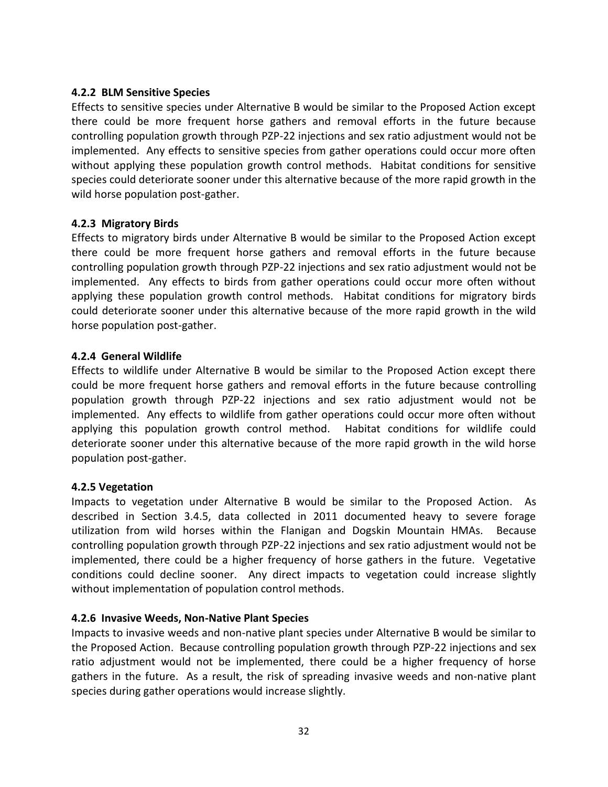## **4.2.2 BLM Sensitive Species**

Effects to sensitive species under Alternative B would be similar to the Proposed Action except there could be more frequent horse gathers and removal efforts in the future because controlling population growth through PZP-22 injections and sex ratio adjustment would not be implemented. Any effects to sensitive species from gather operations could occur more often without applying these population growth control methods. Habitat conditions for sensitive species could deteriorate sooner under this alternative because of the more rapid growth in the wild horse population post-gather.

## **4.2.3 Migratory Birds**

Effects to migratory birds under Alternative B would be similar to the Proposed Action except there could be more frequent horse gathers and removal efforts in the future because controlling population growth through PZP-22 injections and sex ratio adjustment would not be implemented. Any effects to birds from gather operations could occur more often without applying these population growth control methods. Habitat conditions for migratory birds could deteriorate sooner under this alternative because of the more rapid growth in the wild horse population post-gather.

## **4.2.4 General Wildlife**

Effects to wildlife under Alternative B would be similar to the Proposed Action except there could be more frequent horse gathers and removal efforts in the future because controlling population growth through PZP-22 injections and sex ratio adjustment would not be implemented. Any effects to wildlife from gather operations could occur more often without applying this population growth control method. Habitat conditions for wildlife could deteriorate sooner under this alternative because of the more rapid growth in the wild horse population post-gather.

## **4.2.5 Vegetation**

Impacts to vegetation under Alternative B would be similar to the Proposed Action. As described in Section 3.4.5, data collected in 2011 documented heavy to severe forage utilization from wild horses within the Flanigan and Dogskin Mountain HMAs. Because controlling population growth through PZP-22 injections and sex ratio adjustment would not be implemented, there could be a higher frequency of horse gathers in the future. Vegetative conditions could decline sooner. Any direct impacts to vegetation could increase slightly without implementation of population control methods.

## **4.2.6 Invasive Weeds, Non-Native Plant Species**

Impacts to invasive weeds and non-native plant species under Alternative B would be similar to the Proposed Action. Because controlling population growth through PZP-22 injections and sex ratio adjustment would not be implemented, there could be a higher frequency of horse gathers in the future. As a result, the risk of spreading invasive weeds and non-native plant species during gather operations would increase slightly.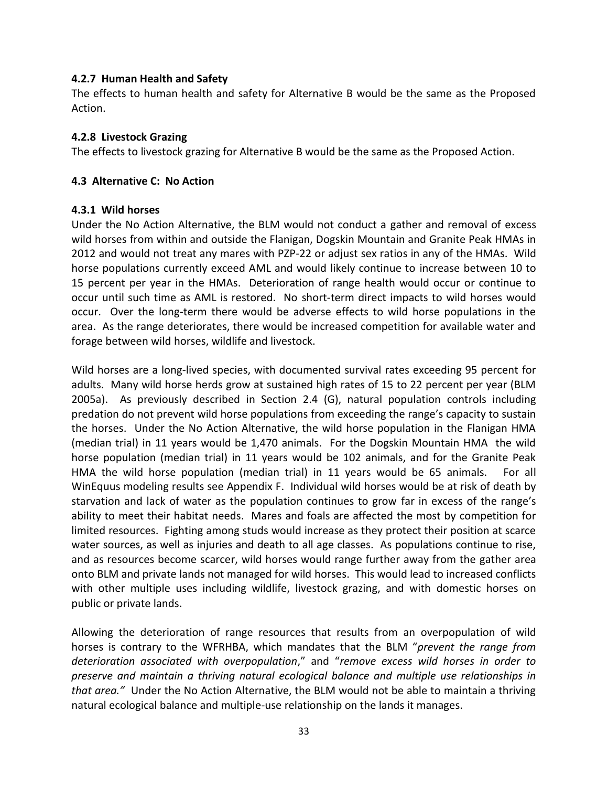## **4.2.7 Human Health and Safety**

The effects to human health and safety for Alternative B would be the same as the Proposed Action.

## **4.2.8 Livestock Grazing**

The effects to livestock grazing for Alternative B would be the same as the Proposed Action.

## **4.3 Alternative C: No Action**

## **4.3.1 Wild horses**

Under the No Action Alternative, the BLM would not conduct a gather and removal of excess wild horses from within and outside the Flanigan, Dogskin Mountain and Granite Peak HMAs in 2012 and would not treat any mares with PZP-22 or adjust sex ratios in any of the HMAs. Wild horse populations currently exceed AML and would likely continue to increase between 10 to 15 percent per year in the HMAs. Deterioration of range health would occur or continue to occur until such time as AML is restored. No short-term direct impacts to wild horses would occur. Over the long-term there would be adverse effects to wild horse populations in the area. As the range deteriorates, there would be increased competition for available water and forage between wild horses, wildlife and livestock.

Wild horses are a long-lived species, with documented survival rates exceeding 95 percent for adults. Many wild horse herds grow at sustained high rates of 15 to 22 percent per year (BLM 2005a). As previously described in Section 2.4 (G), natural population controls including predation do not prevent wild horse populations from exceeding the range's capacity to sustain the horses. Under the No Action Alternative, the wild horse population in the Flanigan HMA (median trial) in 11 years would be 1,470 animals. For the Dogskin Mountain HMA the wild horse population (median trial) in 11 years would be 102 animals, and for the Granite Peak HMA the wild horse population (median trial) in 11 years would be 65 animals. For all WinEquus modeling results see Appendix F. Individual wild horses would be at risk of death by starvation and lack of water as the population continues to grow far in excess of the range's ability to meet their habitat needs. Mares and foals are affected the most by competition for limited resources. Fighting among studs would increase as they protect their position at scarce water sources, as well as injuries and death to all age classes. As populations continue to rise, and as resources become scarcer, wild horses would range further away from the gather area onto BLM and private lands not managed for wild horses. This would lead to increased conflicts with other multiple uses including wildlife, livestock grazing, and with domestic horses on public or private lands.

Allowing the deterioration of range resources that results from an overpopulation of wild horses is contrary to the WFRHBA, which mandates that the BLM "*prevent the range from deterioration associated with overpopulation*," and "*remove excess wild horses in order to preserve and maintain a thriving natural ecological balance and multiple use relationships in that area."* Under the No Action Alternative, the BLM would not be able to maintain a thriving natural ecological balance and multiple-use relationship on the lands it manages.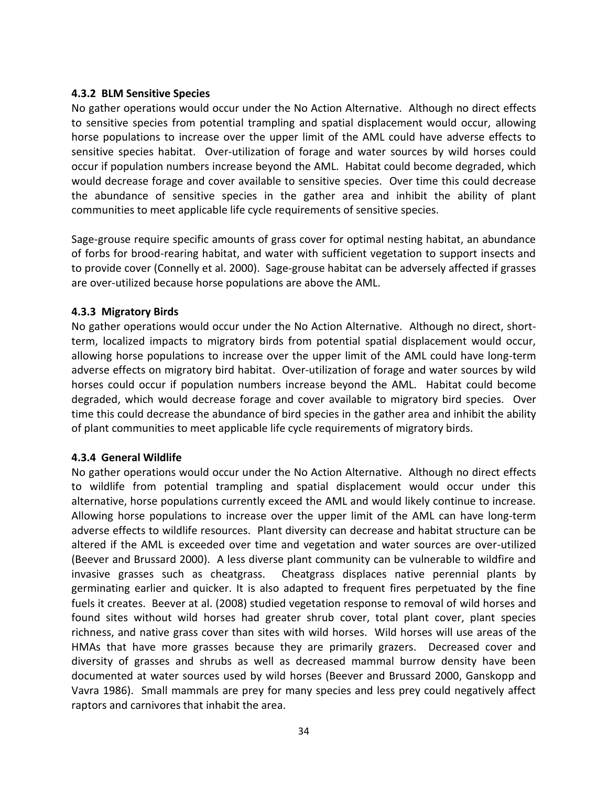#### **4.3.2 BLM Sensitive Species**

No gather operations would occur under the No Action Alternative. Although no direct effects to sensitive species from potential trampling and spatial displacement would occur, allowing horse populations to increase over the upper limit of the AML could have adverse effects to sensitive species habitat. Over-utilization of forage and water sources by wild horses could occur if population numbers increase beyond the AML. Habitat could become degraded, which would decrease forage and cover available to sensitive species. Over time this could decrease the abundance of sensitive species in the gather area and inhibit the ability of plant communities to meet applicable life cycle requirements of sensitive species.

Sage-grouse require specific amounts of grass cover for optimal nesting habitat, an abundance of forbs for brood-rearing habitat, and water with sufficient vegetation to support insects and to provide cover (Connelly et al. 2000). Sage-grouse habitat can be adversely affected if grasses are over-utilized because horse populations are above the AML.

## **4.3.3 Migratory Birds**

No gather operations would occur under the No Action Alternative. Although no direct, shortterm, localized impacts to migratory birds from potential spatial displacement would occur, allowing horse populations to increase over the upper limit of the AML could have long-term adverse effects on migratory bird habitat. Over-utilization of forage and water sources by wild horses could occur if population numbers increase beyond the AML. Habitat could become degraded, which would decrease forage and cover available to migratory bird species. Over time this could decrease the abundance of bird species in the gather area and inhibit the ability of plant communities to meet applicable life cycle requirements of migratory birds.

## **4.3.4 General Wildlife**

No gather operations would occur under the No Action Alternative. Although no direct effects to wildlife from potential trampling and spatial displacement would occur under this alternative, horse populations currently exceed the AML and would likely continue to increase. Allowing horse populations to increase over the upper limit of the AML can have long-term adverse effects to wildlife resources. Plant diversity can decrease and habitat structure can be altered if the AML is exceeded over time and vegetation and water sources are over-utilized (Beever and Brussard 2000). A less diverse plant community can be vulnerable to wildfire and invasive grasses such as cheatgrass. Cheatgrass displaces native perennial plants by germinating earlier and quicker. It is also adapted to frequent fires perpetuated by the fine fuels it creates. Beever at al. (2008) studied vegetation response to removal of wild horses and found sites without wild horses had greater shrub cover, total plant cover, plant species richness, and native grass cover than sites with wild horses. Wild horses will use areas of the HMAs that have more grasses because they are primarily grazers. Decreased cover and diversity of grasses and shrubs as well as decreased mammal burrow density have been documented at water sources used by wild horses (Beever and Brussard 2000, Ganskopp and Vavra 1986). Small mammals are prey for many species and less prey could negatively affect raptors and carnivores that inhabit the area.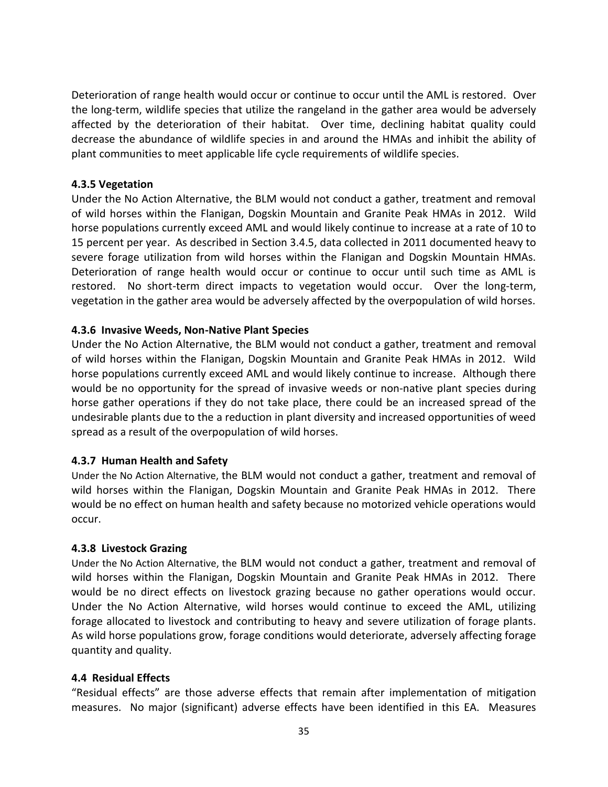Deterioration of range health would occur or continue to occur until the AML is restored. Over the long-term, wildlife species that utilize the rangeland in the gather area would be adversely affected by the deterioration of their habitat. Over time, declining habitat quality could decrease the abundance of wildlife species in and around the HMAs and inhibit the ability of plant communities to meet applicable life cycle requirements of wildlife species.

## **4.3.5 Vegetation**

Under the No Action Alternative, the BLM would not conduct a gather, treatment and removal of wild horses within the Flanigan, Dogskin Mountain and Granite Peak HMAs in 2012. Wild horse populations currently exceed AML and would likely continue to increase at a rate of 10 to 15 percent per year. As described in Section 3.4.5, data collected in 2011 documented heavy to severe forage utilization from wild horses within the Flanigan and Dogskin Mountain HMAs. Deterioration of range health would occur or continue to occur until such time as AML is restored. No short-term direct impacts to vegetation would occur. Over the long-term, vegetation in the gather area would be adversely affected by the overpopulation of wild horses.

## **4.3.6 Invasive Weeds, Non-Native Plant Species**

Under the No Action Alternative, the BLM would not conduct a gather, treatment and removal of wild horses within the Flanigan, Dogskin Mountain and Granite Peak HMAs in 2012. Wild horse populations currently exceed AML and would likely continue to increase. Although there would be no opportunity for the spread of invasive weeds or non-native plant species during horse gather operations if they do not take place, there could be an increased spread of the undesirable plants due to the a reduction in plant diversity and increased opportunities of weed spread as a result of the overpopulation of wild horses.

## **4.3.7 Human Health and Safety**

Under the No Action Alternative, the BLM would not conduct a gather, treatment and removal of wild horses within the Flanigan, Dogskin Mountain and Granite Peak HMAs in 2012. There would be no effect on human health and safety because no motorized vehicle operations would occur.

## **4.3.8 Livestock Grazing**

Under the No Action Alternative, the BLM would not conduct a gather, treatment and removal of wild horses within the Flanigan, Dogskin Mountain and Granite Peak HMAs in 2012. There would be no direct effects on livestock grazing because no gather operations would occur. Under the No Action Alternative, wild horses would continue to exceed the AML, utilizing forage allocated to livestock and contributing to heavy and severe utilization of forage plants. As wild horse populations grow, forage conditions would deteriorate, adversely affecting forage quantity and quality.

## **4.4 Residual Effects**

"Residual effects" are those adverse effects that remain after implementation of mitigation measures. No major (significant) adverse effects have been identified in this EA. Measures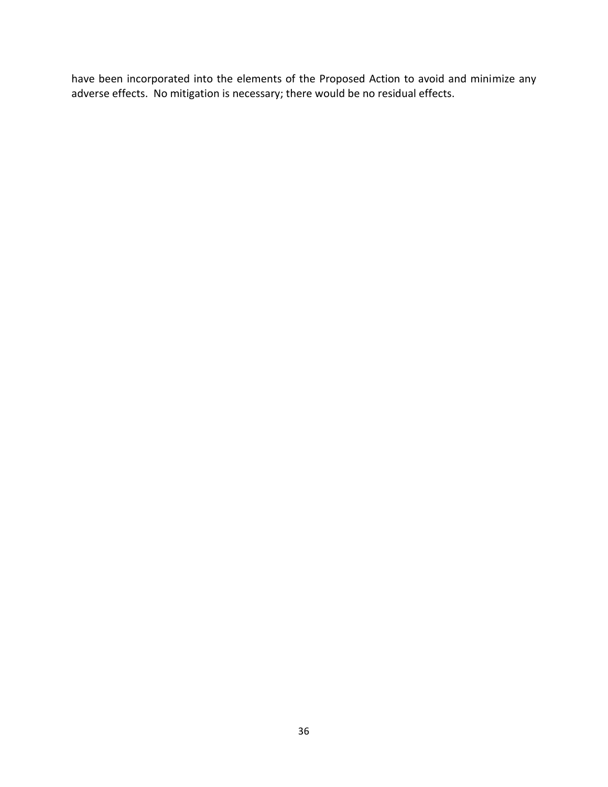have been incorporated into the elements of the Proposed Action to avoid and minimize any adverse effects. No mitigation is necessary; there would be no residual effects.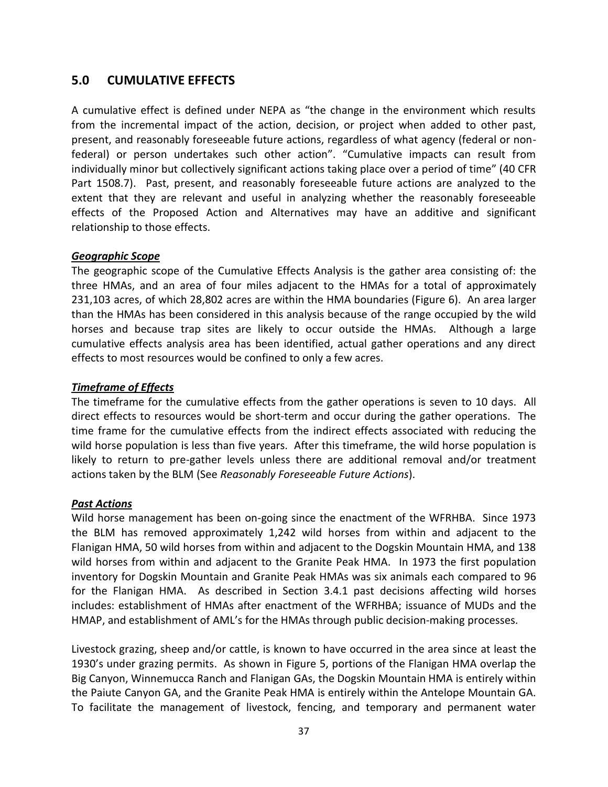# **5.0 CUMULATIVE EFFECTS**

A cumulative effect is defined under NEPA as "the change in the environment which results from the incremental impact of the action, decision, or project when added to other past, present, and reasonably foreseeable future actions, regardless of what agency (federal or nonfederal) or person undertakes such other action". "Cumulative impacts can result from individually minor but collectively significant actions taking place over a period of time" (40 CFR Part 1508.7). Past, present, and reasonably foreseeable future actions are analyzed to the extent that they are relevant and useful in analyzing whether the reasonably foreseeable effects of the Proposed Action and Alternatives may have an additive and significant relationship to those effects.

## *Geographic Scope*

The geographic scope of the Cumulative Effects Analysis is the gather area consisting of: the three HMAs, and an area of four miles adjacent to the HMAs for a total of approximately 231,103 acres, of which 28,802 acres are within the HMA boundaries (Figure 6). An area larger than the HMAs has been considered in this analysis because of the range occupied by the wild horses and because trap sites are likely to occur outside the HMAs. Although a large cumulative effects analysis area has been identified, actual gather operations and any direct effects to most resources would be confined to only a few acres.

## *Timeframe of Effects*

The timeframe for the cumulative effects from the gather operations is seven to 10 days. All direct effects to resources would be short-term and occur during the gather operations. The time frame for the cumulative effects from the indirect effects associated with reducing the wild horse population is less than five years. After this timeframe, the wild horse population is likely to return to pre-gather levels unless there are additional removal and/or treatment actions taken by the BLM (See *Reasonably Foreseeable Future Actions*).

## *Past Actions*

Wild horse management has been on-going since the enactment of the WFRHBA. Since 1973 the BLM has removed approximately 1,242 wild horses from within and adjacent to the Flanigan HMA, 50 wild horses from within and adjacent to the Dogskin Mountain HMA, and 138 wild horses from within and adjacent to the Granite Peak HMA. In 1973 the first population inventory for Dogskin Mountain and Granite Peak HMAs was six animals each compared to 96 for the Flanigan HMA. As described in Section 3.4.1 past decisions affecting wild horses includes: establishment of HMAs after enactment of the WFRHBA; issuance of MUDs and the HMAP, and establishment of AML's for the HMAs through public decision-making processes.

Livestock grazing, sheep and/or cattle, is known to have occurred in the area since at least the 1930's under grazing permits. As shown in Figure 5, portions of the Flanigan HMA overlap the Big Canyon, Winnemucca Ranch and Flanigan GAs, the Dogskin Mountain HMA is entirely within the Paiute Canyon GA, and the Granite Peak HMA is entirely within the Antelope Mountain GA. To facilitate the management of livestock, fencing, and temporary and permanent water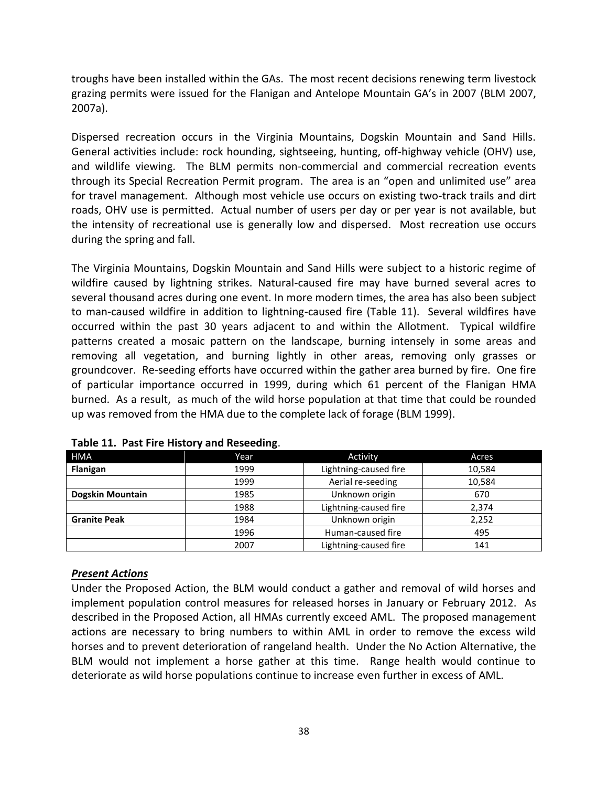troughs have been installed within the GAs. The most recent decisions renewing term livestock grazing permits were issued for the Flanigan and Antelope Mountain GA's in 2007 (BLM 2007, 2007a).

Dispersed recreation occurs in the Virginia Mountains, Dogskin Mountain and Sand Hills. General activities include: rock hounding, sightseeing, hunting, off-highway vehicle (OHV) use, and wildlife viewing. The BLM permits non-commercial and commercial recreation events through its Special Recreation Permit program. The area is an "open and unlimited use" area for travel management. Although most vehicle use occurs on existing two-track trails and dirt roads, OHV use is permitted. Actual number of users per day or per year is not available, but the intensity of recreational use is generally low and dispersed. Most recreation use occurs during the spring and fall.

The Virginia Mountains, Dogskin Mountain and Sand Hills were subject to a historic regime of wildfire caused by lightning strikes. Natural-caused fire may have burned several acres to several thousand acres during one event. In more modern times, the area has also been subject to man-caused wildfire in addition to lightning-caused fire (Table 11). Several wildfires have occurred within the past 30 years adjacent to and within the Allotment. Typical wildfire patterns created a mosaic pattern on the landscape, burning intensely in some areas and removing all vegetation, and burning lightly in other areas, removing only grasses or groundcover. Re-seeding efforts have occurred within the gather area burned by fire. One fire of particular importance occurred in 1999, during which 61 percent of the Flanigan HMA burned. As a result, as much of the wild horse population at that time that could be rounded up was removed from the HMA due to the complete lack of forage (BLM 1999).

| <b>HMA</b>              | Year | Activity              | Acres  |
|-------------------------|------|-----------------------|--------|
| Flanigan                | 1999 | Lightning-caused fire | 10,584 |
|                         | 1999 | Aerial re-seeding     | 10,584 |
| <b>Dogskin Mountain</b> | 1985 | Unknown origin        | 670    |
|                         | 1988 | Lightning-caused fire | 2,374  |
| <b>Granite Peak</b>     | 1984 | Unknown origin        | 2,252  |
|                         | 1996 | Human-caused fire     | 495    |
|                         | 2007 | Lightning-caused fire | 141    |

**Table 11. Past Fire History and Reseeding**.

## *Present Actions*

Under the Proposed Action, the BLM would conduct a gather and removal of wild horses and implement population control measures for released horses in January or February 2012. As described in the Proposed Action, all HMAs currently exceed AML. The proposed management actions are necessary to bring numbers to within AML in order to remove the excess wild horses and to prevent deterioration of rangeland health. Under the No Action Alternative, the BLM would not implement a horse gather at this time. Range health would continue to deteriorate as wild horse populations continue to increase even further in excess of AML.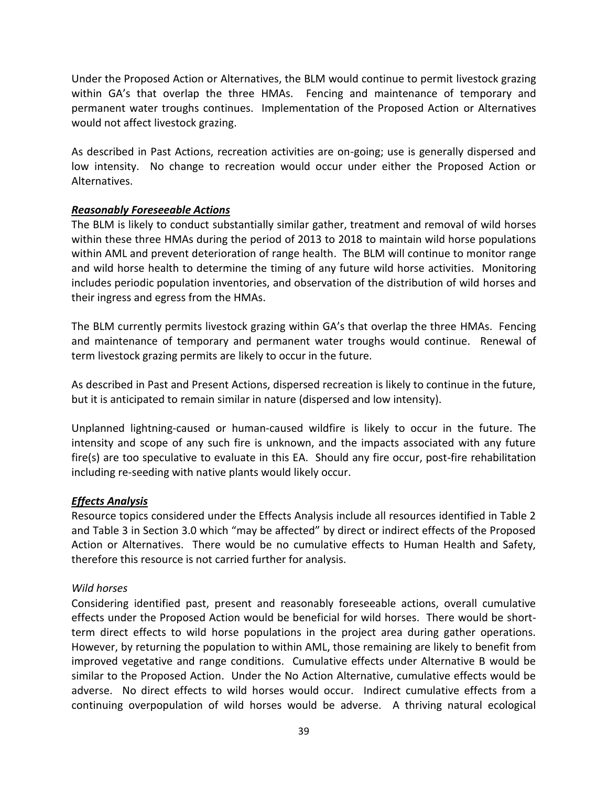Under the Proposed Action or Alternatives, the BLM would continue to permit livestock grazing within GA's that overlap the three HMAs. Fencing and maintenance of temporary and permanent water troughs continues. Implementation of the Proposed Action or Alternatives would not affect livestock grazing.

As described in Past Actions, recreation activities are on-going; use is generally dispersed and low intensity. No change to recreation would occur under either the Proposed Action or Alternatives.

# *Reasonably Foreseeable Actions*

The BLM is likely to conduct substantially similar gather, treatment and removal of wild horses within these three HMAs during the period of 2013 to 2018 to maintain wild horse populations within AML and prevent deterioration of range health. The BLM will continue to monitor range and wild horse health to determine the timing of any future wild horse activities. Monitoring includes periodic population inventories, and observation of the distribution of wild horses and their ingress and egress from the HMAs.

The BLM currently permits livestock grazing within GA's that overlap the three HMAs. Fencing and maintenance of temporary and permanent water troughs would continue. Renewal of term livestock grazing permits are likely to occur in the future.

As described in Past and Present Actions, dispersed recreation is likely to continue in the future, but it is anticipated to remain similar in nature (dispersed and low intensity).

Unplanned lightning-caused or human-caused wildfire is likely to occur in the future. The intensity and scope of any such fire is unknown, and the impacts associated with any future fire(s) are too speculative to evaluate in this EA. Should any fire occur, post-fire rehabilitation including re-seeding with native plants would likely occur.

## *Effects Analysis*

Resource topics considered under the Effects Analysis include all resources identified in Table 2 and Table 3 in Section 3.0 which "may be affected" by direct or indirect effects of the Proposed Action or Alternatives. There would be no cumulative effects to Human Health and Safety, therefore this resource is not carried further for analysis.

## *Wild horses*

Considering identified past, present and reasonably foreseeable actions, overall cumulative effects under the Proposed Action would be beneficial for wild horses. There would be shortterm direct effects to wild horse populations in the project area during gather operations. However, by returning the population to within AML, those remaining are likely to benefit from improved vegetative and range conditions. Cumulative effects under Alternative B would be similar to the Proposed Action. Under the No Action Alternative, cumulative effects would be adverse. No direct effects to wild horses would occur. Indirect cumulative effects from a continuing overpopulation of wild horses would be adverse. A thriving natural ecological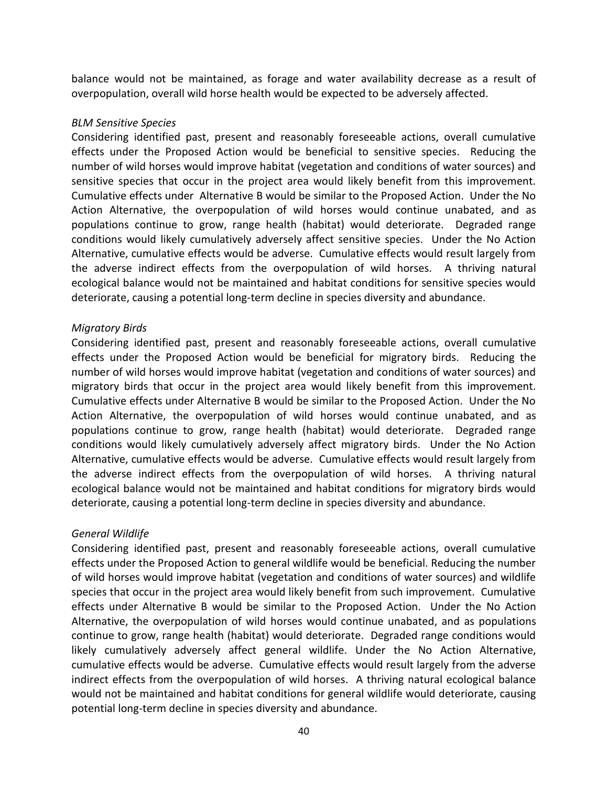balance would not be maintained, as forage and water availability decrease as a result of overpopulation, overall wild horse health would be expected to be adversely affected.

#### *BLM Sensitive Species*

Considering identified past, present and reasonably foreseeable actions, overall cumulative effects under the Proposed Action would be beneficial to sensitive species. Reducing the number of wild horses would improve habitat (vegetation and conditions of water sources) and sensitive species that occur in the project area would likely benefit from this improvement. Cumulative effects under Alternative B would be similar to the Proposed Action. Under the No Action Alternative, the overpopulation of wild horses would continue unabated, and as populations continue to grow, range health (habitat) would deteriorate. Degraded range conditions would likely cumulatively adversely affect sensitive species. Under the No Action Alternative, cumulative effects would be adverse. Cumulative effects would result largely from the adverse indirect effects from the overpopulation of wild horses. A thriving natural ecological balance would not be maintained and habitat conditions for sensitive species would deteriorate, causing a potential long-term decline in species diversity and abundance.

#### *Migratory Birds*

Considering identified past, present and reasonably foreseeable actions, overall cumulative effects under the Proposed Action would be beneficial for migratory birds. Reducing the number of wild horses would improve habitat (vegetation and conditions of water sources) and migratory birds that occur in the project area would likely benefit from this improvement. Cumulative effects under Alternative B would be similar to the Proposed Action. Under the No Action Alternative, the overpopulation of wild horses would continue unabated, and as populations continue to grow, range health (habitat) would deteriorate. Degraded range conditions would likely cumulatively adversely affect migratory birds. Under the No Action Alternative, cumulative effects would be adverse. Cumulative effects would result largely from the adverse indirect effects from the overpopulation of wild horses. A thriving natural ecological balance would not be maintained and habitat conditions for migratory birds would deteriorate, causing a potential long-term decline in species diversity and abundance.

## *General Wildlife*

Considering identified past, present and reasonably foreseeable actions, overall cumulative effects under the Proposed Action to general wildlife would be beneficial. Reducing the number of wild horses would improve habitat (vegetation and conditions of water sources) and wildlife species that occur in the project area would likely benefit from such improvement. Cumulative effects under Alternative B would be similar to the Proposed Action. Under the No Action Alternative, the overpopulation of wild horses would continue unabated, and as populations continue to grow, range health (habitat) would deteriorate. Degraded range conditions would likely cumulatively adversely affect general wildlife. Under the No Action Alternative, cumulative effects would be adverse. Cumulative effects would result largely from the adverse indirect effects from the overpopulation of wild horses. A thriving natural ecological balance would not be maintained and habitat conditions for general wildlife would deteriorate, causing potential long-term decline in species diversity and abundance.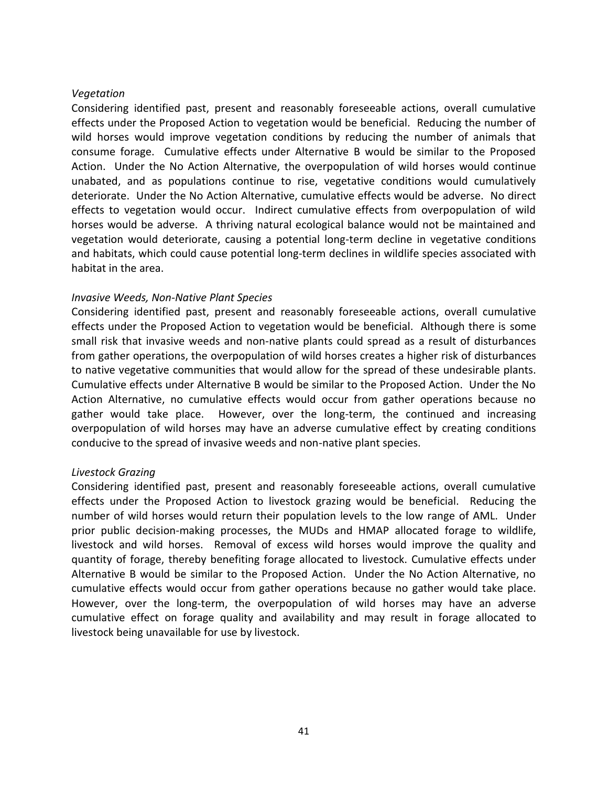#### *Vegetation*

Considering identified past, present and reasonably foreseeable actions, overall cumulative effects under the Proposed Action to vegetation would be beneficial. Reducing the number of wild horses would improve vegetation conditions by reducing the number of animals that consume forage. Cumulative effects under Alternative B would be similar to the Proposed Action. Under the No Action Alternative, the overpopulation of wild horses would continue unabated, and as populations continue to rise, vegetative conditions would cumulatively deteriorate. Under the No Action Alternative, cumulative effects would be adverse. No direct effects to vegetation would occur. Indirect cumulative effects from overpopulation of wild horses would be adverse. A thriving natural ecological balance would not be maintained and vegetation would deteriorate, causing a potential long-term decline in vegetative conditions and habitats, which could cause potential long-term declines in wildlife species associated with habitat in the area.

## *Invasive Weeds, Non-Native Plant Species*

Considering identified past, present and reasonably foreseeable actions, overall cumulative effects under the Proposed Action to vegetation would be beneficial. Although there is some small risk that invasive weeds and non-native plants could spread as a result of disturbances from gather operations, the overpopulation of wild horses creates a higher risk of disturbances to native vegetative communities that would allow for the spread of these undesirable plants. Cumulative effects under Alternative B would be similar to the Proposed Action. Under the No Action Alternative, no cumulative effects would occur from gather operations because no gather would take place. However, over the long-term, the continued and increasing overpopulation of wild horses may have an adverse cumulative effect by creating conditions conducive to the spread of invasive weeds and non-native plant species.

## *Livestock Grazing*

Considering identified past, present and reasonably foreseeable actions, overall cumulative effects under the Proposed Action to livestock grazing would be beneficial. Reducing the number of wild horses would return their population levels to the low range of AML. Under prior public decision-making processes, the MUDs and HMAP allocated forage to wildlife, livestock and wild horses. Removal of excess wild horses would improve the quality and quantity of forage, thereby benefiting forage allocated to livestock. Cumulative effects under Alternative B would be similar to the Proposed Action. Under the No Action Alternative, no cumulative effects would occur from gather operations because no gather would take place. However, over the long-term, the overpopulation of wild horses may have an adverse cumulative effect on forage quality and availability and may result in forage allocated to livestock being unavailable for use by livestock.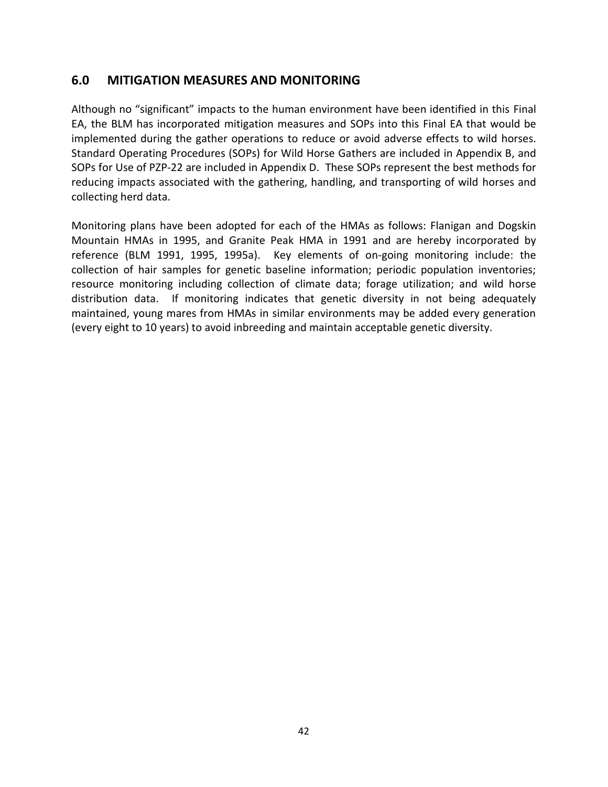# **6.0 MITIGATION MEASURES AND MONITORING**

Although no "significant" impacts to the human environment have been identified in this Final EA, the BLM has incorporated mitigation measures and SOPs into this Final EA that would be implemented during the gather operations to reduce or avoid adverse effects to wild horses. Standard Operating Procedures (SOPs) for Wild Horse Gathers are included in Appendix B, and SOPs for Use of PZP-22 are included in Appendix D. These SOPs represent the best methods for reducing impacts associated with the gathering, handling, and transporting of wild horses and collecting herd data.

Monitoring plans have been adopted for each of the HMAs as follows: Flanigan and Dogskin Mountain HMAs in 1995, and Granite Peak HMA in 1991 and are hereby incorporated by reference (BLM 1991, 1995, 1995a). Key elements of on-going monitoring include: the collection of hair samples for genetic baseline information; periodic population inventories; resource monitoring including collection of climate data; forage utilization; and wild horse distribution data. If monitoring indicates that genetic diversity in not being adequately maintained, young mares from HMAs in similar environments may be added every generation (every eight to 10 years) to avoid inbreeding and maintain acceptable genetic diversity.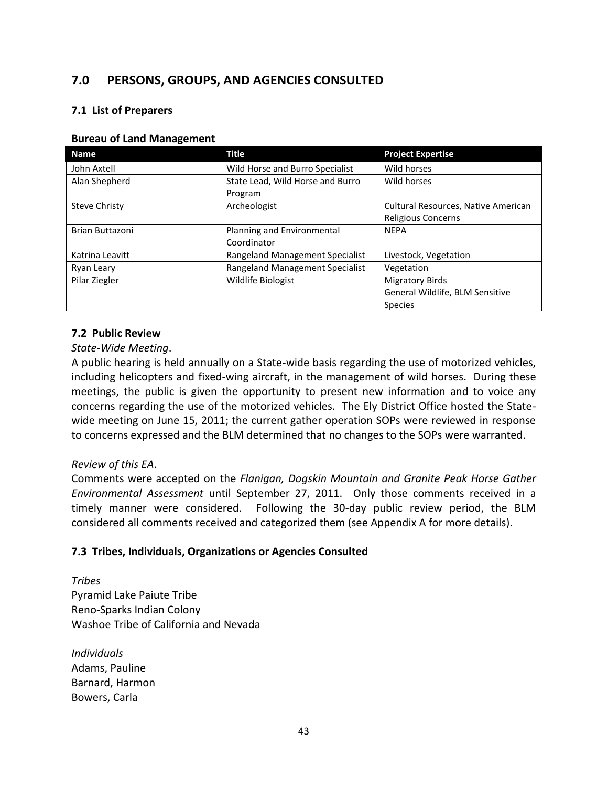# **7.0 PERSONS, GROUPS, AND AGENCIES CONSULTED**

## **7.1 List of Preparers**

#### **Bureau of Land Management**

| <b>Name</b>            | <b>Title</b>                     | <b>Project Expertise</b>            |
|------------------------|----------------------------------|-------------------------------------|
| John Axtell            | Wild Horse and Burro Specialist  | Wild horses                         |
| Alan Shepherd          | State Lead, Wild Horse and Burro | Wild horses                         |
|                        | Program                          |                                     |
| <b>Steve Christy</b>   | Archeologist                     | Cultural Resources, Native American |
|                        |                                  | <b>Religious Concerns</b>           |
| <b>Brian Buttazoni</b> | Planning and Environmental       | <b>NEPA</b>                         |
|                        | Coordinator                      |                                     |
| Katrina Leavitt        | Rangeland Management Specialist  | Livestock, Vegetation               |
| Ryan Leary             | Rangeland Management Specialist  | Vegetation                          |
| Pilar Ziegler          | Wildlife Biologist               | <b>Migratory Birds</b>              |
|                        |                                  | General Wildlife, BLM Sensitive     |
|                        |                                  | <b>Species</b>                      |

## **7.2 Public Review**

## *State-Wide Meeting*.

A public hearing is held annually on a State-wide basis regarding the use of motorized vehicles, including helicopters and fixed-wing aircraft, in the management of wild horses. During these meetings, the public is given the opportunity to present new information and to voice any concerns regarding the use of the motorized vehicles. The Ely District Office hosted the Statewide meeting on June 15, 2011; the current gather operation SOPs were reviewed in response to concerns expressed and the BLM determined that no changes to the SOPs were warranted.

# *Review of this EA*.

Comments were accepted on the *Flanigan, Dogskin Mountain and Granite Peak Horse Gather Environmental Assessment* until September 27, 2011. Only those comments received in a timely manner were considered. Following the 30-day public review period, the BLM considered all comments received and categorized them (see Appendix A for more details).

## **7.3 Tribes, Individuals, Organizations or Agencies Consulted**

*Tribes* Pyramid Lake Paiute Tribe Reno-Sparks Indian Colony Washoe Tribe of California and Nevada

*Individuals* Adams, Pauline Barnard, Harmon Bowers, Carla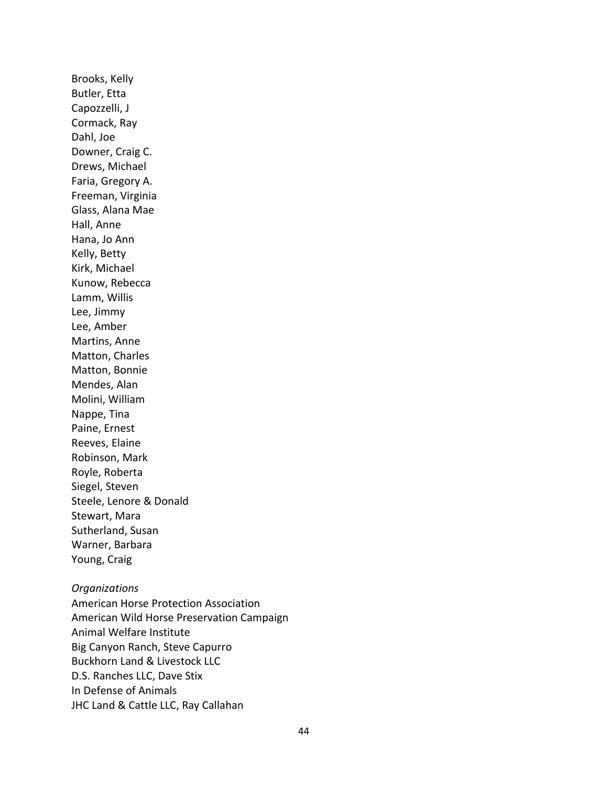Brooks, Kelly Butler, Etta Capozzelli, J Cormack, Ray Dahl, Joe Downer, Craig C. Drews, Michael Faria, Gregory A. Freeman, Virginia Glass, Alana Mae Hall, Anne Hana, Jo Ann Kelly, Betty Kirk, Michael Kunow, Rebecca Lamm, Willis Lee, Jimmy Lee, Amber Martins, Anne Matton, Charles Matton, Bonnie Mendes, Alan Molini, William Nappe, Tina Paine, Ernest Reeves, Elaine Robinson, Mark Royle, Roberta Siegel, Steven Steele, Lenore & Donald Stewart, Mara Sutherland, Susan Warner, Barbara Young, Craig

#### *Organizations*

American Horse Protection Association American Wild Horse Preservation Campaign Animal Welfare Institute Big Canyon Ranch, Steve Capurro Buckhorn Land & Livestock LLC D.S. Ranches LLC, Dave Stix In Defense of Animals JHC Land & Cattle LLC, Ray Callahan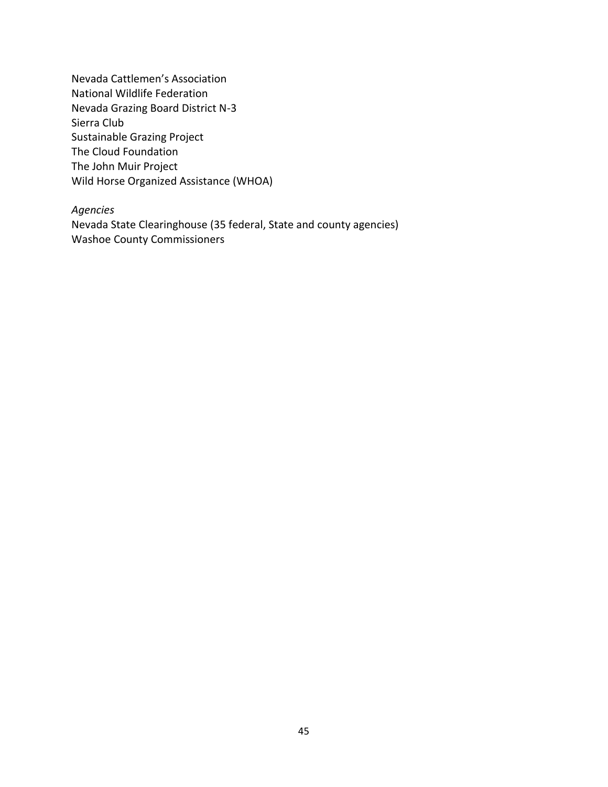Nevada Cattlemen's Association National Wildlife Federation Nevada Grazing Board District N-3 Sierra Club Sustainable Grazing Project The Cloud Foundation The John Muir Project Wild Horse Organized Assistance (WHOA)

#### *Agencies*

Nevada State Clearinghouse (35 federal, State and county agencies) Washoe County Commissioners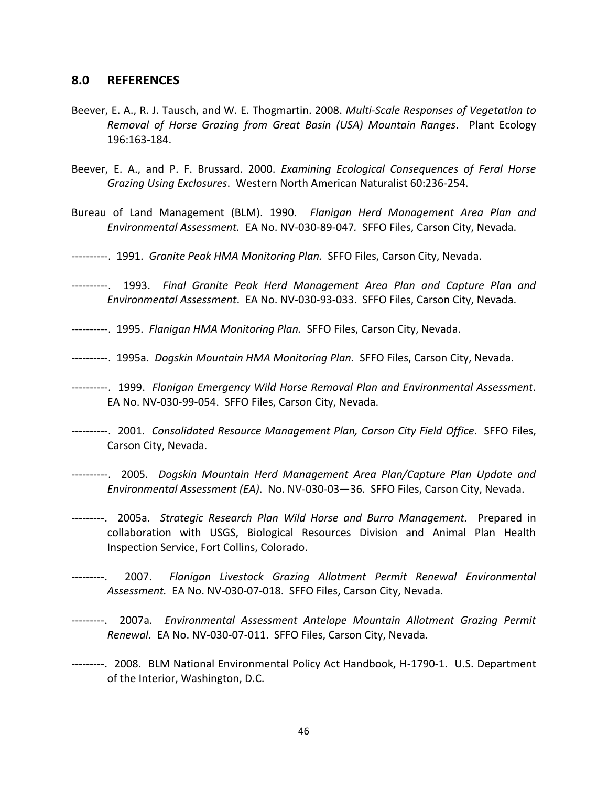#### **8.0 REFERENCES**

- Beever, E. A., R. J. Tausch, and W. E. Thogmartin. 2008. *Multi-Scale Responses of Vegetation to Removal of Horse Grazing from Great Basin (USA) Mountain Ranges*. Plant Ecology 196:163-184.
- Beever, E. A., and P. F. Brussard. 2000. *Examining Ecological Consequences of Feral Horse Grazing Using Exclosures*. Western North American Naturalist 60:236-254.
- Bureau of Land Management (BLM). 1990. *Flanigan Herd Management Area Plan and Environmental Assessment.* EA No. NV-030-89-047*.* SFFO Files, Carson City, Nevada.
- ----------. 1991. *Granite Peak HMA Monitoring Plan.* SFFO Files, Carson City, Nevada.
- ----------. 1993. *Final Granite Peak Herd Management Area Plan and Capture Plan and Environmental Assessment*. EA No. NV-030-93-033. SFFO Files, Carson City, Nevada.
- ----------. 1995. *Flanigan HMA Monitoring Plan.* SFFO Files, Carson City, Nevada.
- ----------. 1995a. *Dogskin Mountain HMA Monitoring Plan.* SFFO Files, Carson City, Nevada.
- ----------. 1999. *Flanigan Emergency Wild Horse Removal Plan and Environmental Assessment*. EA No. NV-030-99-054. SFFO Files, Carson City, Nevada.
- ----------. 2001. *Consolidated Resource Management Plan, Carson City Field Office*. SFFO Files, Carson City, Nevada.
- ----------. 2005. *Dogskin Mountain Herd Management Area Plan/Capture Plan Update and Environmental Assessment (EA)*. No. NV-030-03—36. SFFO Files, Carson City, Nevada.
- ---------. 2005a. *Strategic Research Plan Wild Horse and Burro Management.* Prepared in collaboration with USGS, Biological Resources Division and Animal Plan Health Inspection Service, Fort Collins, Colorado.
- ---------. 2007. *Flanigan Livestock Grazing Allotment Permit Renewal Environmental Assessment.* EA No. NV-030-07-018. SFFO Files, Carson City, Nevada.
- ---------. 2007a. *Environmental Assessment Antelope Mountain Allotment Grazing Permit Renewal*. EA No. NV-030-07-011. SFFO Files, Carson City, Nevada.
- ---------. 2008. BLM National Environmental Policy Act Handbook, H-1790-1. U.S. Department of the Interior, Washington, D.C.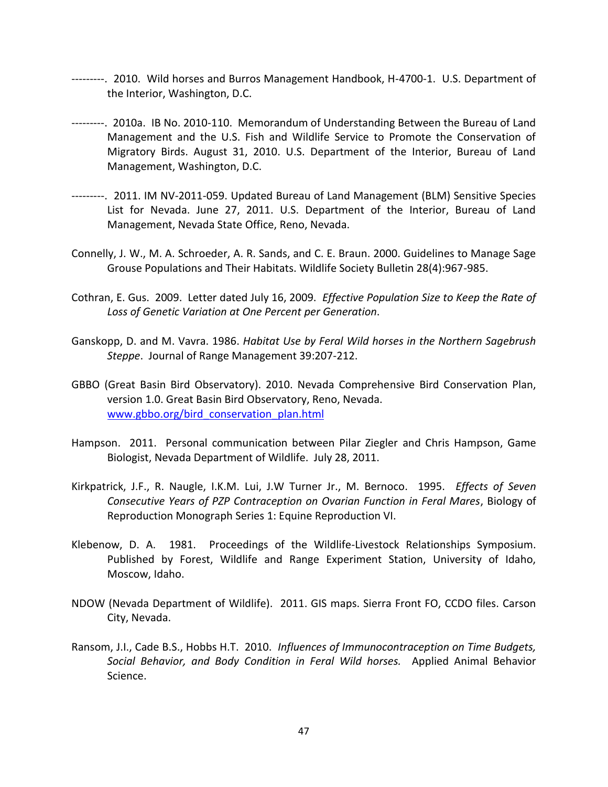- ---------. 2010. Wild horses and Burros Management Handbook, H-4700-1. U.S. Department of the Interior, Washington, D.C.
- ---------. 2010a. IB No. 2010-110. Memorandum of Understanding Between the Bureau of Land Management and the U.S. Fish and Wildlife Service to Promote the Conservation of Migratory Birds. August 31, 2010. U.S. Department of the Interior, Bureau of Land Management, Washington, D.C.
- ---------. 2011. IM NV-2011-059. Updated Bureau of Land Management (BLM) Sensitive Species List for Nevada. June 27, 2011. U.S. Department of the Interior, Bureau of Land Management, Nevada State Office, Reno, Nevada.
- Connelly, J. W., M. A. Schroeder, A. R. Sands, and C. E. Braun. 2000. Guidelines to Manage Sage Grouse Populations and Their Habitats. Wildlife Society Bulletin 28(4):967-985.
- Cothran, E. Gus. 2009. Letter dated July 16, 2009. *Effective Population Size to Keep the Rate of Loss of Genetic Variation at One Percent per Generation*.
- Ganskopp, D. and M. Vavra. 1986. *Habitat Use by Feral Wild horses in the Northern Sagebrush Steppe*. Journal of Range Management 39:207-212.
- GBBO (Great Basin Bird Observatory). 2010. Nevada Comprehensive Bird Conservation Plan, version 1.0. Great Basin Bird Observatory, Reno, Nevada. [www.gbbo.org/bird\\_conservation\\_plan.html](http://www.gbbo.org/bird_conservation_plan.html)
- Hampson. 2011. Personal communication between Pilar Ziegler and Chris Hampson, Game Biologist, Nevada Department of Wildlife. July 28, 2011.
- Kirkpatrick, J.F., R. Naugle, I.K.M. Lui, J.W Turner Jr., M. Bernoco. 1995. *Effects of Seven Consecutive Years of PZP Contraception on Ovarian Function in Feral Mares*, Biology of Reproduction Monograph Series 1: Equine Reproduction VI.
- Klebenow, D. A. 1981. Proceedings of the Wildlife-Livestock Relationships Symposium. Published by Forest, Wildlife and Range Experiment Station, University of Idaho, Moscow, Idaho.
- NDOW (Nevada Department of Wildlife). 2011. GIS maps. Sierra Front FO, CCDO files. Carson City, Nevada.
- Ransom, J.I., Cade B.S., Hobbs H.T. 2010. *Influences of Immunocontraception on Time Budgets, Social Behavior, and Body Condition in Feral Wild horses.* Applied Animal Behavior Science.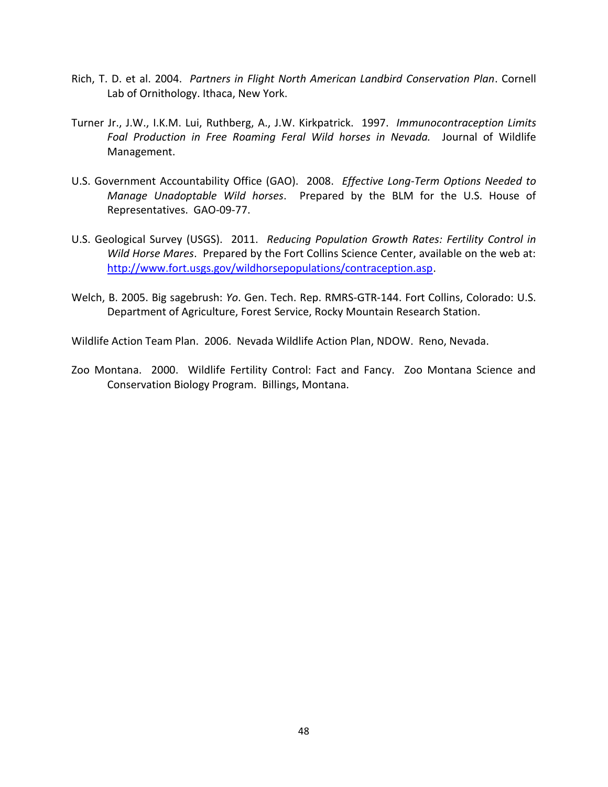- Rich, T. D. et al. 2004. *Partners in Flight North American Landbird Conservation Plan*. Cornell Lab of Ornithology. Ithaca, New York.
- Turner Jr., J.W., I.K.M. Lui, Ruthberg, A., J.W. Kirkpatrick. 1997. *Immunocontraception Limits Foal Production in Free Roaming Feral Wild horses in Nevada.* Journal of Wildlife Management.
- U.S. Government Accountability Office (GAO). 2008. *Effective Long-Term Options Needed to Manage Unadoptable Wild horses*. Prepared by the BLM for the U.S. House of Representatives. GAO-09-77.
- U.S. Geological Survey (USGS). 2011. *Reducing Population Growth Rates: Fertility Control in Wild Horse Mares*. Prepared by the Fort Collins Science Center, available on the web at: [http://www.fort.usgs.gov/wildhorsepopulations/contraception.asp.](http://www.fort.usgs.gov/wildhorsepopulations/contraception.asp)
- Welch, B. 2005. Big sagebrush: *Yo*. Gen. Tech. Rep. RMRS-GTR-144. Fort Collins, Colorado: U.S. Department of Agriculture, Forest Service, Rocky Mountain Research Station.

Wildlife Action Team Plan. 2006. Nevada Wildlife Action Plan, NDOW. Reno, Nevada.

Zoo Montana. 2000. Wildlife Fertility Control: Fact and Fancy. Zoo Montana Science and Conservation Biology Program. Billings, Montana.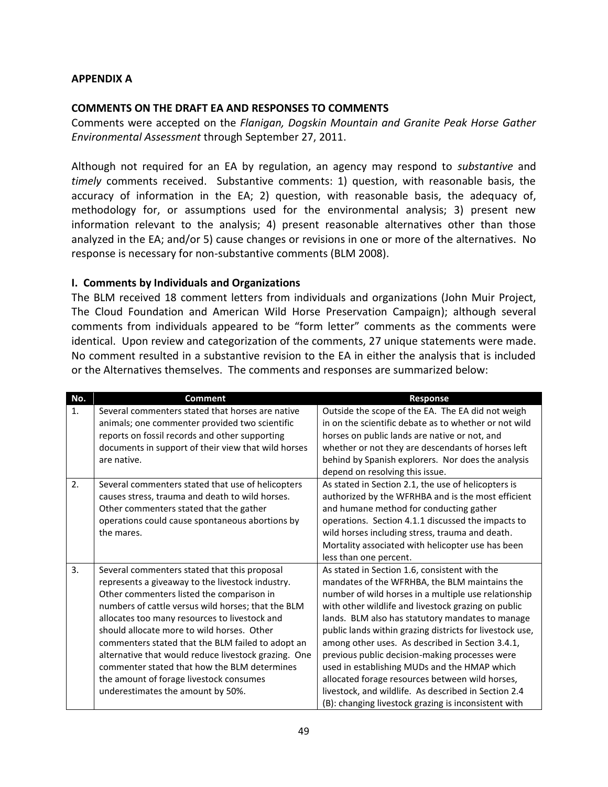#### **APPENDIX A**

#### **COMMENTS ON THE DRAFT EA AND RESPONSES TO COMMENTS**

Comments were accepted on the *Flanigan, Dogskin Mountain and Granite Peak Horse Gather Environmental Assessment* through September 27, 2011.

Although not required for an EA by regulation, an agency may respond to *substantive* and *timely* comments received. Substantive comments: 1) question, with reasonable basis, the accuracy of information in the EA; 2) question, with reasonable basis, the adequacy of, methodology for, or assumptions used for the environmental analysis; 3) present new information relevant to the analysis; 4) present reasonable alternatives other than those analyzed in the EA; and/or 5) cause changes or revisions in one or more of the alternatives. No response is necessary for non-substantive comments (BLM 2008).

#### **I. Comments by Individuals and Organizations**

The BLM received 18 comment letters from individuals and organizations (John Muir Project, The Cloud Foundation and American Wild Horse Preservation Campaign); although several comments from individuals appeared to be "form letter" comments as the comments were identical. Upon review and categorization of the comments, 27 unique statements were made. No comment resulted in a substantive revision to the EA in either the analysis that is included or the Alternatives themselves. The comments and responses are summarized below:

| No. | <b>Comment</b>                                                                                                                                                                                                                                                                                                                                                                                                                                                                                                                                  | <b>Response</b>                                                                                                                                                                                                                                                                                                                                                                                                                                                                                                                                                                                                                                        |
|-----|-------------------------------------------------------------------------------------------------------------------------------------------------------------------------------------------------------------------------------------------------------------------------------------------------------------------------------------------------------------------------------------------------------------------------------------------------------------------------------------------------------------------------------------------------|--------------------------------------------------------------------------------------------------------------------------------------------------------------------------------------------------------------------------------------------------------------------------------------------------------------------------------------------------------------------------------------------------------------------------------------------------------------------------------------------------------------------------------------------------------------------------------------------------------------------------------------------------------|
| 1.  | Several commenters stated that horses are native<br>animals; one commenter provided two scientific<br>reports on fossil records and other supporting<br>documents in support of their view that wild horses<br>are native.                                                                                                                                                                                                                                                                                                                      | Outside the scope of the EA. The EA did not weigh<br>in on the scientific debate as to whether or not wild<br>horses on public lands are native or not, and<br>whether or not they are descendants of horses left<br>behind by Spanish explorers. Nor does the analysis<br>depend on resolving this issue.                                                                                                                                                                                                                                                                                                                                             |
| 2.  | Several commenters stated that use of helicopters<br>causes stress, trauma and death to wild horses.<br>Other commenters stated that the gather<br>operations could cause spontaneous abortions by<br>the mares.                                                                                                                                                                                                                                                                                                                                | As stated in Section 2.1, the use of helicopters is<br>authorized by the WFRHBA and is the most efficient<br>and humane method for conducting gather<br>operations. Section 4.1.1 discussed the impacts to<br>wild horses including stress, trauma and death.<br>Mortality associated with helicopter use has been<br>less than one percent.                                                                                                                                                                                                                                                                                                           |
| 3.  | Several commenters stated that this proposal<br>represents a giveaway to the livestock industry.<br>Other commenters listed the comparison in<br>numbers of cattle versus wild horses; that the BLM<br>allocates too many resources to livestock and<br>should allocate more to wild horses. Other<br>commenters stated that the BLM failed to adopt an<br>alternative that would reduce livestock grazing. One<br>commenter stated that how the BLM determines<br>the amount of forage livestock consumes<br>underestimates the amount by 50%. | As stated in Section 1.6, consistent with the<br>mandates of the WFRHBA, the BLM maintains the<br>number of wild horses in a multiple use relationship<br>with other wildlife and livestock grazing on public<br>lands. BLM also has statutory mandates to manage<br>public lands within grazing districts for livestock use,<br>among other uses. As described in Section 3.4.1,<br>previous public decision-making processes were<br>used in establishing MUDs and the HMAP which<br>allocated forage resources between wild horses,<br>livestock, and wildlife. As described in Section 2.4<br>(B): changing livestock grazing is inconsistent with |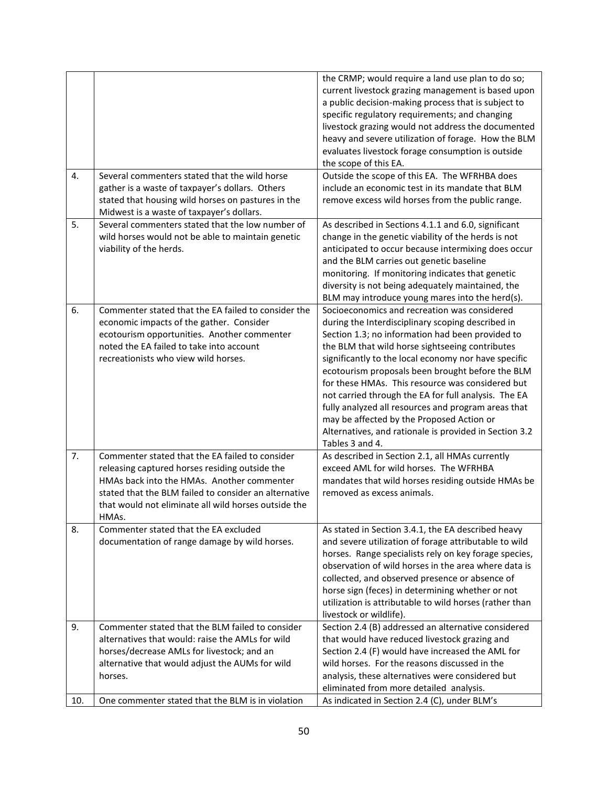| 4.  | Several commenters stated that the wild horse                                                                                                                                                                                                                             | the CRMP; would require a land use plan to do so;<br>current livestock grazing management is based upon<br>a public decision-making process that is subject to<br>specific regulatory requirements; and changing<br>livestock grazing would not address the documented<br>heavy and severe utilization of forage. How the BLM<br>evaluates livestock forage consumption is outside<br>the scope of this EA.<br>Outside the scope of this EA. The WFRHBA does                                                                                                                                                      |
|-----|---------------------------------------------------------------------------------------------------------------------------------------------------------------------------------------------------------------------------------------------------------------------------|-------------------------------------------------------------------------------------------------------------------------------------------------------------------------------------------------------------------------------------------------------------------------------------------------------------------------------------------------------------------------------------------------------------------------------------------------------------------------------------------------------------------------------------------------------------------------------------------------------------------|
|     | gather is a waste of taxpayer's dollars. Others<br>stated that housing wild horses on pastures in the<br>Midwest is a waste of taxpayer's dollars.                                                                                                                        | include an economic test in its mandate that BLM<br>remove excess wild horses from the public range.                                                                                                                                                                                                                                                                                                                                                                                                                                                                                                              |
| 5.  | Several commenters stated that the low number of<br>wild horses would not be able to maintain genetic<br>viability of the herds.                                                                                                                                          | As described in Sections 4.1.1 and 6.0, significant<br>change in the genetic viability of the herds is not<br>anticipated to occur because intermixing does occur<br>and the BLM carries out genetic baseline<br>monitoring. If monitoring indicates that genetic<br>diversity is not being adequately maintained, the<br>BLM may introduce young mares into the herd(s).                                                                                                                                                                                                                                         |
| 6.  | Commenter stated that the EA failed to consider the<br>economic impacts of the gather. Consider<br>ecotourism opportunities. Another commenter<br>noted the EA failed to take into account<br>recreationists who view wild horses.                                        | Socioeconomics and recreation was considered<br>during the Interdisciplinary scoping described in<br>Section 1.3; no information had been provided to<br>the BLM that wild horse sightseeing contributes<br>significantly to the local economy nor have specific<br>ecotourism proposals been brought before the BLM<br>for these HMAs. This resource was considered but<br>not carried through the EA for full analysis. The EA<br>fully analyzed all resources and program areas that<br>may be affected by the Proposed Action or<br>Alternatives, and rationale is provided in Section 3.2<br>Tables 3 and 4. |
| 7.  | Commenter stated that the EA failed to consider<br>releasing captured horses residing outside the<br>HMAs back into the HMAs. Another commenter<br>stated that the BLM failed to consider an alternative<br>that would not eliminate all wild horses outside the<br>HMAs. | As described in Section 2.1, all HMAs currently<br>exceed AML for wild horses. The WFRHBA<br>mandates that wild horses residing outside HMAs be<br>removed as excess animals.                                                                                                                                                                                                                                                                                                                                                                                                                                     |
| 8.  | Commenter stated that the EA excluded<br>documentation of range damage by wild horses.                                                                                                                                                                                    | As stated in Section 3.4.1, the EA described heavy<br>and severe utilization of forage attributable to wild<br>horses. Range specialists rely on key forage species,<br>observation of wild horses in the area where data is<br>collected, and observed presence or absence of<br>horse sign (feces) in determining whether or not<br>utilization is attributable to wild horses (rather than<br>livestock or wildlife).                                                                                                                                                                                          |
| 9.  | Commenter stated that the BLM failed to consider<br>alternatives that would: raise the AMLs for wild<br>horses/decrease AMLs for livestock; and an<br>alternative that would adjust the AUMs for wild<br>horses.                                                          | Section 2.4 (B) addressed an alternative considered<br>that would have reduced livestock grazing and<br>Section 2.4 (F) would have increased the AML for<br>wild horses. For the reasons discussed in the<br>analysis, these alternatives were considered but<br>eliminated from more detailed analysis.                                                                                                                                                                                                                                                                                                          |
| 10. | One commenter stated that the BLM is in violation                                                                                                                                                                                                                         | As indicated in Section 2.4 (C), under BLM's                                                                                                                                                                                                                                                                                                                                                                                                                                                                                                                                                                      |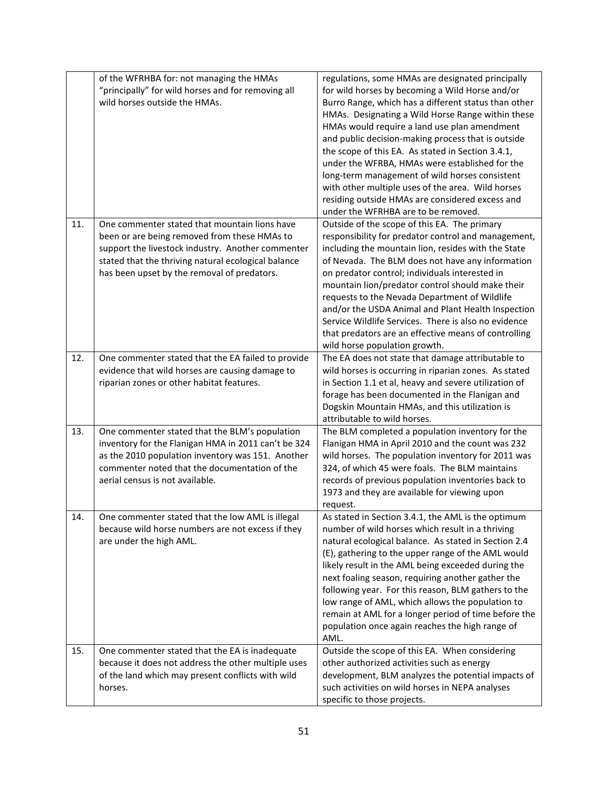|     | of the WFRHBA for: not managing the HMAs<br>"principally" for wild horses and for removing all<br>wild horses outside the HMAs.                                                                                                                          | regulations, some HMAs are designated principally<br>for wild horses by becoming a Wild Horse and/or<br>Burro Range, which has a different status than other<br>HMAs. Designating a Wild Horse Range within these<br>HMAs would require a land use plan amendment<br>and public decision-making process that is outside<br>the scope of this EA. As stated in Section 3.4.1,<br>under the WFRBA, HMAs were established for the<br>long-term management of wild horses consistent<br>with other multiple uses of the area. Wild horses<br>residing outside HMAs are considered excess and<br>under the WFRHBA are to be removed. |
|-----|----------------------------------------------------------------------------------------------------------------------------------------------------------------------------------------------------------------------------------------------------------|---------------------------------------------------------------------------------------------------------------------------------------------------------------------------------------------------------------------------------------------------------------------------------------------------------------------------------------------------------------------------------------------------------------------------------------------------------------------------------------------------------------------------------------------------------------------------------------------------------------------------------|
| 11. | One commenter stated that mountain lions have<br>been or are being removed from these HMAs to<br>support the livestock industry. Another commenter<br>stated that the thriving natural ecological balance<br>has been upset by the removal of predators. | Outside of the scope of this EA. The primary<br>responsibility for predator control and management,<br>including the mountain lion, resides with the State<br>of Nevada. The BLM does not have any information<br>on predator control; individuals interested in<br>mountain lion/predator control should make their<br>requests to the Nevada Department of Wildlife<br>and/or the USDA Animal and Plant Health Inspection<br>Service Wildlife Services. There is also no evidence<br>that predators are an effective means of controlling<br>wild horse population growth.                                                    |
| 12. | One commenter stated that the EA failed to provide<br>evidence that wild horses are causing damage to<br>riparian zones or other habitat features.                                                                                                       | The EA does not state that damage attributable to<br>wild horses is occurring in riparian zones. As stated<br>in Section 1.1 et al, heavy and severe utilization of<br>forage has been documented in the Flanigan and<br>Dogskin Mountain HMAs, and this utilization is<br>attributable to wild horses.                                                                                                                                                                                                                                                                                                                         |
| 13. | One commenter stated that the BLM's population<br>inventory for the Flanigan HMA in 2011 can't be 324<br>as the 2010 population inventory was 151. Another<br>commenter noted that the documentation of the<br>aerial census is not available.           | The BLM completed a population inventory for the<br>Flanigan HMA in April 2010 and the count was 232<br>wild horses. The population inventory for 2011 was<br>324, of which 45 were foals. The BLM maintains<br>records of previous population inventories back to<br>1973 and they are available for viewing upon<br>request.                                                                                                                                                                                                                                                                                                  |
| 14. | One commenter stated that the low AML is illegal<br>because wild horse numbers are not excess if they<br>are under the high AML.                                                                                                                         | As stated in Section 3.4.1, the AML is the optimum<br>number of wild horses which result in a thriving<br>natural ecological balance. As stated in Section 2.4<br>(E), gathering to the upper range of the AML would<br>likely result in the AML being exceeded during the<br>next foaling season, requiring another gather the<br>following year. For this reason, BLM gathers to the<br>low range of AML, which allows the population to<br>remain at AML for a longer period of time before the<br>population once again reaches the high range of<br>AML.                                                                   |
| 15. | One commenter stated that the EA is inadequate<br>because it does not address the other multiple uses<br>of the land which may present conflicts with wild<br>horses.                                                                                    | Outside the scope of this EA. When considering<br>other authorized activities such as energy<br>development, BLM analyzes the potential impacts of<br>such activities on wild horses in NEPA analyses<br>specific to those projects.                                                                                                                                                                                                                                                                                                                                                                                            |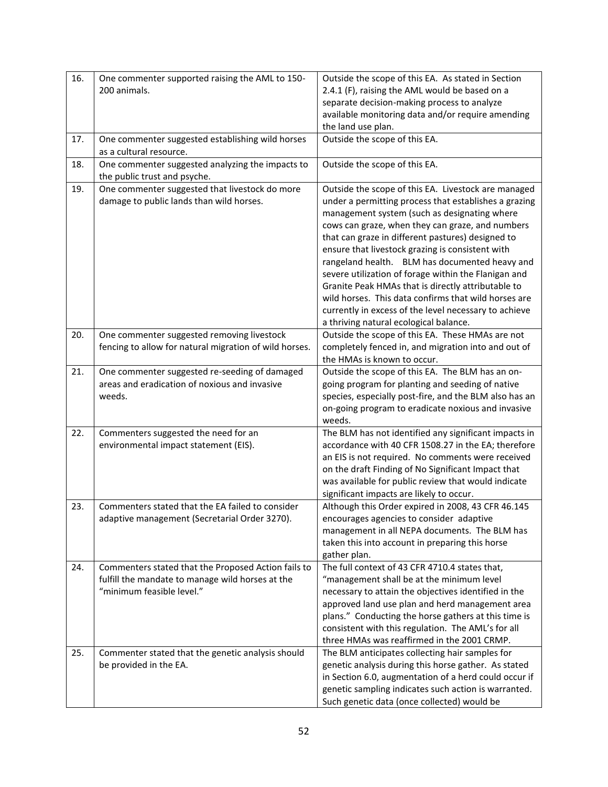| 16. | One commenter supported raising the AML to 150-<br>200 animals.                                                                      | Outside the scope of this EA. As stated in Section<br>2.4.1 (F), raising the AML would be based on a<br>separate decision-making process to analyze<br>available monitoring data and/or require amending<br>the land use plan.                                                                                                                                                                                                                                                                                                                                                                                                                       |
|-----|--------------------------------------------------------------------------------------------------------------------------------------|------------------------------------------------------------------------------------------------------------------------------------------------------------------------------------------------------------------------------------------------------------------------------------------------------------------------------------------------------------------------------------------------------------------------------------------------------------------------------------------------------------------------------------------------------------------------------------------------------------------------------------------------------|
| 17. | One commenter suggested establishing wild horses<br>as a cultural resource.                                                          | Outside the scope of this EA.                                                                                                                                                                                                                                                                                                                                                                                                                                                                                                                                                                                                                        |
| 18. | One commenter suggested analyzing the impacts to<br>the public trust and psyche.                                                     | Outside the scope of this EA.                                                                                                                                                                                                                                                                                                                                                                                                                                                                                                                                                                                                                        |
| 19. | One commenter suggested that livestock do more<br>damage to public lands than wild horses.                                           | Outside the scope of this EA. Livestock are managed<br>under a permitting process that establishes a grazing<br>management system (such as designating where<br>cows can graze, when they can graze, and numbers<br>that can graze in different pastures) designed to<br>ensure that livestock grazing is consistent with<br>rangeland health. BLM has documented heavy and<br>severe utilization of forage within the Flanigan and<br>Granite Peak HMAs that is directly attributable to<br>wild horses. This data confirms that wild horses are<br>currently in excess of the level necessary to achieve<br>a thriving natural ecological balance. |
| 20. | One commenter suggested removing livestock<br>fencing to allow for natural migration of wild horses.                                 | Outside the scope of this EA. These HMAs are not<br>completely fenced in, and migration into and out of<br>the HMAs is known to occur.                                                                                                                                                                                                                                                                                                                                                                                                                                                                                                               |
| 21. | One commenter suggested re-seeding of damaged<br>areas and eradication of noxious and invasive<br>weeds.                             | Outside the scope of this EA. The BLM has an on-<br>going program for planting and seeding of native<br>species, especially post-fire, and the BLM also has an<br>on-going program to eradicate noxious and invasive<br>weeds.                                                                                                                                                                                                                                                                                                                                                                                                                       |
| 22. | Commenters suggested the need for an<br>environmental impact statement (EIS).                                                        | The BLM has not identified any significant impacts in<br>accordance with 40 CFR 1508.27 in the EA; therefore<br>an EIS is not required. No comments were received<br>on the draft Finding of No Significant Impact that<br>was available for public review that would indicate<br>significant impacts are likely to occur.                                                                                                                                                                                                                                                                                                                           |
| 23. | Commenters stated that the EA failed to consider<br>adaptive management (Secretarial Order 3270).                                    | Although this Order expired in 2008, 43 CFR 46.145<br>encourages agencies to consider adaptive<br>management in all NEPA documents. The BLM has<br>taken this into account in preparing this horse<br>gather plan.                                                                                                                                                                                                                                                                                                                                                                                                                                   |
| 24. | Commenters stated that the Proposed Action fails to<br>fulfill the mandate to manage wild horses at the<br>"minimum feasible level." | The full context of 43 CFR 4710.4 states that,<br>"management shall be at the minimum level<br>necessary to attain the objectives identified in the<br>approved land use plan and herd management area<br>plans." Conducting the horse gathers at this time is<br>consistent with this regulation. The AML's for all<br>three HMAs was reaffirmed in the 2001 CRMP.                                                                                                                                                                                                                                                                                  |
| 25. | Commenter stated that the genetic analysis should<br>be provided in the EA.                                                          | The BLM anticipates collecting hair samples for<br>genetic analysis during this horse gather. As stated<br>in Section 6.0, augmentation of a herd could occur if<br>genetic sampling indicates such action is warranted.<br>Such genetic data (once collected) would be                                                                                                                                                                                                                                                                                                                                                                              |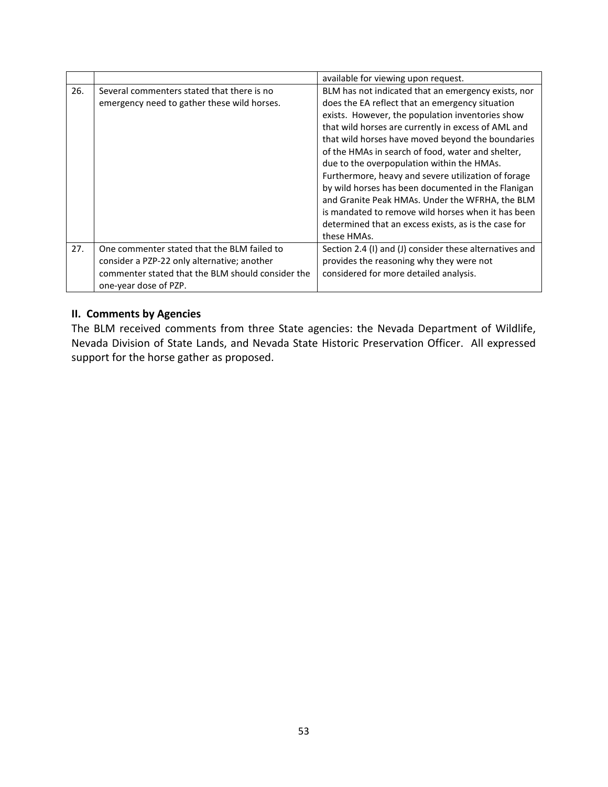|     |                                                   | available for viewing upon request.                     |
|-----|---------------------------------------------------|---------------------------------------------------------|
| 26. | Several commenters stated that there is no        | BLM has not indicated that an emergency exists, nor     |
|     | emergency need to gather these wild horses.       | does the EA reflect that an emergency situation         |
|     |                                                   | exists. However, the population inventories show        |
|     |                                                   | that wild horses are currently in excess of AML and     |
|     |                                                   | that wild horses have moved beyond the boundaries       |
|     |                                                   | of the HMAs in search of food, water and shelter,       |
|     |                                                   | due to the overpopulation within the HMAs.              |
|     |                                                   | Furthermore, heavy and severe utilization of forage     |
|     |                                                   | by wild horses has been documented in the Flanigan      |
|     |                                                   | and Granite Peak HMAs. Under the WFRHA, the BLM         |
|     |                                                   | is mandated to remove wild horses when it has been      |
|     |                                                   | determined that an excess exists, as is the case for    |
|     |                                                   | these HMAs.                                             |
| 27. | One commenter stated that the BLM failed to       | Section 2.4 (I) and (J) consider these alternatives and |
|     | consider a PZP-22 only alternative; another       | provides the reasoning why they were not                |
|     | commenter stated that the BLM should consider the | considered for more detailed analysis.                  |
|     | one-year dose of PZP.                             |                                                         |

# **II. Comments by Agencies**

The BLM received comments from three State agencies: the Nevada Department of Wildlife, Nevada Division of State Lands, and Nevada State Historic Preservation Officer. All expressed support for the horse gather as proposed.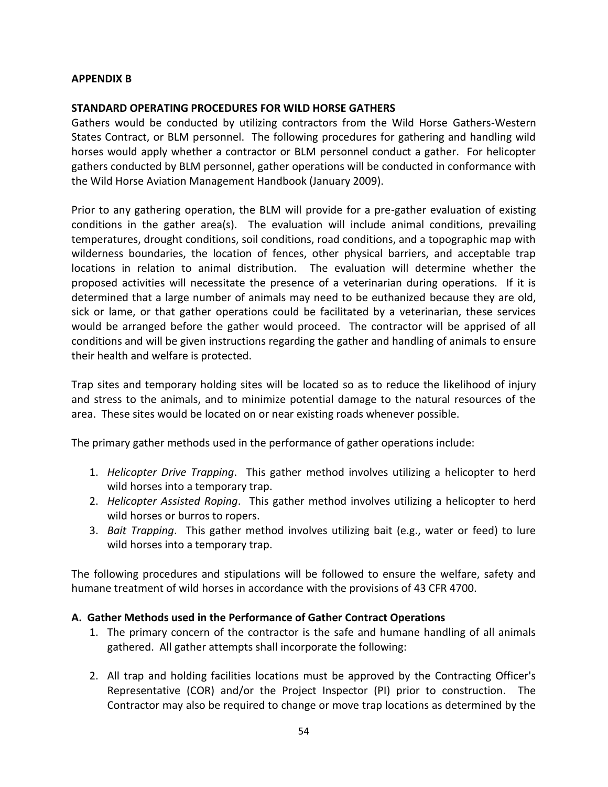## **APPENDIX B**

## **STANDARD OPERATING PROCEDURES FOR WILD HORSE GATHERS**

Gathers would be conducted by utilizing contractors from the Wild Horse Gathers-Western States Contract, or BLM personnel. The following procedures for gathering and handling wild horses would apply whether a contractor or BLM personnel conduct a gather. For helicopter gathers conducted by BLM personnel, gather operations will be conducted in conformance with the Wild Horse Aviation Management Handbook (January 2009).

Prior to any gathering operation, the BLM will provide for a pre-gather evaluation of existing conditions in the gather area(s). The evaluation will include animal conditions, prevailing temperatures, drought conditions, soil conditions, road conditions, and a topographic map with wilderness boundaries, the location of fences, other physical barriers, and acceptable trap locations in relation to animal distribution. The evaluation will determine whether the proposed activities will necessitate the presence of a veterinarian during operations. If it is determined that a large number of animals may need to be euthanized because they are old, sick or lame, or that gather operations could be facilitated by a veterinarian, these services would be arranged before the gather would proceed. The contractor will be apprised of all conditions and will be given instructions regarding the gather and handling of animals to ensure their health and welfare is protected.

Trap sites and temporary holding sites will be located so as to reduce the likelihood of injury and stress to the animals, and to minimize potential damage to the natural resources of the area. These sites would be located on or near existing roads whenever possible.

The primary gather methods used in the performance of gather operations include:

- 1. *Helicopter Drive Trapping*. This gather method involves utilizing a helicopter to herd wild horses into a temporary trap.
- 2. *Helicopter Assisted Roping*. This gather method involves utilizing a helicopter to herd wild horses or burros to ropers.
- 3. *Bait Trapping*. This gather method involves utilizing bait (e.g., water or feed) to lure wild horses into a temporary trap.

The following procedures and stipulations will be followed to ensure the welfare, safety and humane treatment of wild horses in accordance with the provisions of 43 CFR 4700.

## **A. Gather Methods used in the Performance of Gather Contract Operations**

- 1. The primary concern of the contractor is the safe and humane handling of all animals gathered. All gather attempts shall incorporate the following:
- 2. All trap and holding facilities locations must be approved by the Contracting Officer's Representative (COR) and/or the Project Inspector (PI) prior to construction. The Contractor may also be required to change or move trap locations as determined by the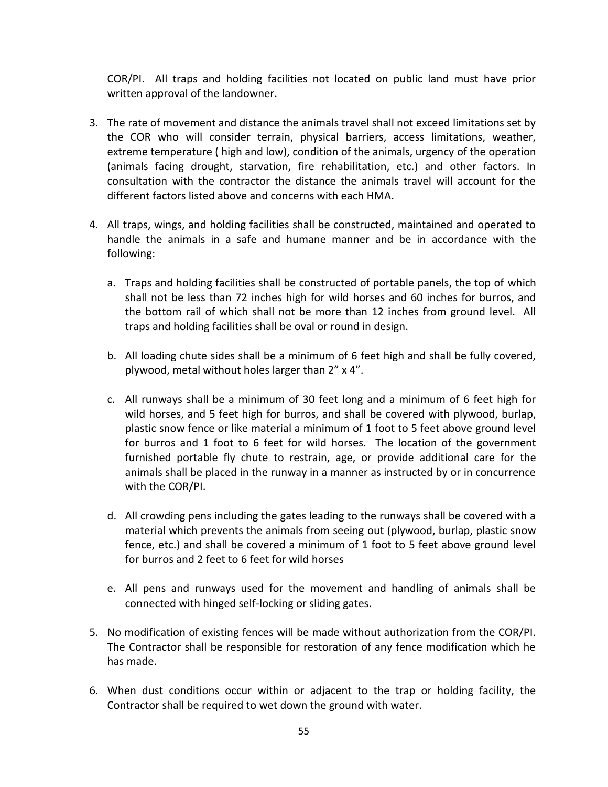COR/PI. All traps and holding facilities not located on public land must have prior written approval of the landowner.

- 3. The rate of movement and distance the animals travel shall not exceed limitations set by the COR who will consider terrain, physical barriers, access limitations, weather, extreme temperature ( high and low), condition of the animals, urgency of the operation (animals facing drought, starvation, fire rehabilitation, etc.) and other factors. In consultation with the contractor the distance the animals travel will account for the different factors listed above and concerns with each HMA.
- 4. All traps, wings, and holding facilities shall be constructed, maintained and operated to handle the animals in a safe and humane manner and be in accordance with the following:
	- a. Traps and holding facilities shall be constructed of portable panels, the top of which shall not be less than 72 inches high for wild horses and 60 inches for burros, and the bottom rail of which shall not be more than 12 inches from ground level. All traps and holding facilities shall be oval or round in design.
	- b. All loading chute sides shall be a minimum of 6 feet high and shall be fully covered, plywood, metal without holes larger than 2" x 4".
	- c. All runways shall be a minimum of 30 feet long and a minimum of 6 feet high for wild horses, and 5 feet high for burros, and shall be covered with plywood, burlap, plastic snow fence or like material a minimum of 1 foot to 5 feet above ground level for burros and 1 foot to 6 feet for wild horses. The location of the government furnished portable fly chute to restrain, age, or provide additional care for the animals shall be placed in the runway in a manner as instructed by or in concurrence with the COR/PI.
	- d. All crowding pens including the gates leading to the runways shall be covered with a material which prevents the animals from seeing out (plywood, burlap, plastic snow fence, etc.) and shall be covered a minimum of 1 foot to 5 feet above ground level for burros and 2 feet to 6 feet for wild horses
	- e. All pens and runways used for the movement and handling of animals shall be connected with hinged self-locking or sliding gates.
- 5. No modification of existing fences will be made without authorization from the COR/PI. The Contractor shall be responsible for restoration of any fence modification which he has made.
- 6. When dust conditions occur within or adjacent to the trap or holding facility, the Contractor shall be required to wet down the ground with water.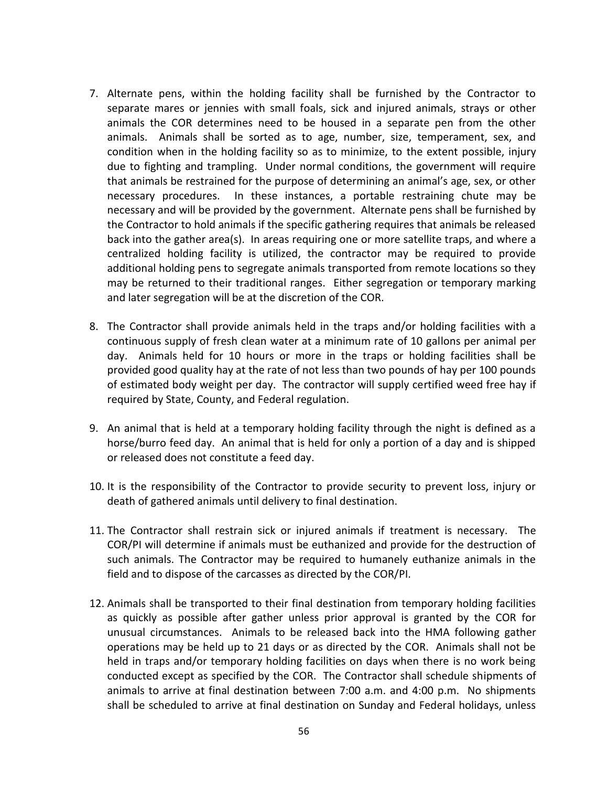- 7. Alternate pens, within the holding facility shall be furnished by the Contractor to separate mares or jennies with small foals, sick and injured animals, strays or other animals the COR determines need to be housed in a separate pen from the other animals. Animals shall be sorted as to age, number, size, temperament, sex, and condition when in the holding facility so as to minimize, to the extent possible, injury due to fighting and trampling. Under normal conditions, the government will require that animals be restrained for the purpose of determining an animal's age, sex, or other necessary procedures. In these instances, a portable restraining chute may be necessary and will be provided by the government. Alternate pens shall be furnished by the Contractor to hold animals if the specific gathering requires that animals be released back into the gather area(s). In areas requiring one or more satellite traps, and where a centralized holding facility is utilized, the contractor may be required to provide additional holding pens to segregate animals transported from remote locations so they may be returned to their traditional ranges. Either segregation or temporary marking and later segregation will be at the discretion of the COR.
- 8. The Contractor shall provide animals held in the traps and/or holding facilities with a continuous supply of fresh clean water at a minimum rate of 10 gallons per animal per day. Animals held for 10 hours or more in the traps or holding facilities shall be provided good quality hay at the rate of not less than two pounds of hay per 100 pounds of estimated body weight per day. The contractor will supply certified weed free hay if required by State, County, and Federal regulation.
- 9. An animal that is held at a temporary holding facility through the night is defined as a horse/burro feed day. An animal that is held for only a portion of a day and is shipped or released does not constitute a feed day.
- 10. It is the responsibility of the Contractor to provide security to prevent loss, injury or death of gathered animals until delivery to final destination.
- 11. The Contractor shall restrain sick or injured animals if treatment is necessary. The COR/PI will determine if animals must be euthanized and provide for the destruction of such animals. The Contractor may be required to humanely euthanize animals in the field and to dispose of the carcasses as directed by the COR/PI.
- 12. Animals shall be transported to their final destination from temporary holding facilities as quickly as possible after gather unless prior approval is granted by the COR for unusual circumstances. Animals to be released back into the HMA following gather operations may be held up to 21 days or as directed by the COR. Animals shall not be held in traps and/or temporary holding facilities on days when there is no work being conducted except as specified by the COR. The Contractor shall schedule shipments of animals to arrive at final destination between 7:00 a.m. and 4:00 p.m. No shipments shall be scheduled to arrive at final destination on Sunday and Federal holidays, unless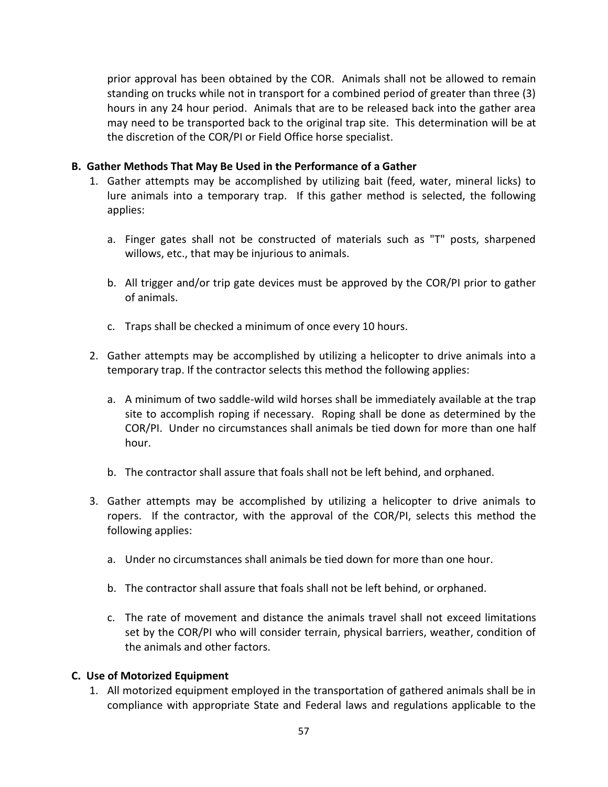prior approval has been obtained by the COR. Animals shall not be allowed to remain standing on trucks while not in transport for a combined period of greater than three (3) hours in any 24 hour period. Animals that are to be released back into the gather area may need to be transported back to the original trap site. This determination will be at the discretion of the COR/PI or Field Office horse specialist.

## **B. Gather Methods That May Be Used in the Performance of a Gather**

- 1. Gather attempts may be accomplished by utilizing bait (feed, water, mineral licks) to lure animals into a temporary trap. If this gather method is selected, the following applies:
	- a. Finger gates shall not be constructed of materials such as "T" posts, sharpened willows, etc., that may be injurious to animals.
	- b. All trigger and/or trip gate devices must be approved by the COR/PI prior to gather of animals.
	- c. Traps shall be checked a minimum of once every 10 hours.
- 2. Gather attempts may be accomplished by utilizing a helicopter to drive animals into a temporary trap. If the contractor selects this method the following applies:
	- a. A minimum of two saddle-wild wild horses shall be immediately available at the trap site to accomplish roping if necessary. Roping shall be done as determined by the COR/PI. Under no circumstances shall animals be tied down for more than one half hour.
	- b. The contractor shall assure that foals shall not be left behind, and orphaned.
- 3. Gather attempts may be accomplished by utilizing a helicopter to drive animals to ropers. If the contractor, with the approval of the COR/PI, selects this method the following applies:
	- a. Under no circumstances shall animals be tied down for more than one hour.
	- b. The contractor shall assure that foals shall not be left behind, or orphaned.
	- c. The rate of movement and distance the animals travel shall not exceed limitations set by the COR/PI who will consider terrain, physical barriers, weather, condition of the animals and other factors.

## **C. Use of Motorized Equipment**

1. All motorized equipment employed in the transportation of gathered animals shall be in compliance with appropriate State and Federal laws and regulations applicable to the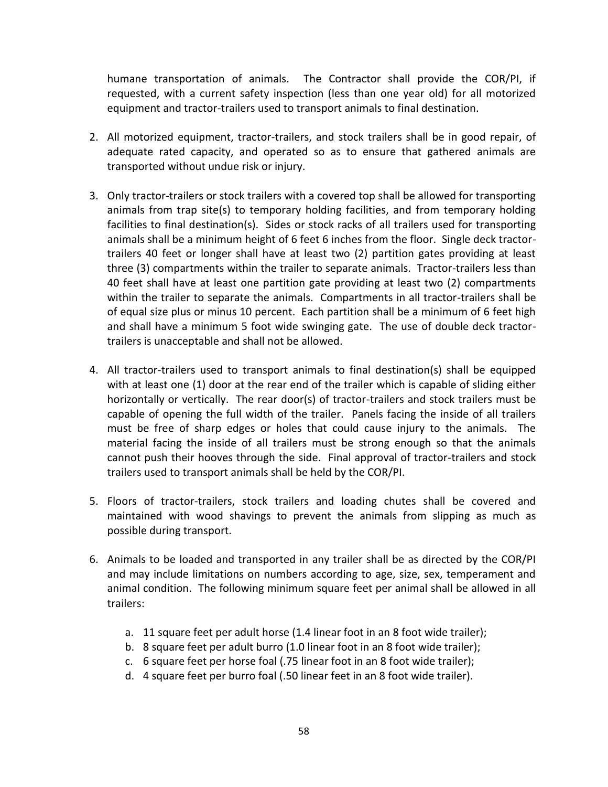humane transportation of animals. The Contractor shall provide the COR/PI, if requested, with a current safety inspection (less than one year old) for all motorized equipment and tractor-trailers used to transport animals to final destination.

- 2. All motorized equipment, tractor-trailers, and stock trailers shall be in good repair, of adequate rated capacity, and operated so as to ensure that gathered animals are transported without undue risk or injury.
- 3. Only tractor-trailers or stock trailers with a covered top shall be allowed for transporting animals from trap site(s) to temporary holding facilities, and from temporary holding facilities to final destination(s). Sides or stock racks of all trailers used for transporting animals shall be a minimum height of 6 feet 6 inches from the floor. Single deck tractortrailers 40 feet or longer shall have at least two (2) partition gates providing at least three (3) compartments within the trailer to separate animals. Tractor-trailers less than 40 feet shall have at least one partition gate providing at least two (2) compartments within the trailer to separate the animals. Compartments in all tractor-trailers shall be of equal size plus or minus 10 percent. Each partition shall be a minimum of 6 feet high and shall have a minimum 5 foot wide swinging gate. The use of double deck tractortrailers is unacceptable and shall not be allowed.
- 4. All tractor-trailers used to transport animals to final destination(s) shall be equipped with at least one (1) door at the rear end of the trailer which is capable of sliding either horizontally or vertically. The rear door(s) of tractor-trailers and stock trailers must be capable of opening the full width of the trailer. Panels facing the inside of all trailers must be free of sharp edges or holes that could cause injury to the animals. The material facing the inside of all trailers must be strong enough so that the animals cannot push their hooves through the side. Final approval of tractor-trailers and stock trailers used to transport animals shall be held by the COR/PI.
- 5. Floors of tractor-trailers, stock trailers and loading chutes shall be covered and maintained with wood shavings to prevent the animals from slipping as much as possible during transport.
- 6. Animals to be loaded and transported in any trailer shall be as directed by the COR/PI and may include limitations on numbers according to age, size, sex, temperament and animal condition. The following minimum square feet per animal shall be allowed in all trailers:
	- a. 11 square feet per adult horse (1.4 linear foot in an 8 foot wide trailer);
	- b. 8 square feet per adult burro (1.0 linear foot in an 8 foot wide trailer);
	- c. 6 square feet per horse foal (.75 linear foot in an 8 foot wide trailer);
	- d. 4 square feet per burro foal (.50 linear feet in an 8 foot wide trailer).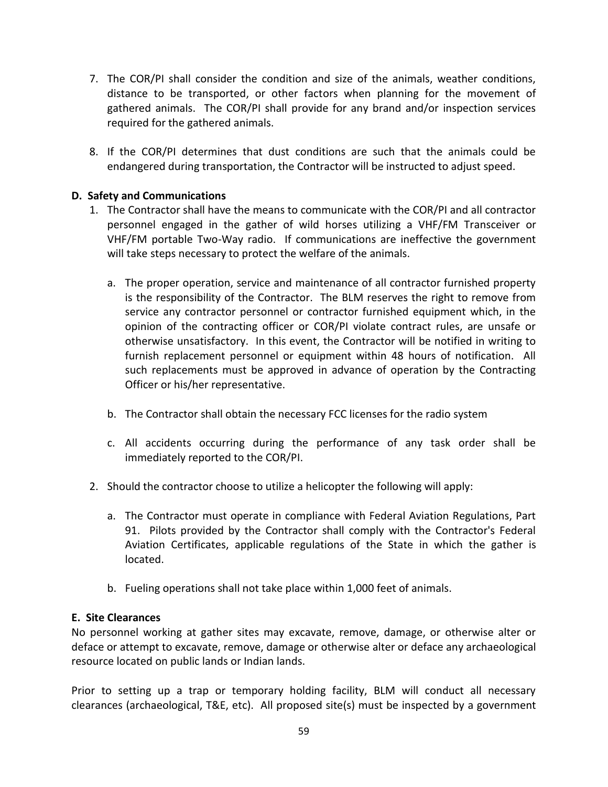- 7. The COR/PI shall consider the condition and size of the animals, weather conditions, distance to be transported, or other factors when planning for the movement of gathered animals. The COR/PI shall provide for any brand and/or inspection services required for the gathered animals.
- 8. If the COR/PI determines that dust conditions are such that the animals could be endangered during transportation, the Contractor will be instructed to adjust speed.

# **D. Safety and Communications**

- 1. The Contractor shall have the means to communicate with the COR/PI and all contractor personnel engaged in the gather of wild horses utilizing a VHF/FM Transceiver or VHF/FM portable Two-Way radio. If communications are ineffective the government will take steps necessary to protect the welfare of the animals.
	- a. The proper operation, service and maintenance of all contractor furnished property is the responsibility of the Contractor. The BLM reserves the right to remove from service any contractor personnel or contractor furnished equipment which, in the opinion of the contracting officer or COR/PI violate contract rules, are unsafe or otherwise unsatisfactory. In this event, the Contractor will be notified in writing to furnish replacement personnel or equipment within 48 hours of notification. All such replacements must be approved in advance of operation by the Contracting Officer or his/her representative.
	- b. The Contractor shall obtain the necessary FCC licenses for the radio system
	- c. All accidents occurring during the performance of any task order shall be immediately reported to the COR/PI.
- 2. Should the contractor choose to utilize a helicopter the following will apply:
	- a. The Contractor must operate in compliance with Federal Aviation Regulations, Part 91. Pilots provided by the Contractor shall comply with the Contractor's Federal Aviation Certificates, applicable regulations of the State in which the gather is located.
	- b. Fueling operations shall not take place within 1,000 feet of animals.

## **E. Site Clearances**

No personnel working at gather sites may excavate, remove, damage, or otherwise alter or deface or attempt to excavate, remove, damage or otherwise alter or deface any archaeological resource located on public lands or Indian lands.

Prior to setting up a trap or temporary holding facility, BLM will conduct all necessary clearances (archaeological, T&E, etc). All proposed site(s) must be inspected by a government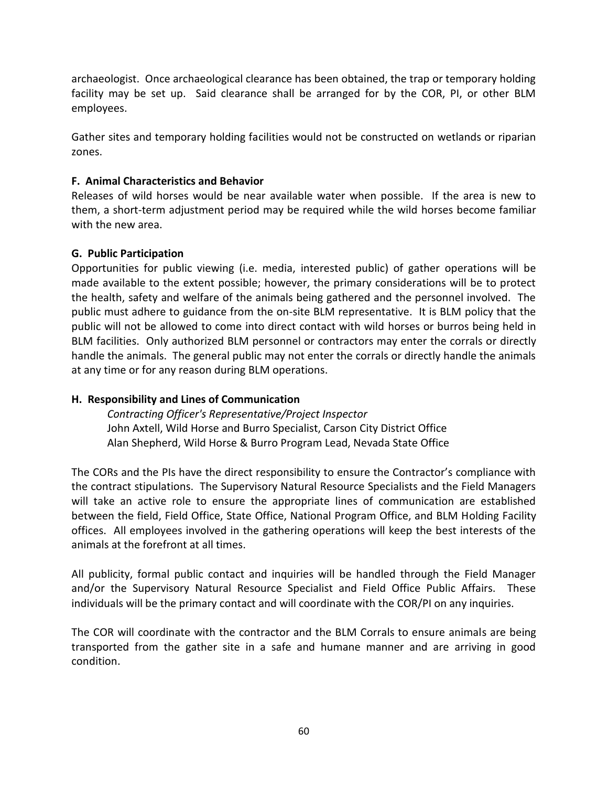archaeologist. Once archaeological clearance has been obtained, the trap or temporary holding facility may be set up. Said clearance shall be arranged for by the COR, PI, or other BLM employees.

Gather sites and temporary holding facilities would not be constructed on wetlands or riparian zones.

# **F. Animal Characteristics and Behavior**

Releases of wild horses would be near available water when possible. If the area is new to them, a short-term adjustment period may be required while the wild horses become familiar with the new area.

## **G. Public Participation**

Opportunities for public viewing (i.e. media, interested public) of gather operations will be made available to the extent possible; however, the primary considerations will be to protect the health, safety and welfare of the animals being gathered and the personnel involved. The public must adhere to guidance from the on-site BLM representative. It is BLM policy that the public will not be allowed to come into direct contact with wild horses or burros being held in BLM facilities. Only authorized BLM personnel or contractors may enter the corrals or directly handle the animals. The general public may not enter the corrals or directly handle the animals at any time or for any reason during BLM operations.

# **H. Responsibility and Lines of Communication**

*Contracting Officer's Representative/Project Inspector* John Axtell, Wild Horse and Burro Specialist, Carson City District Office Alan Shepherd, Wild Horse & Burro Program Lead, Nevada State Office

The CORs and the PIs have the direct responsibility to ensure the Contractor's compliance with the contract stipulations. The Supervisory Natural Resource Specialists and the Field Managers will take an active role to ensure the appropriate lines of communication are established between the field, Field Office, State Office, National Program Office, and BLM Holding Facility offices. All employees involved in the gathering operations will keep the best interests of the animals at the forefront at all times.

All publicity, formal public contact and inquiries will be handled through the Field Manager and/or the Supervisory Natural Resource Specialist and Field Office Public Affairs. These individuals will be the primary contact and will coordinate with the COR/PI on any inquiries.

The COR will coordinate with the contractor and the BLM Corrals to ensure animals are being transported from the gather site in a safe and humane manner and are arriving in good condition.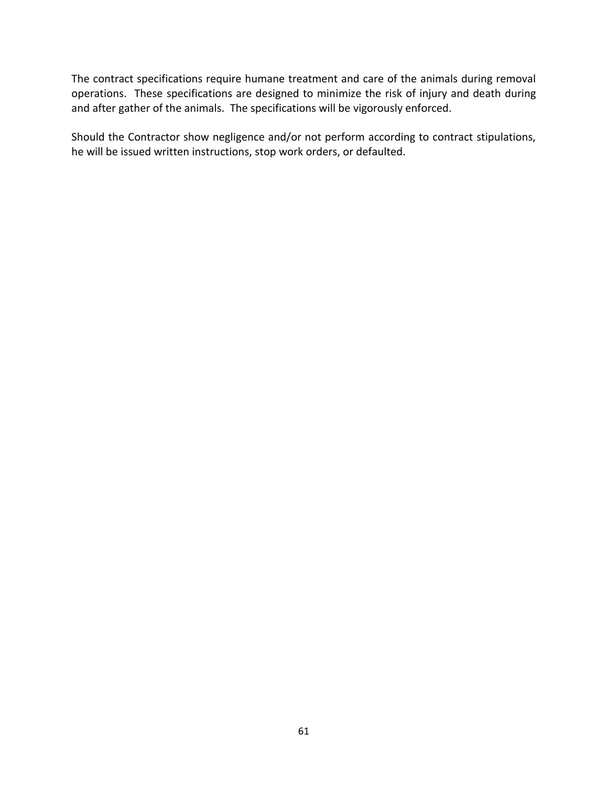The contract specifications require humane treatment and care of the animals during removal operations. These specifications are designed to minimize the risk of injury and death during and after gather of the animals. The specifications will be vigorously enforced.

Should the Contractor show negligence and/or not perform according to contract stipulations, he will be issued written instructions, stop work orders, or defaulted.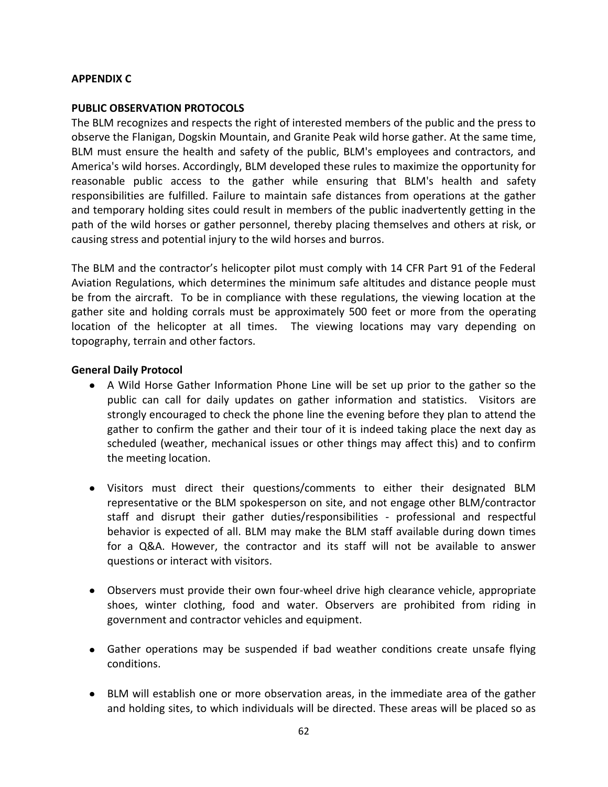## **APPENDIX C**

#### **PUBLIC OBSERVATION PROTOCOLS**

The BLM recognizes and respects the right of interested members of the public and the press to observe the Flanigan, Dogskin Mountain, and Granite Peak wild horse gather. At the same time, BLM must ensure the health and safety of the public, BLM's employees and contractors, and America's wild horses. Accordingly, BLM developed these rules to maximize the opportunity for reasonable public access to the gather while ensuring that BLM's health and safety responsibilities are fulfilled. Failure to maintain safe distances from operations at the gather and temporary holding sites could result in members of the public inadvertently getting in the path of the wild horses or gather personnel, thereby placing themselves and others at risk, or causing stress and potential injury to the wild horses and burros.

The BLM and the contractor's helicopter pilot must comply with 14 CFR Part 91 of the Federal Aviation Regulations, which determines the minimum safe altitudes and distance people must be from the aircraft. To be in compliance with these regulations, the viewing location at the gather site and holding corrals must be approximately 500 feet or more from the operating location of the helicopter at all times. The viewing locations may vary depending on topography, terrain and other factors.

#### **General Daily Protocol**

- A Wild Horse Gather Information Phone Line will be set up prior to the gather so the public can call for daily updates on gather information and statistics. Visitors are strongly encouraged to check the phone line the evening before they plan to attend the gather to confirm the gather and their tour of it is indeed taking place the next day as scheduled (weather, mechanical issues or other things may affect this) and to confirm the meeting location.
- Visitors must direct their questions/comments to either their designated BLM representative or the BLM spokesperson on site, and not engage other BLM/contractor staff and disrupt their gather duties/responsibilities - professional and respectful behavior is expected of all. BLM may make the BLM staff available during down times for a Q&A. However, the contractor and its staff will not be available to answer questions or interact with visitors.
- Observers must provide their own four-wheel drive high clearance vehicle, appropriate shoes, winter clothing, food and water. Observers are prohibited from riding in government and contractor vehicles and equipment.
- Gather operations may be suspended if bad weather conditions create unsafe flying conditions.
- BLM will establish one or more observation areas, in the immediate area of the gather and holding sites, to which individuals will be directed. These areas will be placed so as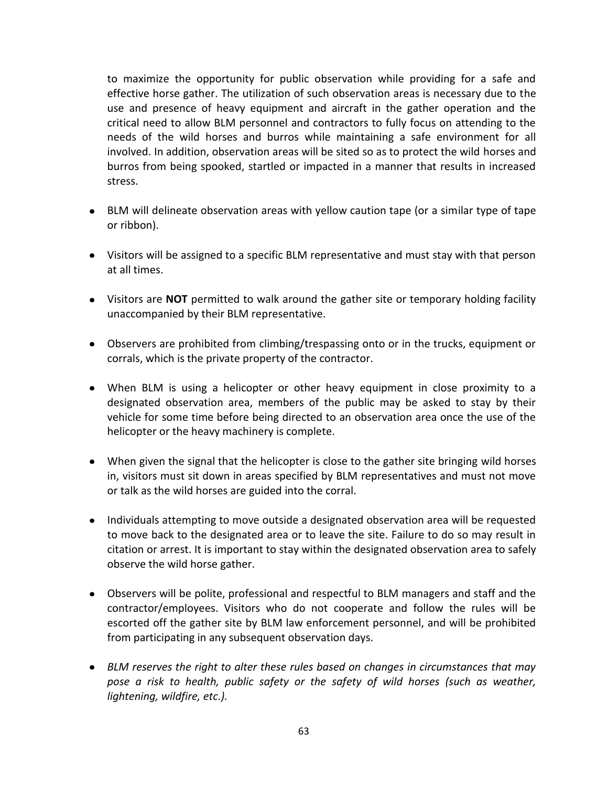to maximize the opportunity for public observation while providing for a safe and effective horse gather. The utilization of such observation areas is necessary due to the use and presence of heavy equipment and aircraft in the gather operation and the critical need to allow BLM personnel and contractors to fully focus on attending to the needs of the wild horses and burros while maintaining a safe environment for all involved. In addition, observation areas will be sited so as to protect the wild horses and burros from being spooked, startled or impacted in a manner that results in increased stress.

- BLM will delineate observation areas with yellow caution tape (or a similar type of tape or ribbon).
- Visitors will be assigned to a specific BLM representative and must stay with that person at all times.
- Visitors are **NOT** permitted to walk around the gather site or temporary holding facility unaccompanied by their BLM representative.
- Observers are prohibited from climbing/trespassing onto or in the trucks, equipment or corrals, which is the private property of the contractor.
- When BLM is using a helicopter or other heavy equipment in close proximity to a designated observation area, members of the public may be asked to stay by their vehicle for some time before being directed to an observation area once the use of the helicopter or the heavy machinery is complete.
- When given the signal that the helicopter is close to the gather site bringing wild horses in, visitors must sit down in areas specified by BLM representatives and must not move or talk as the wild horses are guided into the corral.
- Individuals attempting to move outside a designated observation area will be requested to move back to the designated area or to leave the site. Failure to do so may result in citation or arrest. It is important to stay within the designated observation area to safely observe the wild horse gather.
- Observers will be polite, professional and respectful to BLM managers and staff and the contractor/employees. Visitors who do not cooperate and follow the rules will be escorted off the gather site by BLM law enforcement personnel, and will be prohibited from participating in any subsequent observation days.
- *BLM reserves the right to alter these rules based on changes in circumstances that may pose a risk to health, public safety or the safety of wild horses (such as weather, lightening, wildfire, etc.).*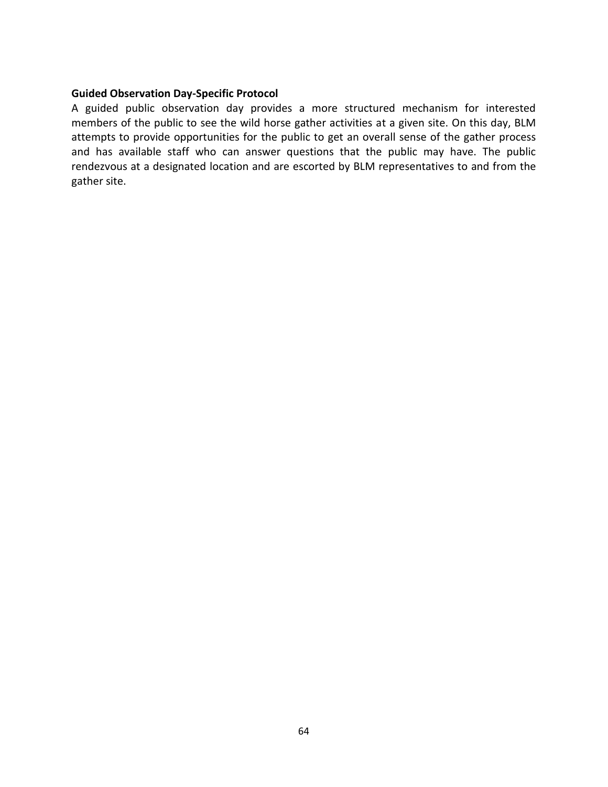#### **Guided Observation Day-Specific Protocol**

A guided public observation day provides a more structured mechanism for interested members of the public to see the wild horse gather activities at a given site. On this day, BLM attempts to provide opportunities for the public to get an overall sense of the gather process and has available staff who can answer questions that the public may have. The public rendezvous at a designated location and are escorted by BLM representatives to and from the gather site.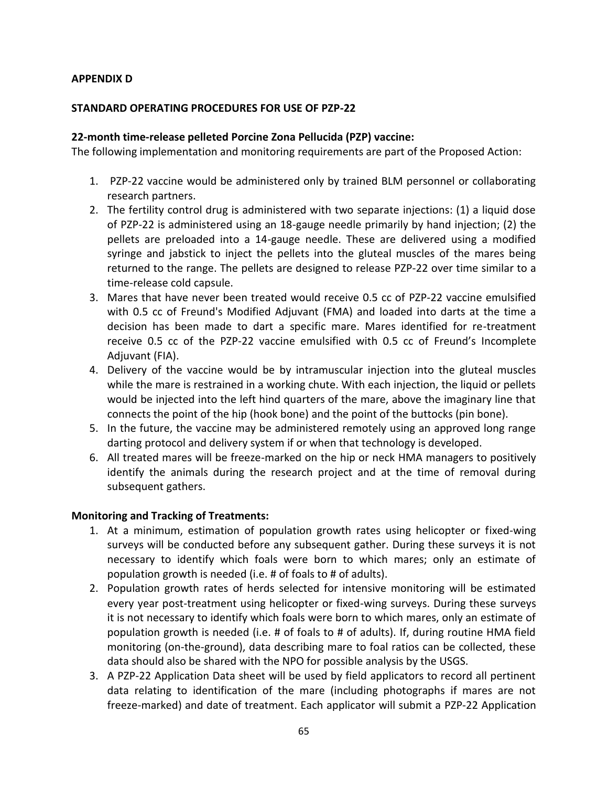## **APPENDIX D**

## **STANDARD OPERATING PROCEDURES FOR USE OF PZP-22**

#### **22-month time-release pelleted Porcine Zona Pellucida (PZP) vaccine:**

The following implementation and monitoring requirements are part of the Proposed Action:

- 1. PZP-22 vaccine would be administered only by trained BLM personnel or collaborating research partners.
- 2. The fertility control drug is administered with two separate injections: (1) a liquid dose of PZP-22 is administered using an 18-gauge needle primarily by hand injection; (2) the pellets are preloaded into a 14-gauge needle. These are delivered using a modified syringe and jabstick to inject the pellets into the gluteal muscles of the mares being returned to the range. The pellets are designed to release PZP-22 over time similar to a time-release cold capsule.
- 3. Mares that have never been treated would receive 0.5 cc of PZP-22 vaccine emulsified with 0.5 cc of Freund's Modified Adjuvant (FMA) and loaded into darts at the time a decision has been made to dart a specific mare. Mares identified for re-treatment receive 0.5 cc of the PZP-22 vaccine emulsified with 0.5 cc of Freund's Incomplete Adjuvant (FIA).
- 4. Delivery of the vaccine would be by intramuscular injection into the gluteal muscles while the mare is restrained in a working chute. With each injection, the liquid or pellets would be injected into the left hind quarters of the mare, above the imaginary line that connects the point of the hip (hook bone) and the point of the buttocks (pin bone).
- 5. In the future, the vaccine may be administered remotely using an approved long range darting protocol and delivery system if or when that technology is developed.
- 6. All treated mares will be freeze-marked on the hip or neck HMA managers to positively identify the animals during the research project and at the time of removal during subsequent gathers.

## **Monitoring and Tracking of Treatments:**

- 1. At a minimum, estimation of population growth rates using helicopter or fixed-wing surveys will be conducted before any subsequent gather. During these surveys it is not necessary to identify which foals were born to which mares; only an estimate of population growth is needed (i.e. # of foals to # of adults).
- 2. Population growth rates of herds selected for intensive monitoring will be estimated every year post-treatment using helicopter or fixed-wing surveys. During these surveys it is not necessary to identify which foals were born to which mares, only an estimate of population growth is needed (i.e. # of foals to # of adults). If, during routine HMA field monitoring (on-the-ground), data describing mare to foal ratios can be collected, these data should also be shared with the NPO for possible analysis by the USGS.
- 3. A PZP-22 Application Data sheet will be used by field applicators to record all pertinent data relating to identification of the mare (including photographs if mares are not freeze-marked) and date of treatment. Each applicator will submit a PZP-22 Application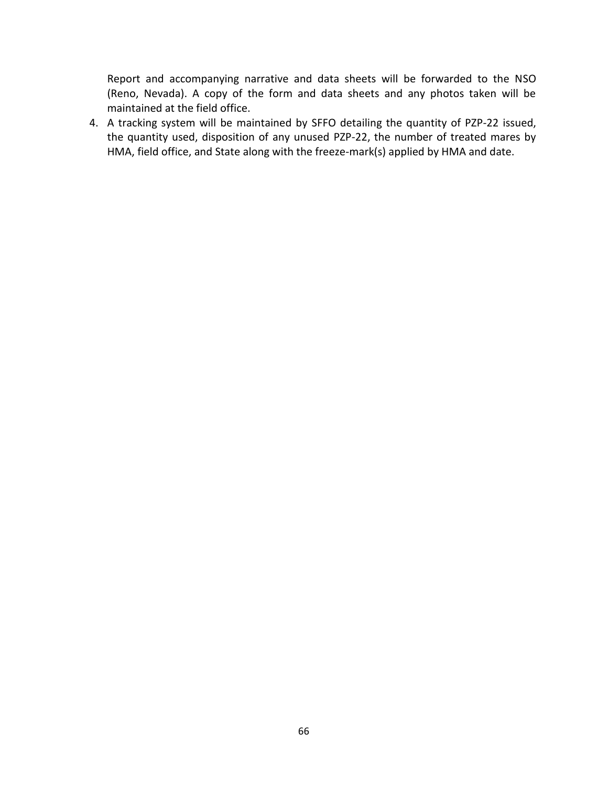Report and accompanying narrative and data sheets will be forwarded to the NSO (Reno, Nevada). A copy of the form and data sheets and any photos taken will be maintained at the field office.

4. A tracking system will be maintained by SFFO detailing the quantity of PZP-22 issued, the quantity used, disposition of any unused PZP-22, the number of treated mares by HMA, field office, and State along with the freeze-mark(s) applied by HMA and date.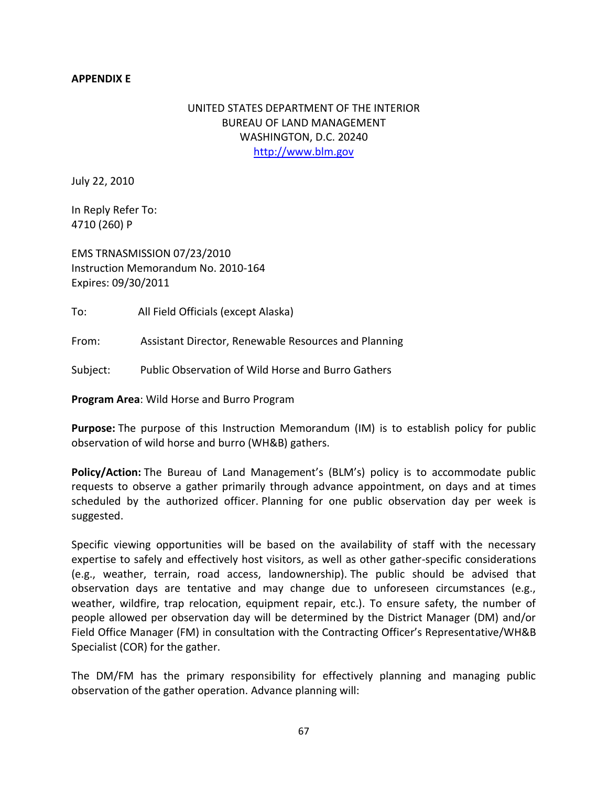## **APPENDIX E**

# UNITED STATES DEPARTMENT OF THE INTERIOR BUREAU OF LAND MANAGEMENT WASHINGTON, D.C. 20240 [http://www.blm.gov](http://www.blm.gov/)

July 22, 2010

In Reply Refer To: 4710 (260) P

EMS TRNASMISSION 07/23/2010 Instruction Memorandum No. 2010-164 Expires: 09/30/2011

To: All Field Officials (except Alaska)

From: Assistant Director, Renewable Resources and Planning

Subject: Public Observation of Wild Horse and Burro Gathers

**Program Area**: Wild Horse and Burro Program

**Purpose:** The purpose of this Instruction Memorandum (IM) is to establish policy for public observation of wild horse and burro (WH&B) gathers.

**Policy/Action:** The Bureau of Land Management's (BLM's) policy is to accommodate public requests to observe a gather primarily through advance appointment, on days and at times scheduled by the authorized officer. Planning for one public observation day per week is suggested.

Specific viewing opportunities will be based on the availability of staff with the necessary expertise to safely and effectively host visitors, as well as other gather-specific considerations (e.g., weather, terrain, road access, landownership). The public should be advised that observation days are tentative and may change due to unforeseen circumstances (e.g., weather, wildfire, trap relocation, equipment repair, etc.). To ensure safety, the number of people allowed per observation day will be determined by the District Manager (DM) and/or Field Office Manager (FM) in consultation with the Contracting Officer's Representative/WH&B Specialist (COR) for the gather.

The DM/FM has the primary responsibility for effectively planning and managing public observation of the gather operation. Advance planning will: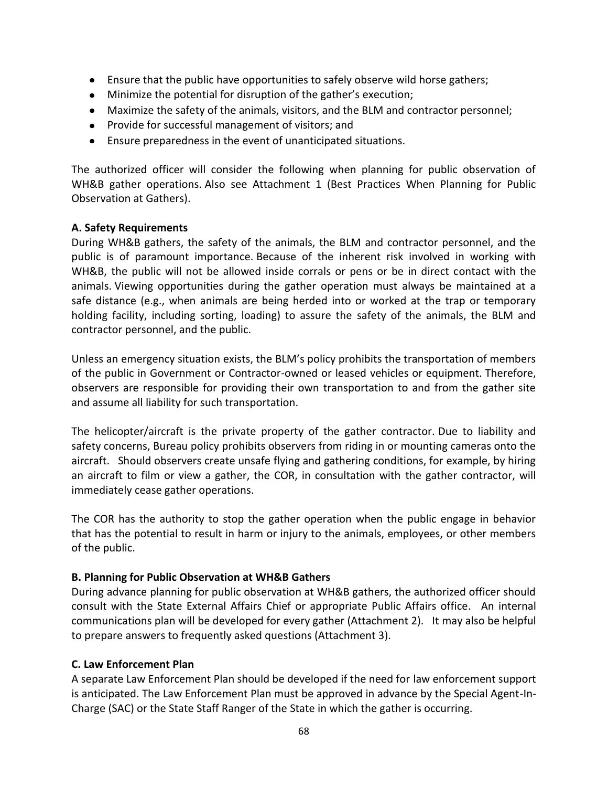- Ensure that the public have opportunities to safely observe wild horse gathers;
- Minimize the potential for disruption of the gather's execution;
- Maximize the safety of the animals, visitors, and the BLM and contractor personnel;
- Provide for successful management of visitors; and
- Ensure preparedness in the event of unanticipated situations.

The authorized officer will consider the following when planning for public observation of WH&B gather operations. Also see Attachment 1 (Best Practices When Planning for Public Observation at Gathers).

#### **A. Safety Requirements**

During WH&B gathers, the safety of the animals, the BLM and contractor personnel, and the public is of paramount importance. Because of the inherent risk involved in working with WH&B, the public will not be allowed inside corrals or pens or be in direct contact with the animals. Viewing opportunities during the gather operation must always be maintained at a safe distance (e.g., when animals are being herded into or worked at the trap or temporary holding facility, including sorting, loading) to assure the safety of the animals, the BLM and contractor personnel, and the public.

Unless an emergency situation exists, the BLM's policy prohibits the transportation of members of the public in Government or Contractor-owned or leased vehicles or equipment. Therefore, observers are responsible for providing their own transportation to and from the gather site and assume all liability for such transportation.

The helicopter/aircraft is the private property of the gather contractor. Due to liability and safety concerns, Bureau policy prohibits observers from riding in or mounting cameras onto the aircraft. Should observers create unsafe flying and gathering conditions, for example, by hiring an aircraft to film or view a gather, the COR, in consultation with the gather contractor, will immediately cease gather operations.

The COR has the authority to stop the gather operation when the public engage in behavior that has the potential to result in harm or injury to the animals, employees, or other members of the public.

### **B. Planning for Public Observation at WH&B Gathers**

During advance planning for public observation at WH&B gathers, the authorized officer should consult with the State External Affairs Chief or appropriate Public Affairs office. An internal communications plan will be developed for every gather (Attachment 2). It may also be helpful to prepare answers to frequently asked questions (Attachment 3).

### **C. Law Enforcement Plan**

A separate Law Enforcement Plan should be developed if the need for law enforcement support is anticipated. The Law Enforcement Plan must be approved in advance by the Special Agent-In-Charge (SAC) or the State Staff Ranger of the State in which the gather is occurring.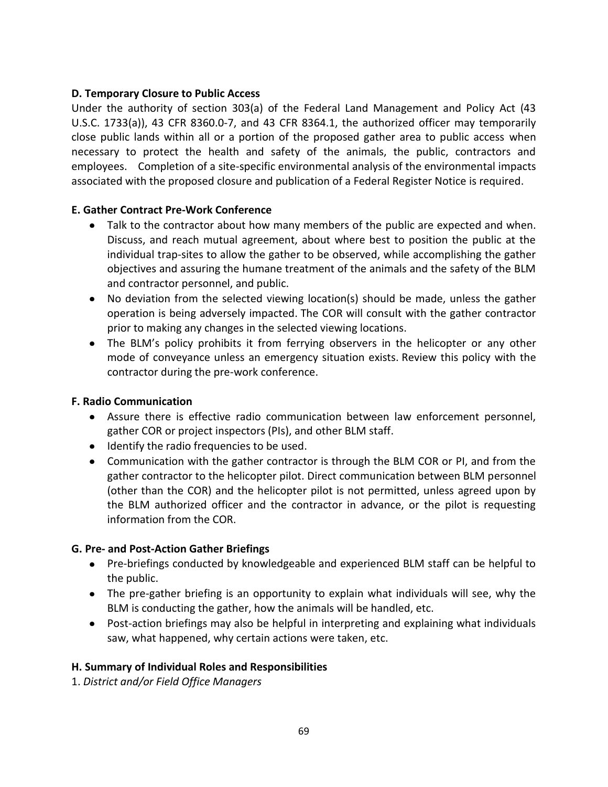#### **D. Temporary Closure to Public Access**

Under the authority of section 303(a) of the Federal Land Management and Policy Act (43 U.S.C. 1733(a)), 43 CFR 8360.0-7, and 43 CFR 8364.1, the authorized officer may temporarily close public lands within all or a portion of the proposed gather area to public access when necessary to protect the health and safety of the animals, the public, contractors and employees. Completion of a site-specific environmental analysis of the environmental impacts associated with the proposed closure and publication of a Federal Register Notice is required.

#### **E. Gather Contract Pre-Work Conference**

- Talk to the contractor about how many members of the public are expected and when. Discuss, and reach mutual agreement, about where best to position the public at the individual trap-sites to allow the gather to be observed, while accomplishing the gather objectives and assuring the humane treatment of the animals and the safety of the BLM and contractor personnel, and public.
- No deviation from the selected viewing location(s) should be made, unless the gather operation is being adversely impacted. The COR will consult with the gather contractor prior to making any changes in the selected viewing locations.
- The BLM's policy prohibits it from ferrying observers in the helicopter or any other mode of conveyance unless an emergency situation exists. Review this policy with the contractor during the pre-work conference.

#### **F. Radio Communication**

- Assure there is effective radio communication between law enforcement personnel, gather COR or project inspectors (PIs), and other BLM staff.
- Identify the radio frequencies to be used.
- Communication with the gather contractor is through the BLM COR or PI, and from the gather contractor to the helicopter pilot. Direct communication between BLM personnel (other than the COR) and the helicopter pilot is not permitted, unless agreed upon by the BLM authorized officer and the contractor in advance, or the pilot is requesting information from the COR.

### **G. Pre- and Post-Action Gather Briefings**

- Pre-briefings conducted by knowledgeable and experienced BLM staff can be helpful to the public.
- The pre-gather briefing is an opportunity to explain what individuals will see, why the BLM is conducting the gather, how the animals will be handled, etc.
- Post-action briefings may also be helpful in interpreting and explaining what individuals saw, what happened, why certain actions were taken, etc.

### **H. Summary of Individual Roles and Responsibilities**

1. *District and/or Field Office Managers*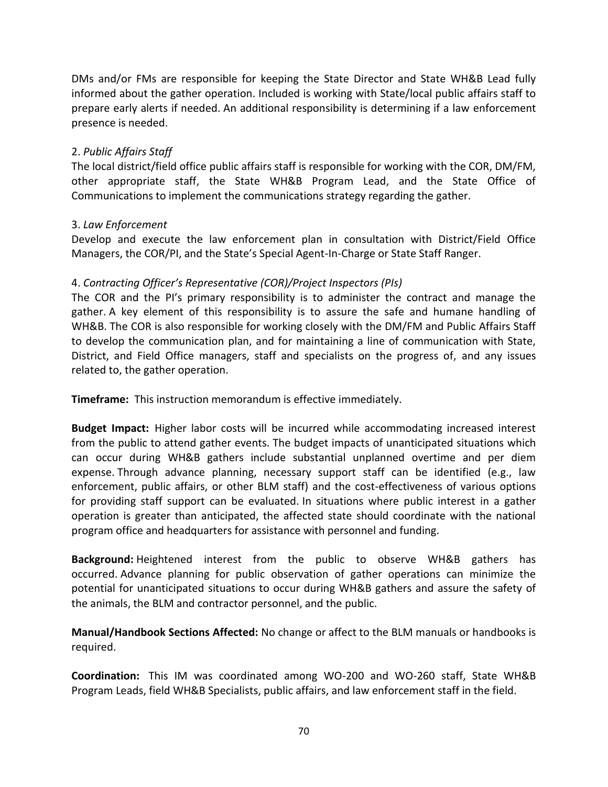DMs and/or FMs are responsible for keeping the State Director and State WH&B Lead fully informed about the gather operation. Included is working with State/local public affairs staff to prepare early alerts if needed. An additional responsibility is determining if a law enforcement presence is needed.

#### 2. *Public Affairs Staff*

The local district/field office public affairs staff is responsible for working with the COR, DM/FM, other appropriate staff, the State WH&B Program Lead, and the State Office of Communications to implement the communications strategy regarding the gather.

#### 3. *Law Enforcement*

Develop and execute the law enforcement plan in consultation with District/Field Office Managers, the COR/PI, and the State's Special Agent-In-Charge or State Staff Ranger.

### 4. *Contracting Officer's Representative (COR)/Project Inspectors (PIs)*

The COR and the PI's primary responsibility is to administer the contract and manage the gather. A key element of this responsibility is to assure the safe and humane handling of WH&B. The COR is also responsible for working closely with the DM/FM and Public Affairs Staff to develop the communication plan, and for maintaining a line of communication with State, District, and Field Office managers, staff and specialists on the progress of, and any issues related to, the gather operation.

**Timeframe:** This instruction memorandum is effective immediately.

**Budget Impact:** Higher labor costs will be incurred while accommodating increased interest from the public to attend gather events. The budget impacts of unanticipated situations which can occur during WH&B gathers include substantial unplanned overtime and per diem expense. Through advance planning, necessary support staff can be identified (e.g., law enforcement, public affairs, or other BLM staff) and the cost-effectiveness of various options for providing staff support can be evaluated. In situations where public interest in a gather operation is greater than anticipated, the affected state should coordinate with the national program office and headquarters for assistance with personnel and funding.

**Background:** Heightened interest from the public to observe WH&B gathers has occurred. Advance planning for public observation of gather operations can minimize the potential for unanticipated situations to occur during WH&B gathers and assure the safety of the animals, the BLM and contractor personnel, and the public.

**Manual/Handbook Sections Affected:** No change or affect to the BLM manuals or handbooks is required.

**Coordination:** This IM was coordinated among WO-200 and WO-260 staff, State WH&B Program Leads, field WH&B Specialists, public affairs, and law enforcement staff in the field.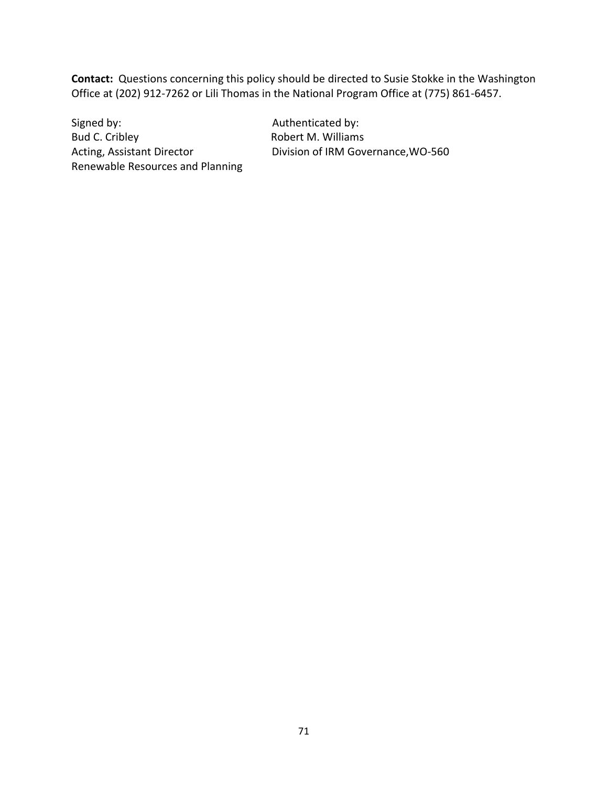**Contact:** Questions concerning this policy should be directed to Susie Stokke in the Washington Office at (202) 912-7262 or Lili Thomas in the National Program Office at (775) 861-6457.

Signed by: Signed by: Authenticated by: Bud C. Cribley **Robert M. Williams** Renewable Resources and Planning

Acting, Assistant Director Division of IRM Governance, WO-560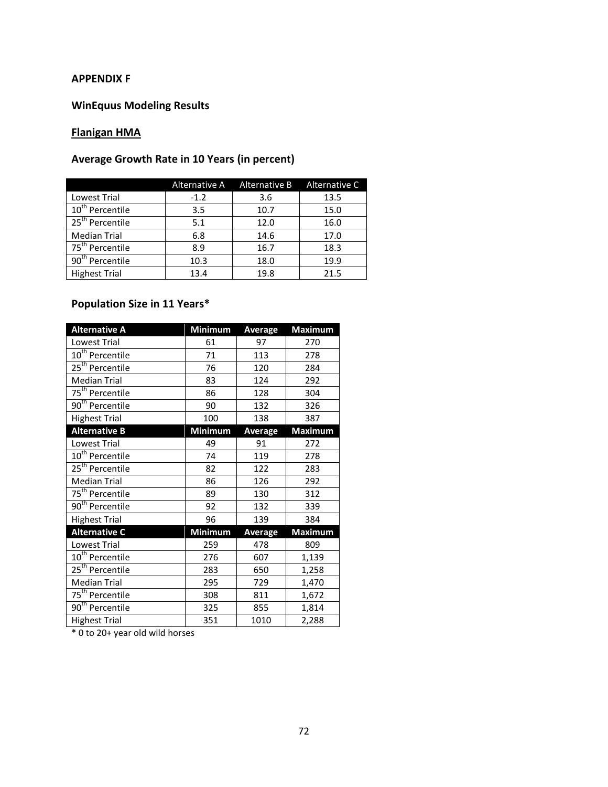#### **APPENDIX F**

### **WinEquus Modeling Results**

# **Flanigan HMA**

# **Average Growth Rate in 10 Years (in percent)**

|                             |        | Alternative A Alternative B | Alternative C |
|-----------------------------|--------|-----------------------------|---------------|
| Lowest Trial                | $-1.2$ | 3.6                         | 13.5          |
| 10 <sup>th</sup> Percentile | 3.5    | 10.7                        | 15.0          |
| 25 <sup>th</sup> Percentile | 5.1    | 12.0                        | 16.0          |
| <b>Median Trial</b>         | 6.8    | 14.6                        | 17.0          |
| 75 <sup>th</sup> Percentile | 8.9    | 16.7                        | 18.3          |
| 90 <sup>th</sup> Percentile | 10.3   | 18.0                        | 19.9          |
| <b>Highest Trial</b>        | 13.4   | 19.8                        | 21.5          |

# **Population Size in 11 Years\***

| <b>Alternative A</b>        | <b>Minimum</b> | <b>Average</b> | <b>Maximum</b> |
|-----------------------------|----------------|----------------|----------------|
| Lowest Trial                | 61             | 97             | 270            |
| 10 <sup>th</sup> Percentile | 71             | 113            | 278            |
| 25 <sup>th</sup> Percentile | 76             | 120            | 284            |
| <b>Median Trial</b>         | 83             | 124            | 292            |
| 75 <sup>th</sup> Percentile | 86             | 128            | 304            |
| $90th$ Percentile           | 90             | 132            | 326            |
| <b>Highest Trial</b>        | 100            | 138            | 387            |
| <b>Alternative B</b>        | <b>Minimum</b> | Average        | <b>Maximum</b> |
| Lowest Trial                | 49             | 91             | 272            |
| 10 <sup>th</sup> Percentile | 74             | 119            | 278            |
| 25 <sup>th</sup> Percentile | 82             | 122            | 283            |
| <b>Median Trial</b>         | 86             | 126            | 292            |
| 75 <sup>th</sup> Percentile | 89             | 130            | 312            |
| 90 <sup>th</sup> Percentile | 92             | 132            | 339            |
| <b>Highest Trial</b>        | 96             | 139            | 384            |
| <b>Alternative C</b>        | <b>Minimum</b> | <b>Average</b> | <b>Maximum</b> |
| Lowest Trial                | 259            | 478            | 809            |
| 10 <sup>th</sup> Percentile | 276            | 607            | 1,139          |
| 25 <sup>th</sup> Percentile | 283            | 650            | 1,258          |
| <b>Median Trial</b>         | 295            | 729            | 1,470          |
| 75 <sup>th</sup> Percentile | 308            | 811            | 1,672          |
| 90 <sup>th</sup> Percentile | 325            | 855            | 1,814          |
| <b>Highest Trial</b>        | 351            | 1010           | 2,288          |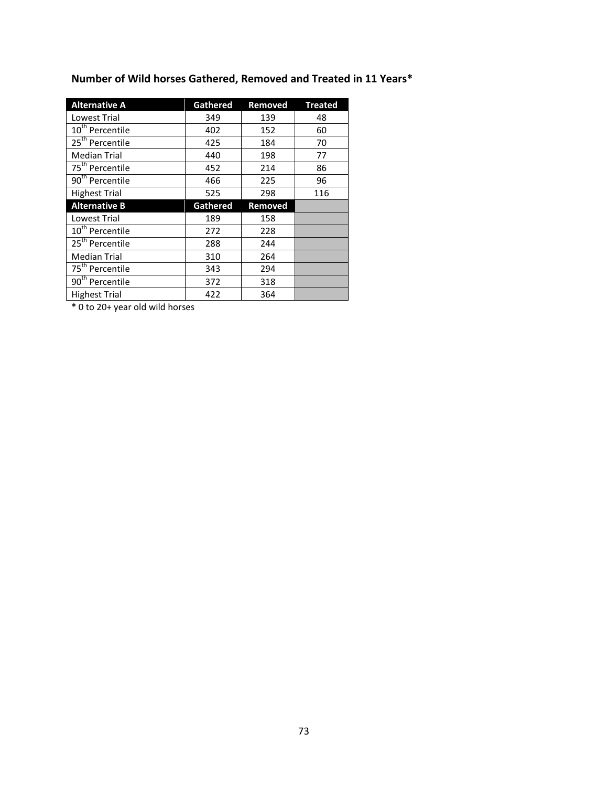| <b>Alternative A</b>        | <b>Gathered</b> | Removed | <b>Treated</b> |
|-----------------------------|-----------------|---------|----------------|
| Lowest Trial                | 349             | 139     | 48             |
| 10 <sup>th</sup> Percentile | 402             | 152     | 60             |
| $25th$ Percentile           | 425             | 184     | 70             |
| <b>Median Trial</b>         | 440             | 198     | 77             |
| 75 <sup>th</sup> Percentile | 452             | 214     | 86             |
| 90 <sup>th</sup> Percentile | 466             | 225     | 96             |
| <b>Highest Trial</b>        | 525             | 298     | 116            |
|                             |                 |         |                |
| <b>Alternative B</b>        | <b>Gathered</b> | Removed |                |
| Lowest Trial                | 189             | 158     |                |
| 10 <sup>th</sup> Percentile | 272             | 228     |                |
| 25 <sup>th</sup> Percentile | 288             | 244     |                |
| <b>Median Trial</b>         | 310             | 264     |                |
| 75 <sup>th</sup> Percentile | 343             | 294     |                |
| 90 <sup>th</sup> Percentile | 372             | 318     |                |

# **Number of Wild horses Gathered, Removed and Treated in 11 Years\***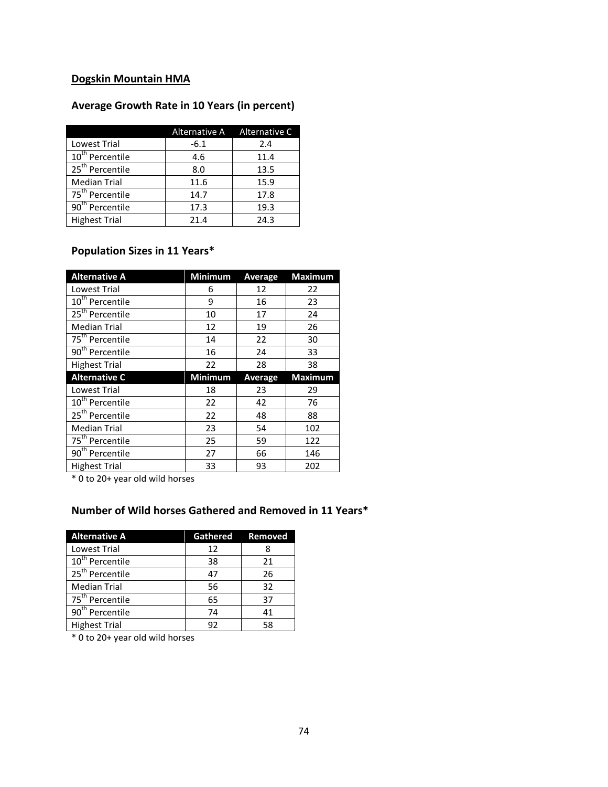# **Dogskin Mountain HMA**

# **Average Growth Rate in 10 Years (in percent)**

|                             |        | Alternative A Alternative C |
|-----------------------------|--------|-----------------------------|
| <b>Lowest Trial</b>         | $-6.1$ | 2.4                         |
| 10 <sup>th</sup> Percentile | 4.6    | 11.4                        |
| 25 <sup>th</sup> Percentile | 8.0    | 13.5                        |
| <b>Median Trial</b>         | 11.6   | 15.9                        |
| 75 <sup>th</sup> Percentile | 14.7   | 17.8                        |
| 90 <sup>th</sup> Percentile | 17.3   | 19.3                        |
| <b>Highest Trial</b>        | 21.4   | 24.3                        |

# **Population Sizes in 11 Years\***

| <b>Alternative A</b>        | <b>Minimum</b> | <b>Average</b> | <b>Maximum</b> |
|-----------------------------|----------------|----------------|----------------|
| Lowest Trial                | 6              | 12             | 22             |
| 10 <sup>th</sup> Percentile | 9              | 16             | 23             |
| 25 <sup>th</sup> Percentile | 10             | 17             | 24             |
| <b>Median Trial</b>         | 12             | 19             | 26             |
| 75 <sup>th</sup> Percentile | 14             | 22             | 30             |
| 90 <sup>th</sup> Percentile | 16             | 24             | 33             |
| <b>Highest Trial</b>        | 22             | 28             | 38             |
|                             |                |                |                |
| <b>Alternative C</b>        | <b>Minimum</b> | Average        | <b>Maximum</b> |
| <b>Lowest Trial</b>         | 18             | 23             | 29             |
| 10 <sup>th</sup> Percentile | 22             | 42             | 76             |
| $25th$ Percentile           | 22             | 48             | 88             |
| <b>Median Trial</b>         | 23             | 54             | 102            |
| 75 <sup>th</sup> Percentile | 25             | 59             | 122            |
| 90 <sup>th</sup> Percentile | 27             | 66             | 146            |

\* 0 to 20+ year old wild horses

### **Number of Wild horses Gathered and Removed in 11 Years\***

| <b>Alternative A</b>        | Gathered Removed |    |
|-----------------------------|------------------|----|
| Lowest Trial                | 12               |    |
| $10th$ Percentile           | 38               | 21 |
| 25 <sup>th</sup> Percentile | 47               | 26 |
| <b>Median Trial</b>         | 56               | 32 |
| 75 <sup>th</sup> Percentile | 65               | 37 |
| 90 <sup>th</sup> Percentile | 74               | 41 |
| <b>Highest Trial</b>        | 92               | 58 |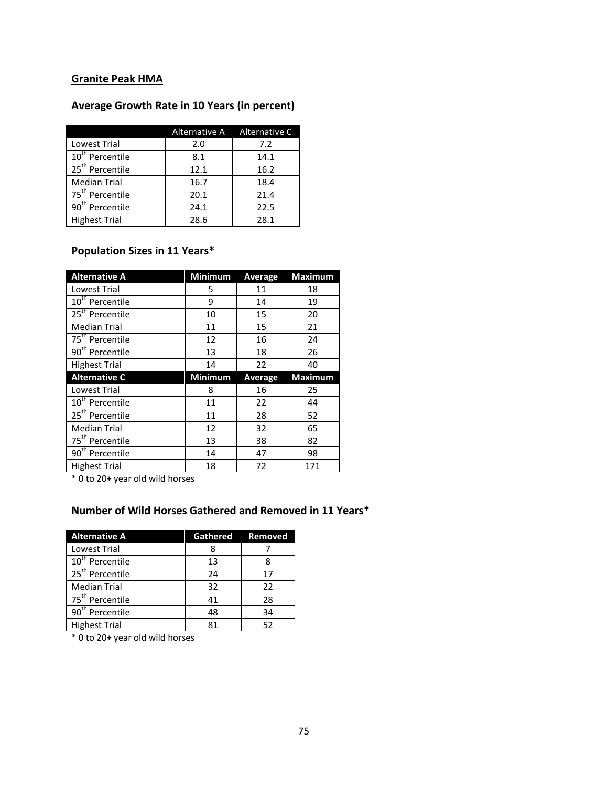# **Granite Peak HMA**

## **Average Growth Rate in 10 Years (in percent)**

|                             |      | Alternative A Alternative C |
|-----------------------------|------|-----------------------------|
| <b>Lowest Trial</b>         | 2.0  | 7.2                         |
| $10th$ Percentile           | 8.1  | 14.1                        |
| 25 <sup>th</sup> Percentile | 12.1 | 16.2                        |
| <b>Median Trial</b>         | 16.7 | 18.4                        |
| 75 <sup>th</sup> Percentile | 20.1 | 21.4                        |
| 90 <sup>th</sup> Percentile | 24.1 | 22.5                        |
| <b>Highest Trial</b>        | 28.6 | 28.1                        |

# **Population Sizes in 11 Years\***

| <b>Alternative A</b>        | <b>Minimum</b> | Average | <b>Maximum</b> |
|-----------------------------|----------------|---------|----------------|
| <b>Lowest Trial</b>         | 5              | 11      | 18             |
| 10 <sup>th</sup> Percentile | 9              | 14      | 19             |
| 25 <sup>th</sup> Percentile | 10             | 15      | 20             |
| <b>Median Trial</b>         | 11             | 15      | 21             |
| 75 <sup>th</sup> Percentile | 12             | 16      | 24             |
| 90 <sup>th</sup> Percentile | 13             | 18      | 26             |
| <b>Highest Trial</b>        | 14             | 22      | 40             |
| <b>Alternative C</b>        | <b>Minimum</b> | Average | <b>Maximum</b> |
| <b>Lowest Trial</b>         | 8              | 16      | 25             |
| 10 <sup>th</sup> Percentile | 11             | 22      | 44             |
| $25th$ Percentile           | 11             | 28      | 52             |
| <b>Median Trial</b>         | 12             | 32      | 65             |
| 75 <sup>th</sup> Percentile | 13             | 38      | 82             |
| 90 <sup>th</sup> Percentile | 14             | 47      | 98             |
|                             |                |         |                |

\* 0 to 20+ year old wild horses

# **Number of Wild Horses Gathered and Removed in 11 Years\***

| <b>Alternative A</b>        | Gathered Removed |    |
|-----------------------------|------------------|----|
| Lowest Trial                | 8                |    |
| $10th$ Percentile           | 13               |    |
| 25 <sup>th</sup> Percentile | 24               | 17 |
| <b>Median Trial</b>         | 32               | 22 |
| 75 <sup>th</sup> Percentile | 41               | 28 |
| 90 <sup>th</sup> Percentile | 48               | 34 |
| <b>Highest Trial</b>        | 81               | 52 |